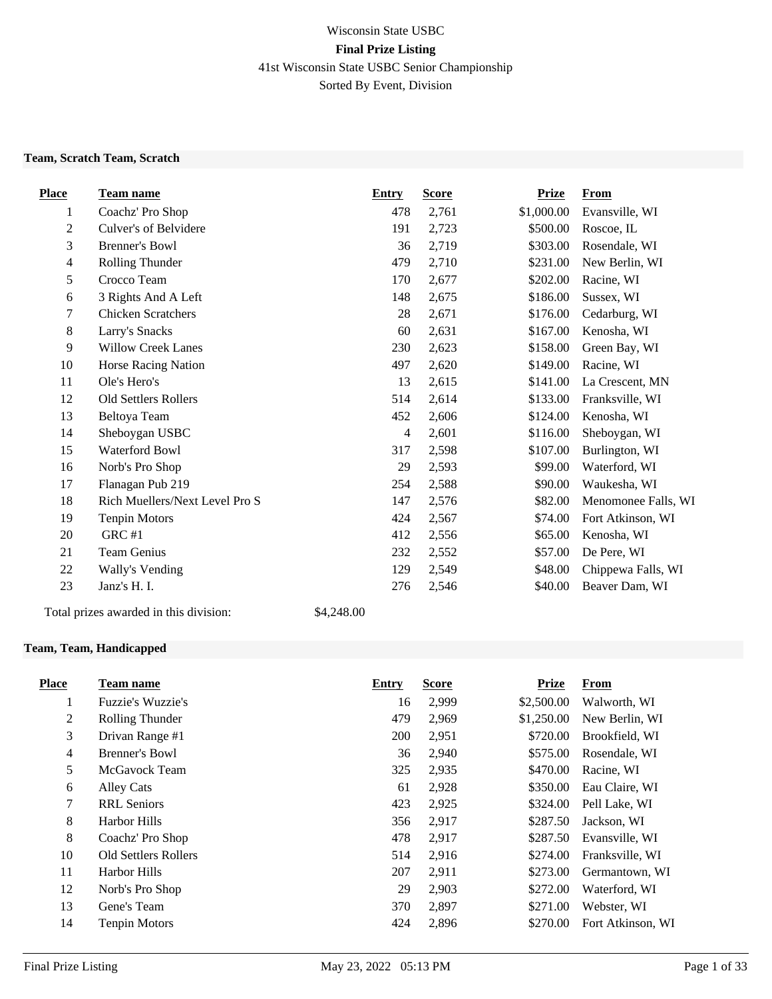# Wisconsin State USBC **Final Prize Listing** 41st Wisconsin State USBC Senior Championship Sorted By Event, Division

#### **Team, Scratch Team, Scratch**

| <b>Place</b>   | <b>Team name</b>               | <b>Entry</b>   | <b>Score</b> | <b>Prize</b> | <b>From</b>         |
|----------------|--------------------------------|----------------|--------------|--------------|---------------------|
| 1              | Coachz' Pro Shop               | 478            | 2,761        | \$1,000.00   | Evansville, WI      |
| $\overline{2}$ | Culver's of Belvidere          | 191            | 2,723        | \$500.00     | Roscoe, IL          |
| 3              | <b>Brenner's Bowl</b>          | 36             | 2,719        | \$303.00     | Rosendale, WI       |
| 4              | Rolling Thunder                | 479            | 2,710        | \$231.00     | New Berlin, WI      |
| 5              | Crocco Team                    | 170            | 2,677        | \$202.00     | Racine, WI          |
| 6              | 3 Rights And A Left            | 148            | 2,675        | \$186.00     | Sussex, WI          |
| 7              | <b>Chicken Scratchers</b>      | 28             | 2,671        | \$176.00     | Cedarburg, WI       |
| 8              | Larry's Snacks                 | 60             | 2,631        | \$167.00     | Kenosha, WI         |
| 9              | <b>Willow Creek Lanes</b>      | 230            | 2,623        | \$158.00     | Green Bay, WI       |
| 10             | Horse Racing Nation            | 497            | 2,620        | \$149.00     | Racine, WI          |
| 11             | Ole's Hero's                   | 13             | 2,615        | \$141.00     | La Crescent, MN     |
| 12             | <b>Old Settlers Rollers</b>    | 514            | 2,614        | \$133.00     | Franksville, WI     |
| 13             | Beltoya Team                   | 452            | 2,606        | \$124.00     | Kenosha, WI         |
| 14             | Sheboygan USBC                 | $\overline{4}$ | 2,601        | \$116.00     | Sheboygan, WI       |
| 15             | <b>Waterford Bowl</b>          | 317            | 2,598        | \$107.00     | Burlington, WI      |
| 16             | Norb's Pro Shop                | 29             | 2,593        | \$99.00      | Waterford, WI       |
| 17             | Flanagan Pub 219               | 254            | 2,588        | \$90.00      | Waukesha, WI        |
| 18             | Rich Muellers/Next Level Pro S | 147            | 2,576        | \$82.00      | Menomonee Falls, WI |
| 19             | <b>Tenpin Motors</b>           | 424            | 2,567        | \$74.00      | Fort Atkinson, WI   |
| 20             | GRC #1                         | 412            | 2,556        | \$65.00      | Kenosha, WI         |
| 21             | Team Genius                    | 232            | 2,552        | \$57.00      | De Pere, WI         |
| 22             | Wally's Vending                | 129            | 2,549        | \$48.00      | Chippewa Falls, WI  |
| 23             | Janz's H. I.                   | 276            | 2,546        | \$40.00      | Beaver Dam, WI      |

Total prizes awarded in this division: \$4,248.00

## **Team, Team, Handicapped**

| <b>Place</b>   | Team name                   | Entry      | <b>Score</b> | <b>Prize</b> | From              |
|----------------|-----------------------------|------------|--------------|--------------|-------------------|
| 1              | Fuzzie's Wuzzie's           | 16         | 2,999        | \$2,500.00   | Walworth, WI      |
| 2              | Rolling Thunder             | 479        | 2,969        | \$1,250.00   | New Berlin, WI    |
| 3              | Drivan Range #1             | <b>200</b> | 2,951        | \$720.00     | Brookfield, WI    |
| $\overline{4}$ | Brenner's Bowl              | 36         | 2,940        | \$575.00     | Rosendale, WI     |
| 5              | McGavock Team               | 325        | 2,935        | \$470.00     | Racine, WI        |
| 6              | Alley Cats                  | 61         | 2,928        | \$350.00     | Eau Claire, WI    |
| 7              | <b>RRL</b> Seniors          | 423        | 2,925        | \$324.00     | Pell Lake, WI     |
| 8              | Harbor Hills                | 356        | 2,917        | \$287.50     | Jackson, WI       |
| 8              | Coachz' Pro Shop            | 478        | 2,917        | \$287.50     | Evansville, WI    |
| 10             | <b>Old Settlers Rollers</b> | 514        | 2,916        | \$274.00     | Franksville, WI   |
| 11             | Harbor Hills                | 207        | 2,911        | \$273.00     | Germantown, WI    |
| 12             | Norb's Pro Shop             | 29         | 2,903        | \$272.00     | Waterford, WI     |
| 13             | Gene's Team                 | 370        | 2,897        | \$271.00     | Webster, WI       |
| 14             | <b>Tenpin Motors</b>        | 424        | 2,896        | \$270.00     | Fort Atkinson, WI |
|                |                             |            |              |              |                   |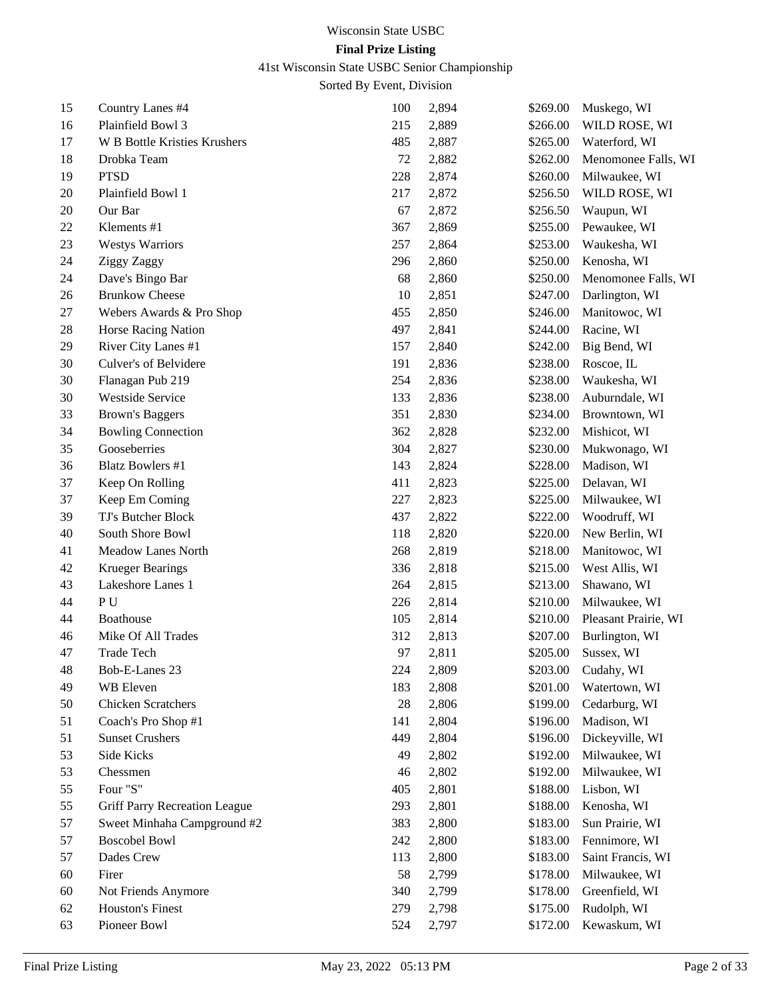# 41st Wisconsin State USBC Senior Championship

| 15 | Country Lanes #4              | 100    | 2,894 | \$269.00 | Muskego, WI          |
|----|-------------------------------|--------|-------|----------|----------------------|
| 16 | Plainfield Bowl 3             | 215    | 2,889 | \$266.00 | WILD ROSE, WI        |
| 17 | W B Bottle Kristies Krushers  | 485    | 2,887 | \$265.00 | Waterford, WI        |
| 18 | Drobka Team                   | $72\,$ | 2,882 | \$262.00 | Menomonee Falls, WI  |
| 19 | <b>PTSD</b>                   | 228    | 2,874 | \$260.00 | Milwaukee, WI        |
| 20 | Plainfield Bowl 1             | 217    | 2,872 | \$256.50 | WILD ROSE, WI        |
| 20 | Our Bar                       | 67     | 2,872 | \$256.50 | Waupun, WI           |
| 22 | Klements #1                   | 367    | 2,869 | \$255.00 | Pewaukee, WI         |
| 23 | <b>Westys Warriors</b>        | 257    | 2,864 | \$253.00 | Waukesha, WI         |
| 24 | Ziggy Zaggy                   | 296    | 2,860 | \$250.00 | Kenosha, WI          |
| 24 | Dave's Bingo Bar              | 68     | 2,860 | \$250.00 | Menomonee Falls, WI  |
| 26 | <b>Brunkow Cheese</b>         | 10     | 2,851 | \$247.00 | Darlington, WI       |
| 27 | Webers Awards & Pro Shop      | 455    | 2,850 | \$246.00 | Manitowoc, WI        |
| 28 | Horse Racing Nation           | 497    | 2,841 | \$244.00 | Racine, WI           |
| 29 | River City Lanes #1           | 157    | 2,840 | \$242.00 | Big Bend, WI         |
| 30 | Culver's of Belvidere         | 191    | 2,836 | \$238.00 | Roscoe, IL           |
| 30 | Flanagan Pub 219              | 254    | 2,836 | \$238.00 | Waukesha, WI         |
| 30 | Westside Service              | 133    | 2,836 | \$238.00 | Auburndale, WI       |
| 33 | <b>Brown's Baggers</b>        | 351    | 2,830 | \$234.00 | Browntown, WI        |
| 34 | <b>Bowling Connection</b>     | 362    | 2,828 | \$232.00 | Mishicot, WI         |
| 35 | Gooseberries                  | 304    | 2,827 | \$230.00 | Mukwonago, WI        |
| 36 | <b>Blatz Bowlers #1</b>       | 143    | 2,824 | \$228.00 | Madison, WI          |
| 37 | Keep On Rolling               | 411    | 2,823 | \$225.00 | Delavan, WI          |
| 37 | Keep Em Coming                | 227    | 2,823 | \$225.00 | Milwaukee, WI        |
| 39 | TJ's Butcher Block            | 437    | 2,822 | \$222.00 | Woodruff, WI         |
| 40 | South Shore Bowl              | 118    | 2,820 | \$220.00 | New Berlin, WI       |
| 41 | Meadow Lanes North            | 268    | 2,819 | \$218.00 | Manitowoc, WI        |
| 42 | <b>Krueger Bearings</b>       | 336    | 2,818 | \$215.00 | West Allis, WI       |
| 43 | Lakeshore Lanes 1             | 264    | 2,815 | \$213.00 | Shawano, WI          |
| 44 | PU                            | 226    | 2,814 | \$210.00 | Milwaukee, WI        |
| 44 | <b>Boathouse</b>              | 105    | 2,814 | \$210.00 | Pleasant Prairie, WI |
| 46 | Mike Of All Trades            | 312    | 2,813 | \$207.00 | Burlington, WI       |
| 47 | <b>Trade Tech</b>             | 97     | 2,811 | \$205.00 | Sussex, WI           |
| 48 | Bob-E-Lanes 23                | 224    | 2,809 | \$203.00 | Cudahy, WI           |
| 49 | WB Eleven                     | 183    | 2,808 | \$201.00 | Watertown, WI        |
| 50 | Chicken Scratchers            | 28     | 2,806 | \$199.00 | Cedarburg, WI        |
| 51 | Coach's Pro Shop #1           | 141    | 2,804 | \$196.00 | Madison, WI          |
| 51 | <b>Sunset Crushers</b>        | 449    | 2,804 | \$196.00 | Dickeyville, WI      |
| 53 | Side Kicks                    | 49     | 2,802 | \$192.00 | Milwaukee, WI        |
| 53 | Chessmen                      | 46     | 2,802 | \$192.00 | Milwaukee, WI        |
| 55 | Four "S"                      | 405    | 2,801 | \$188.00 | Lisbon, WI           |
| 55 | Griff Parry Recreation League | 293    | 2,801 | \$188.00 | Kenosha, WI          |
| 57 | Sweet Minhaha Campground #2   | 383    | 2,800 | \$183.00 | Sun Prairie, WI      |
| 57 | <b>Boscobel Bowl</b>          | 242    | 2,800 | \$183.00 | Fennimore, WI        |
| 57 | Dades Crew                    | 113    | 2,800 | \$183.00 | Saint Francis, WI    |
| 60 | Firer                         | 58     | 2,799 | \$178.00 | Milwaukee, WI        |
| 60 | Not Friends Anymore           | 340    | 2,799 | \$178.00 | Greenfield, WI       |
| 62 | <b>Houston's Finest</b>       | 279    | 2,798 | \$175.00 | Rudolph, WI          |
| 63 | Pioneer Bowl                  | 524    | 2,797 | \$172.00 | Kewaskum, WI         |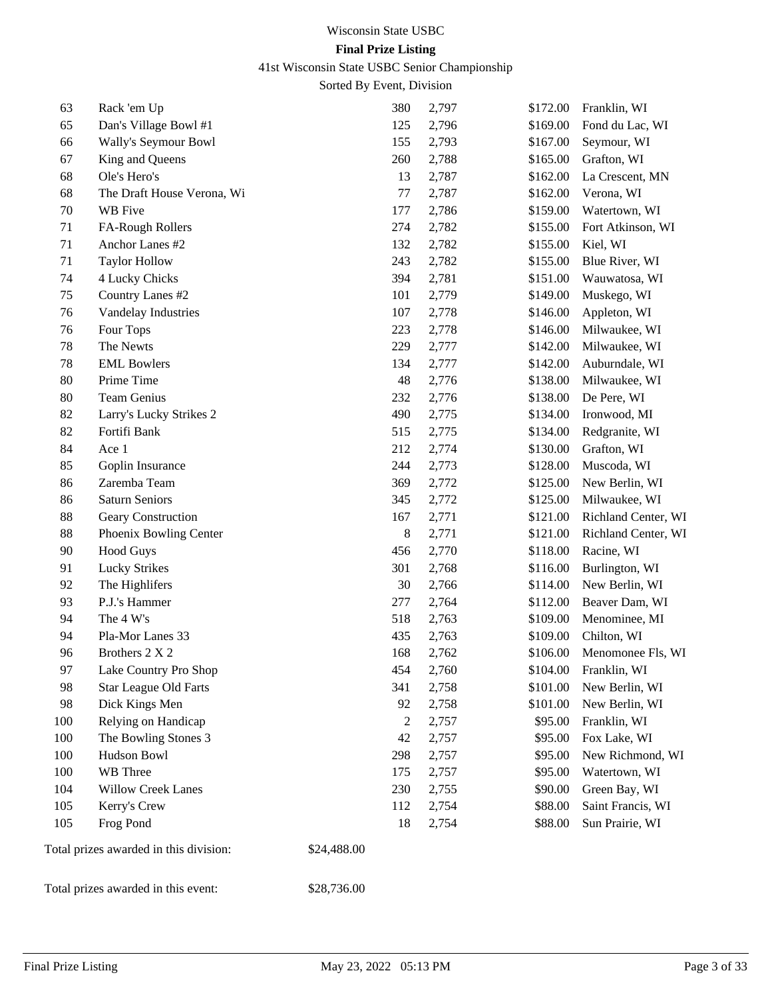## 41st Wisconsin State USBC Senior Championship

Sorted By Event, Division

| 63     | Rack 'em Up                            | 380            | 2,797 | \$172.00 | Franklin, WI        |
|--------|----------------------------------------|----------------|-------|----------|---------------------|
| 65     | Dan's Village Bowl #1                  | 125            | 2,796 | \$169.00 | Fond du Lac, WI     |
| 66     | Wally's Seymour Bowl                   | 155            | 2,793 | \$167.00 | Seymour, WI         |
| 67     | King and Queens                        | 260            | 2,788 | \$165.00 | Grafton, WI         |
| 68     | Ole's Hero's                           | 13             | 2,787 | \$162.00 | La Crescent, MN     |
| 68     | The Draft House Verona, Wi             | 77             | 2,787 | \$162.00 | Verona, WI          |
| 70     | WB Five                                | 177            | 2,786 | \$159.00 | Watertown, WI       |
| 71     | FA-Rough Rollers                       | 274            | 2,782 | \$155.00 | Fort Atkinson, WI   |
| 71     | Anchor Lanes #2                        | 132            | 2,782 | \$155.00 | Kiel, WI            |
| 71     | <b>Taylor Hollow</b>                   | 243            | 2,782 | \$155.00 | Blue River, WI      |
| 74     | 4 Lucky Chicks                         | 394            | 2,781 | \$151.00 | Wauwatosa, WI       |
| 75     | Country Lanes #2                       | 101            | 2,779 | \$149.00 | Muskego, WI         |
| 76     | Vandelay Industries                    | 107            | 2,778 | \$146.00 | Appleton, WI        |
| 76     | Four Tops                              | 223            | 2,778 | \$146.00 | Milwaukee, WI       |
| 78     | The Newts                              | 229            | 2,777 | \$142.00 | Milwaukee, WI       |
| 78     | <b>EML Bowlers</b>                     | 134            | 2,777 | \$142.00 | Auburndale, WI      |
| $80\,$ | Prime Time                             | 48             | 2,776 | \$138.00 | Milwaukee, WI       |
| 80     | <b>Team Genius</b>                     | 232            | 2,776 | \$138.00 | De Pere, WI         |
| 82     | Larry's Lucky Strikes 2                | 490            | 2,775 | \$134.00 | Ironwood, MI        |
| 82     | Fortifi Bank                           | 515            | 2,775 | \$134.00 | Redgranite, WI      |
| 84     | Ace 1                                  | 212            | 2,774 | \$130.00 | Grafton, WI         |
| 85     | Goplin Insurance                       | 244            | 2,773 | \$128.00 | Muscoda, WI         |
| 86     | Zaremba Team                           | 369            | 2,772 | \$125.00 | New Berlin, WI      |
| 86     | <b>Saturn Seniors</b>                  | 345            | 2,772 | \$125.00 | Milwaukee, WI       |
| $88\,$ | Geary Construction                     | 167            | 2,771 | \$121.00 | Richland Center, WI |
| $88\,$ | Phoenix Bowling Center                 | 8              | 2,771 | \$121.00 | Richland Center, WI |
| 90     | <b>Hood Guys</b>                       | 456            | 2,770 | \$118.00 | Racine, WI          |
| 91     | Lucky Strikes                          | 301            | 2,768 | \$116.00 | Burlington, WI      |
| 92     | The Highlifers                         | 30             | 2,766 | \$114.00 | New Berlin, WI      |
| 93     | P.J.'s Hammer                          | 277            | 2,764 | \$112.00 | Beaver Dam, WI      |
| 94     | The 4 W's                              | 518            | 2,763 | \$109.00 | Menominee, MI       |
| 94     | Pla-Mor Lanes 33                       | 435            | 2,763 | \$109.00 | Chilton, WI         |
| 96     | Brothers 2 X 2                         | 168            | 2,762 | \$106.00 | Menomonee Fls, WI   |
| 97     | Lake Country Pro Shop                  | 454            | 2,760 | \$104.00 | Franklin, WI        |
| 98     | <b>Star League Old Farts</b>           | 341            | 2,758 | \$101.00 | New Berlin, WI      |
| 98     | Dick Kings Men                         | 92             | 2,758 | \$101.00 | New Berlin, WI      |
| 100    | Relying on Handicap                    | $\overline{c}$ | 2,757 | \$95.00  | Franklin, WI        |
| 100    | The Bowling Stones 3                   | 42             | 2,757 | \$95.00  | Fox Lake, WI        |
| 100    | Hudson Bowl                            | 298            | 2,757 | \$95.00  | New Richmond, WI    |
| 100    | WB Three                               | 175            | 2,757 | \$95.00  | Watertown, WI       |
| 104    | <b>Willow Creek Lanes</b>              | 230            | 2,755 | \$90.00  | Green Bay, WI       |
| 105    | Kerry's Crew                           | 112            | 2,754 | \$88.00  | Saint Francis, WI   |
| 105    | Frog Pond                              | 18             | 2,754 | \$88.00  | Sun Prairie, WI     |
|        | Total prizes awarded in this division: | \$24,488.00    |       |          |                     |

Total prizes awarded in this event: \$28,736.00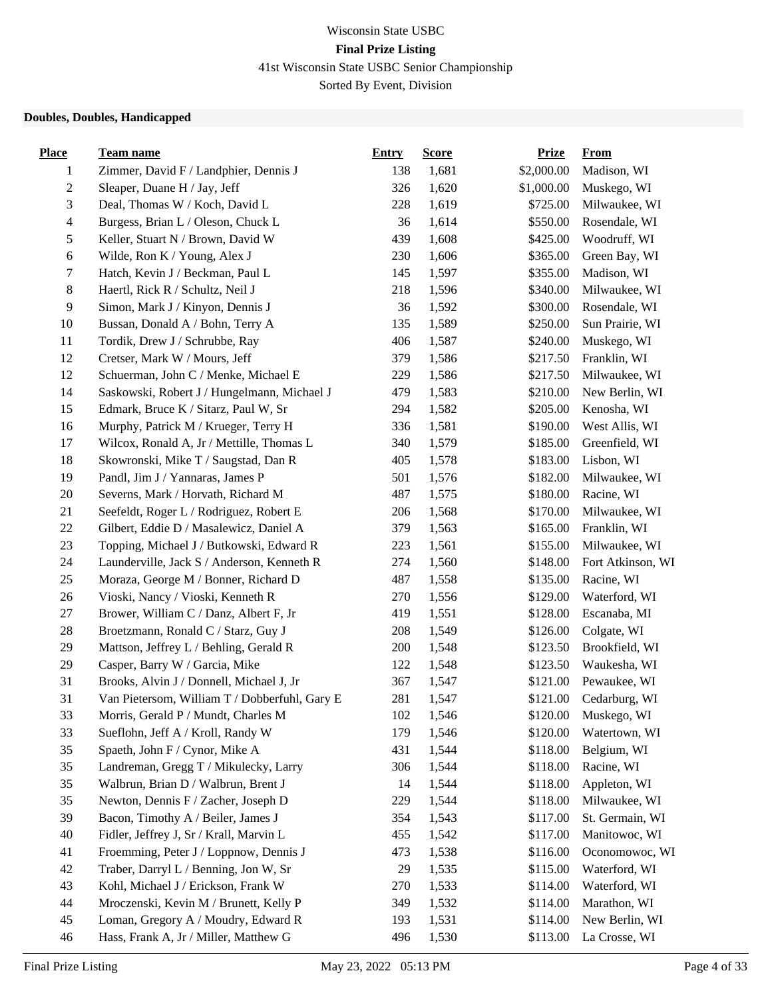41st Wisconsin State USBC Senior Championship

Sorted By Event, Division

## **Doubles, Doubles, Handicapped**

| <b>Place</b>   | <b>Team name</b>                              | <b>Entry</b> | <b>Score</b> | <b>Prize</b> | <b>From</b>       |
|----------------|-----------------------------------------------|--------------|--------------|--------------|-------------------|
| 1              | Zimmer, David F / Landphier, Dennis J         | 138          | 1,681        | \$2,000.00   | Madison, WI       |
| $\sqrt{2}$     | Sleaper, Duane H / Jay, Jeff                  | 326          | 1,620        | \$1,000.00   | Muskego, WI       |
| 3              | Deal, Thomas W / Koch, David L                | 228          | 1,619        | \$725.00     | Milwaukee, WI     |
| $\overline{4}$ | Burgess, Brian L / Oleson, Chuck L            | 36           | 1,614        | \$550.00     | Rosendale, WI     |
| $\mathfrak s$  | Keller, Stuart N / Brown, David W             | 439          | 1,608        | \$425.00     | Woodruff, WI      |
| $\epsilon$     | Wilde, Ron K / Young, Alex J                  | 230          | 1,606        | \$365.00     | Green Bay, WI     |
| $\tau$         | Hatch, Kevin J / Beckman, Paul L              | 145          | 1,597        | \$355.00     | Madison, WI       |
| $\,8\,$        | Haertl, Rick R / Schultz, Neil J              | 218          | 1,596        | \$340.00     | Milwaukee, WI     |
| $\overline{9}$ | Simon, Mark J / Kinyon, Dennis J              | 36           | 1,592        | \$300.00     | Rosendale, WI     |
| 10             | Bussan, Donald A / Bohn, Terry A              | 135          | 1,589        | \$250.00     | Sun Prairie, WI   |
| 11             | Tordik, Drew J / Schrubbe, Ray                | 406          | 1,587        | \$240.00     | Muskego, WI       |
| 12             | Cretser, Mark W / Mours, Jeff                 | 379          | 1,586        | \$217.50     | Franklin, WI      |
| 12             | Schuerman, John C / Menke, Michael E          | 229          | 1,586        | \$217.50     | Milwaukee, WI     |
| 14             | Saskowski, Robert J / Hungelmann, Michael J   | 479          | 1,583        | \$210.00     | New Berlin, WI    |
| 15             | Edmark, Bruce K / Sitarz, Paul W, Sr          | 294          | 1,582        | \$205.00     | Kenosha, WI       |
| 16             | Murphy, Patrick M / Krueger, Terry H          | 336          | 1,581        | \$190.00     | West Allis, WI    |
| 17             | Wilcox, Ronald A, Jr / Mettille, Thomas L     | 340          | 1,579        | \$185.00     | Greenfield, WI    |
| 18             | Skowronski, Mike T / Saugstad, Dan R          | 405          | 1,578        | \$183.00     | Lisbon, WI        |
| 19             | Pandl, Jim J / Yannaras, James P              | 501          | 1,576        | \$182.00     | Milwaukee, WI     |
| 20             | Severns, Mark / Horvath, Richard M            | 487          | 1,575        | \$180.00     | Racine, WI        |
| 21             | Seefeldt, Roger L / Rodriguez, Robert E       | 206          | 1,568        | \$170.00     | Milwaukee, WI     |
| $22\,$         | Gilbert, Eddie D / Masalewicz, Daniel A       | 379          | 1,563        | \$165.00     | Franklin, WI      |
| $23\,$         | Topping, Michael J / Butkowski, Edward R      | 223          | 1,561        | \$155.00     | Milwaukee, WI     |
| 24             | Launderville, Jack S / Anderson, Kenneth R    | 274          | 1,560        | \$148.00     | Fort Atkinson, WI |
| 25             | Moraza, George M / Bonner, Richard D          | 487          | 1,558        | \$135.00     | Racine, WI        |
| 26             | Vioski, Nancy / Vioski, Kenneth R             | 270          | 1,556        | \$129.00     | Waterford, WI     |
| 27             | Brower, William C / Danz, Albert F, Jr        | 419          | 1,551        | \$128.00     | Escanaba, MI      |
| 28             | Broetzmann, Ronald C / Starz, Guy J           | 208          | 1,549        | \$126.00     | Colgate, WI       |
| 29             | Mattson, Jeffrey L / Behling, Gerald R        | 200          | 1,548        | \$123.50     | Brookfield, WI    |
| 29             | Casper, Barry W / Garcia, Mike                | 122          | 1,548        | \$123.50     | Waukesha, WI      |
| 31             | Brooks, Alvin J / Donnell, Michael J, Jr      | 367          | 1,547        | \$121.00     | Pewaukee, WI      |
| 31             | Van Pietersom, William T / Dobberfuhl, Gary E | 281          | 1,547        | \$121.00     | Cedarburg, WI     |
| 33             | Morris, Gerald P / Mundt, Charles M           | 102          | 1,546        | \$120.00     | Muskego, WI       |
| 33             | Sueflohn, Jeff A / Kroll, Randy W             | 179          | 1,546        | \$120.00     | Watertown, WI     |
| 35             | Spaeth, John F / Cynor, Mike A                | 431          | 1,544        | \$118.00     | Belgium, WI       |
| 35             | Landreman, Gregg T / Mikulecky, Larry         | 306          | 1,544        | \$118.00     | Racine, WI        |
| 35             | Walbrun, Brian D / Walbrun, Brent J           | 14           | 1,544        | \$118.00     | Appleton, WI      |
| 35             | Newton, Dennis F / Zacher, Joseph D           | 229          | 1,544        | \$118.00     | Milwaukee, WI     |
| 39             | Bacon, Timothy A / Beiler, James J            | 354          | 1,543        | \$117.00     | St. Germain, WI   |
| 40             | Fidler, Jeffrey J, Sr / Krall, Marvin L       | 455          | 1,542        | \$117.00     | Manitowoc, WI     |
| 41             | Froemming, Peter J / Loppnow, Dennis J        | 473          | 1,538        | \$116.00     | Oconomowoc, WI    |
| 42             | Traber, Darryl L / Benning, Jon W, Sr         | 29           | 1,535        | \$115.00     | Waterford, WI     |
| 43             | Kohl, Michael J / Erickson, Frank W           | 270          | 1,533        | \$114.00     | Waterford, WI     |
| 44             | Mroczenski, Kevin M / Brunett, Kelly P        | 349          | 1,532        | \$114.00     | Marathon, WI      |
| 45             | Loman, Gregory A / Moudry, Edward R           | 193          | 1,531        | \$114.00     | New Berlin, WI    |
| 46             | Hass, Frank A, Jr / Miller, Matthew G         | 496          | 1,530        | \$113.00     | La Crosse, WI     |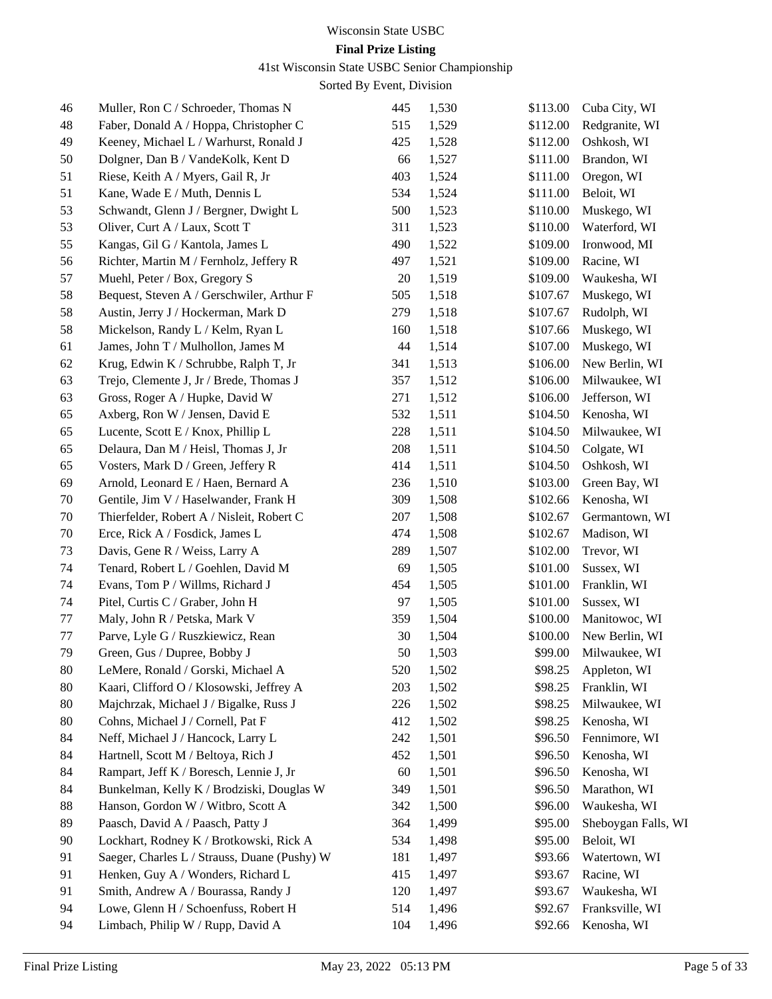# 41st Wisconsin State USBC Senior Championship

| 46     | Muller, Ron C / Schroeder, Thomas N          | 445     | 1,530 | \$113.00 | Cuba City, WI       |
|--------|----------------------------------------------|---------|-------|----------|---------------------|
| 48     | Faber, Donald A / Hoppa, Christopher C       | 515     | 1,529 | \$112.00 | Redgranite, WI      |
| 49     | Keeney, Michael L / Warhurst, Ronald J       | 425     | 1,528 | \$112.00 | Oshkosh, WI         |
| 50     | Dolgner, Dan B / VandeKolk, Kent D           | 66      | 1,527 | \$111.00 | Brandon, WI         |
| 51     | Riese, Keith A / Myers, Gail R, Jr           | 403     | 1,524 | \$111.00 | Oregon, WI          |
| 51     | Kane, Wade E / Muth, Dennis L                | 534     | 1,524 | \$111.00 | Beloit, WI          |
| 53     | Schwandt, Glenn J / Bergner, Dwight L        | 500     | 1,523 | \$110.00 | Muskego, WI         |
| 53     | Oliver, Curt A / Laux, Scott T               | 311     | 1,523 | \$110.00 | Waterford, WI       |
| 55     | Kangas, Gil G / Kantola, James L             | 490     | 1,522 | \$109.00 | Ironwood, MI        |
| 56     | Richter, Martin M / Fernholz, Jeffery R      | 497     | 1,521 | \$109.00 | Racine, WI          |
| 57     | Muehl, Peter / Box, Gregory S                | 20      | 1,519 | \$109.00 | Waukesha, WI        |
| 58     | Bequest, Steven A / Gerschwiler, Arthur F    | 505     | 1,518 | \$107.67 | Muskego, WI         |
| 58     | Austin, Jerry J / Hockerman, Mark D          | 279     | 1,518 | \$107.67 | Rudolph, WI         |
| 58     | Mickelson, Randy L / Kelm, Ryan L            | 160     | 1,518 | \$107.66 | Muskego, WI         |
| 61     | James, John T / Mulhollon, James M           | 44      | 1,514 | \$107.00 | Muskego, WI         |
| 62     | Krug, Edwin K / Schrubbe, Ralph T, Jr        | 341     | 1,513 | \$106.00 | New Berlin, WI      |
| 63     | Trejo, Clemente J, Jr / Brede, Thomas J      | 357     | 1,512 | \$106.00 | Milwaukee, WI       |
| 63     | Gross, Roger A / Hupke, David W              | 271     | 1,512 | \$106.00 | Jefferson, WI       |
| 65     | Axberg, Ron W / Jensen, David E              | 532     | 1,511 | \$104.50 | Kenosha, WI         |
| 65     | Lucente, Scott E / Knox, Phillip L           | 228     | 1,511 | \$104.50 | Milwaukee, WI       |
| 65     | Delaura, Dan M / Heisl, Thomas J, Jr         | 208     | 1,511 | \$104.50 | Colgate, WI         |
| 65     | Vosters, Mark D / Green, Jeffery R           | 414     | 1,511 | \$104.50 | Oshkosh, WI         |
| 69     | Arnold, Leonard E / Haen, Bernard A          | 236     | 1,510 | \$103.00 | Green Bay, WI       |
| 70     | Gentile, Jim V / Haselwander, Frank H        | 309     | 1,508 | \$102.66 | Kenosha, WI         |
| 70     | Thierfelder, Robert A / Nisleit, Robert C    | 207     | 1,508 | \$102.67 | Germantown, WI      |
| 70     | Erce, Rick A / Fosdick, James L              | 474     | 1,508 | \$102.67 | Madison, WI         |
| 73     | Davis, Gene R / Weiss, Larry A               | 289     | 1,507 | \$102.00 | Trevor, WI          |
| 74     | Tenard, Robert L / Goehlen, David M          | 69      | 1,505 | \$101.00 | Sussex, WI          |
| 74     | Evans, Tom P / Willms, Richard J             | 454     | 1,505 | \$101.00 | Franklin, WI        |
| 74     | Pitel, Curtis C / Graber, John H             | 97      | 1,505 | \$101.00 | Sussex, WI          |
| 77     | Maly, John R / Petska, Mark V                | 359     | 1,504 | \$100.00 | Manitowoc, WI       |
| 77     | Parve, Lyle G / Ruszkiewicz, Rean            | 30      | 1,504 | \$100.00 | New Berlin, WI      |
| 79     | Green, Gus / Dupree, Bobby J                 | 50      | 1,503 | \$99.00  | Milwaukee, WI       |
| $80\,$ | LeMere, Ronald / Gorski, Michael A           | 520     | 1,502 | \$98.25  | Appleton, WI        |
| 80     | Kaari, Clifford O / Klosowski, Jeffrey A     | 203     | 1,502 | \$98.25  | Franklin, WI        |
| 80     | Majchrzak, Michael J / Bigalke, Russ J       | 226     | 1,502 | \$98.25  | Milwaukee, WI       |
| 80     | Cohns, Michael J / Cornell, Pat F            | 412     | 1,502 | \$98.25  | Kenosha, WI         |
| 84     | Neff, Michael J / Hancock, Larry L           | $242\,$ | 1,501 | \$96.50  | Fennimore, WI       |
| 84     | Hartnell, Scott M / Beltoya, Rich J          | 452     | 1,501 | \$96.50  | Kenosha, WI         |
| 84     | Rampart, Jeff K / Boresch, Lennie J, Jr      | 60      | 1,501 | \$96.50  | Kenosha, WI         |
| 84     | Bunkelman, Kelly K / Brodziski, Douglas W    | 349     | 1,501 | \$96.50  | Marathon, WI        |
| 88     | Hanson, Gordon W / Witbro, Scott A           | 342     | 1,500 | \$96.00  | Waukesha, WI        |
| 89     | Paasch, David A / Paasch, Patty J            | 364     | 1,499 | \$95.00  | Sheboygan Falls, WI |
| 90     | Lockhart, Rodney K / Brotkowski, Rick A      | 534     | 1,498 | \$95.00  | Beloit, WI          |
| 91     | Saeger, Charles L / Strauss, Duane (Pushy) W | 181     | 1,497 | \$93.66  | Watertown, WI       |
| 91     | Henken, Guy A / Wonders, Richard L           | 415     | 1,497 | \$93.67  | Racine, WI          |
| 91     | Smith, Andrew A / Bourassa, Randy J          | 120     | 1,497 | \$93.67  | Waukesha, WI        |
| 94     | Lowe, Glenn H / Schoenfuss, Robert H         | 514     | 1,496 | \$92.67  | Franksville, WI     |
| 94     | Limbach, Philip W / Rupp, David A            | 104     | 1,496 | \$92.66  | Kenosha, WI         |
|        |                                              |         |       |          |                     |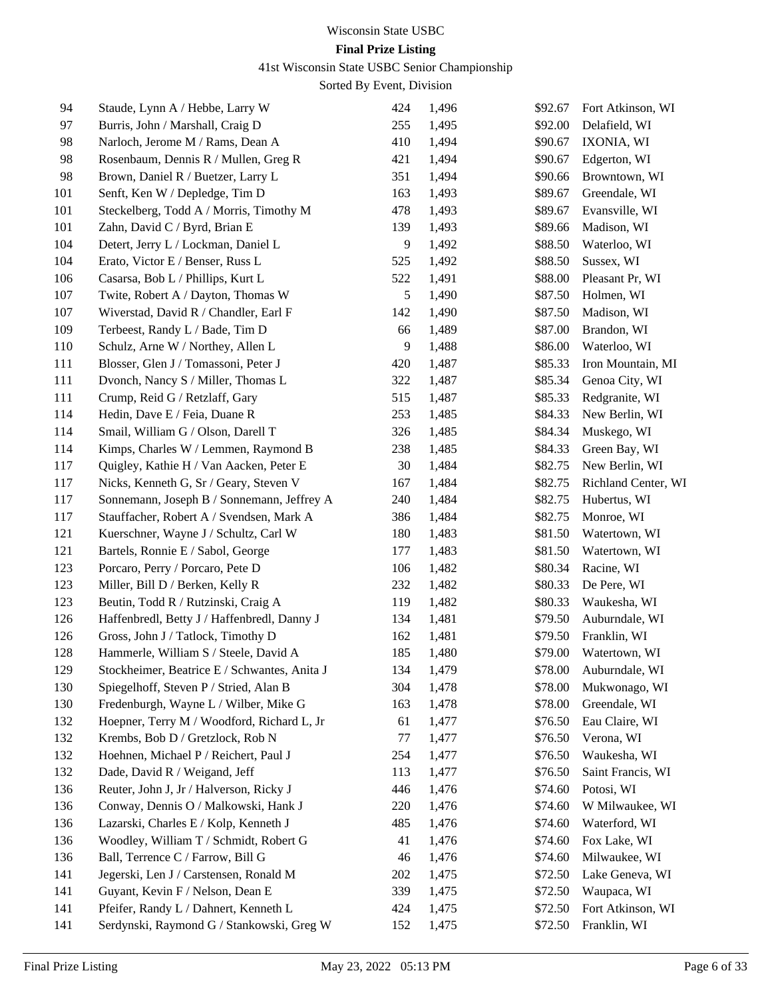# Wisconsin State USBC

# **Final Prize Listing**

41st Wisconsin State USBC Senior Championship

| 94  | Staude, Lynn A / Hebbe, Larry W              | 424 | 1,496 | \$92.67 | Fort Atkinson, WI   |
|-----|----------------------------------------------|-----|-------|---------|---------------------|
| 97  | Burris, John / Marshall, Craig D             | 255 | 1,495 | \$92.00 | Delafield, WI       |
| 98  | Narloch, Jerome M / Rams, Dean A             | 410 | 1,494 | \$90.67 | IXONIA, WI          |
| 98  | Rosenbaum, Dennis R / Mullen, Greg R         | 421 | 1,494 | \$90.67 | Edgerton, WI        |
| 98  | Brown, Daniel R / Buetzer, Larry L           | 351 | 1,494 | \$90.66 | Browntown, WI       |
| 101 | Senft, Ken W / Depledge, Tim D               | 163 | 1,493 | \$89.67 | Greendale, WI       |
| 101 | Steckelberg, Todd A / Morris, Timothy M      | 478 | 1,493 | \$89.67 | Evansville, WI      |
| 101 | Zahn, David C / Byrd, Brian E                | 139 | 1,493 | \$89.66 | Madison, WI         |
| 104 | Detert, Jerry L / Lockman, Daniel L          | 9   | 1,492 | \$88.50 | Waterloo, WI        |
| 104 | Erato, Victor E / Benser, Russ L             | 525 | 1,492 | \$88.50 | Sussex, WI          |
| 106 | Casarsa, Bob L / Phillips, Kurt L            | 522 | 1,491 | \$88.00 | Pleasant Pr, WI     |
| 107 | Twite, Robert A / Dayton, Thomas W           | 5   | 1,490 | \$87.50 | Holmen, WI          |
| 107 | Wiverstad, David R / Chandler, Earl F        | 142 | 1,490 | \$87.50 | Madison, WI         |
| 109 | Terbeest, Randy L / Bade, Tim D              | 66  | 1,489 | \$87.00 | Brandon, WI         |
| 110 | Schulz, Arne W / Northey, Allen L            | 9   | 1,488 | \$86.00 | Waterloo, WI        |
| 111 | Blosser, Glen J / Tomassoni, Peter J         | 420 | 1,487 | \$85.33 | Iron Mountain, MI   |
| 111 | Dvonch, Nancy S / Miller, Thomas L           | 322 | 1,487 | \$85.34 | Genoa City, WI      |
| 111 | Crump, Reid G / Retzlaff, Gary               | 515 | 1,487 | \$85.33 | Redgranite, WI      |
| 114 | Hedin, Dave E / Feia, Duane R                | 253 | 1,485 | \$84.33 | New Berlin, WI      |
| 114 | Smail, William G / Olson, Darell T           | 326 | 1,485 | \$84.34 | Muskego, WI         |
| 114 | Kimps, Charles W / Lemmen, Raymond B         | 238 | 1,485 | \$84.33 | Green Bay, WI       |
| 117 | Quigley, Kathie H / Van Aacken, Peter E      | 30  | 1,484 | \$82.75 | New Berlin, WI      |
| 117 | Nicks, Kenneth G, Sr / Geary, Steven V       | 167 | 1,484 | \$82.75 | Richland Center, WI |
| 117 | Sonnemann, Joseph B / Sonnemann, Jeffrey A   | 240 | 1,484 | \$82.75 | Hubertus, WI        |
| 117 | Stauffacher, Robert A / Svendsen, Mark A     | 386 | 1,484 | \$82.75 | Monroe, WI          |
| 121 | Kuerschner, Wayne J / Schultz, Carl W        | 180 | 1,483 | \$81.50 | Watertown, WI       |
| 121 | Bartels, Ronnie E / Sabol, George            | 177 | 1,483 | \$81.50 | Watertown, WI       |
| 123 | Porcaro, Perry / Porcaro, Pete D             | 106 | 1,482 | \$80.34 | Racine, WI          |
| 123 | Miller, Bill D / Berken, Kelly R             | 232 | 1,482 | \$80.33 | De Pere, WI         |
| 123 | Beutin, Todd R / Rutzinski, Craig A          | 119 | 1,482 | \$80.33 | Waukesha, WI        |
| 126 | Haffenbredl, Betty J / Haffenbredl, Danny J  | 134 | 1,481 | \$79.50 | Auburndale, WI      |
| 126 | Gross, John J / Tatlock, Timothy D           | 162 | 1,481 | \$79.50 | Franklin, WI        |
| 128 | Hammerle, William S / Steele, David A        | 185 | 1,480 | \$79.00 | Watertown, WI       |
| 129 | Stockheimer, Beatrice E / Schwantes, Anita J | 134 | 1,479 | \$78.00 | Auburndale, WI      |
| 130 | Spiegelhoff, Steven P / Stried, Alan B       | 304 | 1,478 | \$78.00 | Mukwonago, WI       |
| 130 | Fredenburgh, Wayne L / Wilber, Mike G        | 163 | 1,478 | \$78.00 | Greendale, WI       |
| 132 | Hoepner, Terry M / Woodford, Richard L, Jr   | 61  | 1,477 | \$76.50 | Eau Claire, WI      |
| 132 | Krembs, Bob D / Gretzlock, Rob N             | 77  | 1,477 | \$76.50 | Verona, WI          |
| 132 | Hoehnen, Michael P / Reichert, Paul J        | 254 | 1,477 | \$76.50 | Waukesha, WI        |
| 132 | Dade, David R / Weigand, Jeff                | 113 | 1,477 | \$76.50 | Saint Francis, WI   |
| 136 | Reuter, John J, Jr / Halverson, Ricky J      | 446 | 1,476 | \$74.60 | Potosi, WI          |
| 136 | Conway, Dennis O / Malkowski, Hank J         | 220 | 1,476 | \$74.60 | W Milwaukee, WI     |
| 136 | Lazarski, Charles E / Kolp, Kenneth J        | 485 | 1,476 | \$74.60 | Waterford, WI       |
| 136 | Woodley, William T / Schmidt, Robert G       | 41  | 1,476 | \$74.60 | Fox Lake, WI        |
| 136 | Ball, Terrence C / Farrow, Bill G            | 46  | 1,476 | \$74.60 | Milwaukee, WI       |
| 141 | Jegerski, Len J / Carstensen, Ronald M       | 202 | 1,475 | \$72.50 | Lake Geneva, WI     |
| 141 | Guyant, Kevin F / Nelson, Dean E             | 339 | 1,475 | \$72.50 | Waupaca, WI         |
| 141 | Pfeifer, Randy L / Dahnert, Kenneth L        | 424 | 1,475 | \$72.50 | Fort Atkinson, WI   |
| 141 | Serdynski, Raymond G / Stankowski, Greg W    | 152 | 1,475 | \$72.50 | Franklin, WI        |
|     |                                              |     |       |         |                     |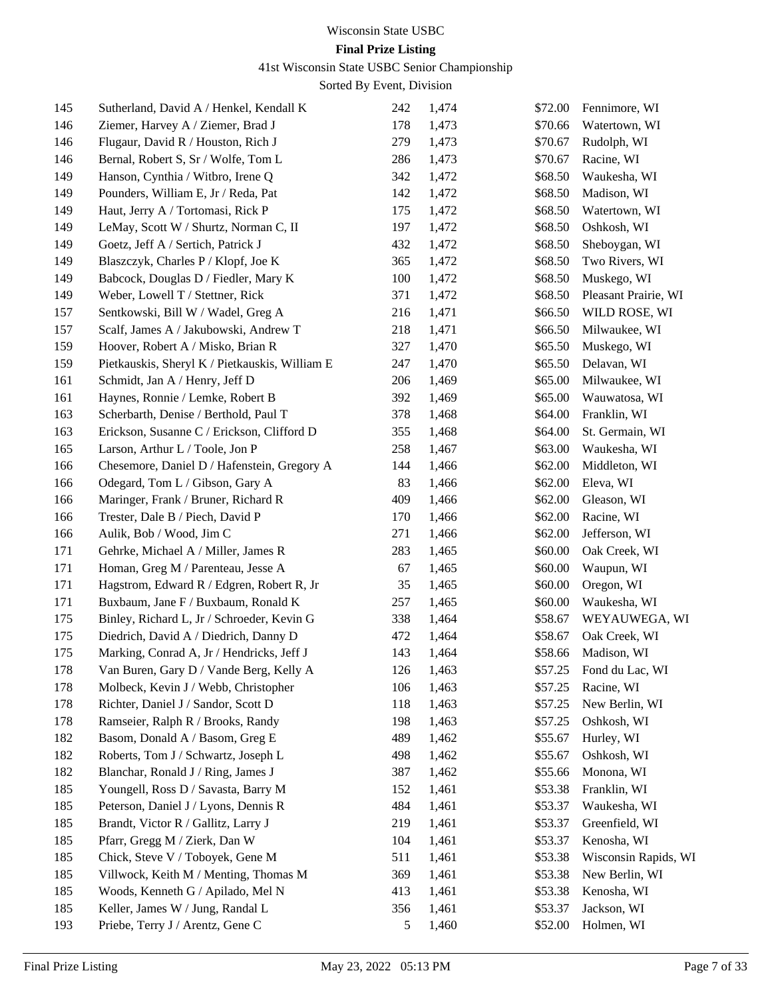41st Wisconsin State USBC Senior Championship

| 145 | Sutherland, David A / Henkel, Kendall K        | 242 | 1,474 | \$72.00 | Fennimore, WI        |
|-----|------------------------------------------------|-----|-------|---------|----------------------|
| 146 | Ziemer, Harvey A / Ziemer, Brad J              | 178 | 1,473 | \$70.66 | Watertown, WI        |
| 146 | Flugaur, David R / Houston, Rich J             | 279 | 1,473 | \$70.67 | Rudolph, WI          |
| 146 | Bernal, Robert S, Sr / Wolfe, Tom L            | 286 | 1,473 | \$70.67 | Racine, WI           |
| 149 | Hanson, Cynthia / Witbro, Irene Q              | 342 | 1,472 | \$68.50 | Waukesha, WI         |
| 149 | Pounders, William E, Jr / Reda, Pat            | 142 | 1,472 | \$68.50 | Madison, WI          |
| 149 | Haut, Jerry A / Tortomasi, Rick P              | 175 | 1,472 | \$68.50 | Watertown, WI        |
| 149 | LeMay, Scott W / Shurtz, Norman C, II          | 197 | 1,472 | \$68.50 | Oshkosh, WI          |
| 149 | Goetz, Jeff A / Sertich, Patrick J             | 432 | 1,472 | \$68.50 | Sheboygan, WI        |
| 149 | Blaszczyk, Charles P / Klopf, Joe K            | 365 | 1,472 | \$68.50 | Two Rivers, WI       |
| 149 | Babcock, Douglas D / Fiedler, Mary K           | 100 | 1,472 | \$68.50 | Muskego, WI          |
| 149 | Weber, Lowell T / Stettner, Rick               | 371 | 1,472 | \$68.50 | Pleasant Prairie, WI |
| 157 | Sentkowski, Bill W / Wadel, Greg A             | 216 | 1,471 | \$66.50 | WILD ROSE, WI        |
| 157 | Scalf, James A / Jakubowski, Andrew T          | 218 | 1,471 | \$66.50 | Milwaukee, WI        |
| 159 | Hoover, Robert A / Misko, Brian R              | 327 | 1,470 | \$65.50 | Muskego, WI          |
| 159 | Pietkauskis, Sheryl K / Pietkauskis, William E | 247 | 1,470 | \$65.50 | Delavan, WI          |
| 161 | Schmidt, Jan A / Henry, Jeff D                 | 206 | 1,469 | \$65.00 | Milwaukee, WI        |
| 161 | Haynes, Ronnie / Lemke, Robert B               | 392 | 1,469 | \$65.00 | Wauwatosa, WI        |
| 163 | Scherbarth, Denise / Berthold, Paul T          | 378 | 1,468 | \$64.00 | Franklin, WI         |
| 163 | Erickson, Susanne C / Erickson, Clifford D     | 355 | 1,468 | \$64.00 | St. Germain, WI      |
| 165 | Larson, Arthur L / Toole, Jon P                | 258 | 1,467 | \$63.00 | Waukesha, WI         |
| 166 | Chesemore, Daniel D / Hafenstein, Gregory A    | 144 | 1,466 | \$62.00 | Middleton, WI        |
| 166 | Odegard, Tom L / Gibson, Gary A                | 83  | 1,466 | \$62.00 | Eleva, WI            |
| 166 | Maringer, Frank / Bruner, Richard R            | 409 | 1,466 | \$62.00 | Gleason, WI          |
| 166 | Trester, Dale B / Piech, David P               | 170 | 1,466 | \$62.00 | Racine, WI           |
| 166 | Aulik, Bob / Wood, Jim C                       | 271 | 1,466 | \$62.00 | Jefferson, WI        |
| 171 | Gehrke, Michael A / Miller, James R            | 283 | 1,465 | \$60.00 | Oak Creek, WI        |
| 171 | Homan, Greg M / Parenteau, Jesse A             | 67  | 1,465 | \$60.00 | Waupun, WI           |
| 171 | Hagstrom, Edward R / Edgren, Robert R, Jr      | 35  | 1,465 | \$60.00 | Oregon, WI           |
| 171 | Buxbaum, Jane F / Buxbaum, Ronald K            | 257 | 1,465 | \$60.00 | Waukesha, WI         |
| 175 | Binley, Richard L, Jr / Schroeder, Kevin G     | 338 | 1,464 | \$58.67 | WEYAUWEGA, WI        |
| 175 | Diedrich, David A / Diedrich, Danny D          | 472 | 1,464 | \$58.67 | Oak Creek, WI        |
| 175 | Marking, Conrad A, Jr / Hendricks, Jeff J      | 143 | 1,464 | \$58.66 | Madison, WI          |
| 178 | Van Buren, Gary D / Vande Berg, Kelly A        | 126 | 1,463 | \$57.25 | Fond du Lac, WI      |
| 178 | Molbeck, Kevin J / Webb, Christopher           | 106 | 1,463 | \$57.25 | Racine, WI           |
| 178 | Richter, Daniel J / Sandor, Scott D            | 118 | 1,463 | \$57.25 | New Berlin, WI       |
| 178 | Ramseier, Ralph R / Brooks, Randy              | 198 | 1,463 | \$57.25 | Oshkosh, WI          |
| 182 | Basom, Donald A / Basom, Greg E                | 489 | 1,462 | \$55.67 | Hurley, WI           |
| 182 | Roberts, Tom J / Schwartz, Joseph L            | 498 | 1,462 | \$55.67 | Oshkosh, WI          |
| 182 | Blanchar, Ronald J / Ring, James J             | 387 | 1,462 | \$55.66 | Monona, WI           |
| 185 | Youngell, Ross D / Savasta, Barry M            | 152 | 1,461 | \$53.38 | Franklin, WI         |
| 185 | Peterson, Daniel J / Lyons, Dennis R           | 484 | 1,461 | \$53.37 | Waukesha, WI         |
| 185 | Brandt, Victor R / Gallitz, Larry J            | 219 | 1,461 | \$53.37 | Greenfield, WI       |
| 185 | Pfarr, Gregg M / Zierk, Dan W                  | 104 | 1,461 | \$53.37 | Kenosha, WI          |
| 185 | Chick, Steve V / Toboyek, Gene M               | 511 | 1,461 | \$53.38 | Wisconsin Rapids, WI |
| 185 | Villwock, Keith M / Menting, Thomas M          | 369 | 1,461 | \$53.38 | New Berlin, WI       |
| 185 | Woods, Kenneth G / Apilado, Mel N              | 413 | 1,461 | \$53.38 | Kenosha, WI          |
| 185 | Keller, James W / Jung, Randal L               | 356 | 1,461 | \$53.37 | Jackson, WI          |
| 193 | Priebe, Terry J / Arentz, Gene C               | 5   | 1,460 | \$52.00 | Holmen, WI           |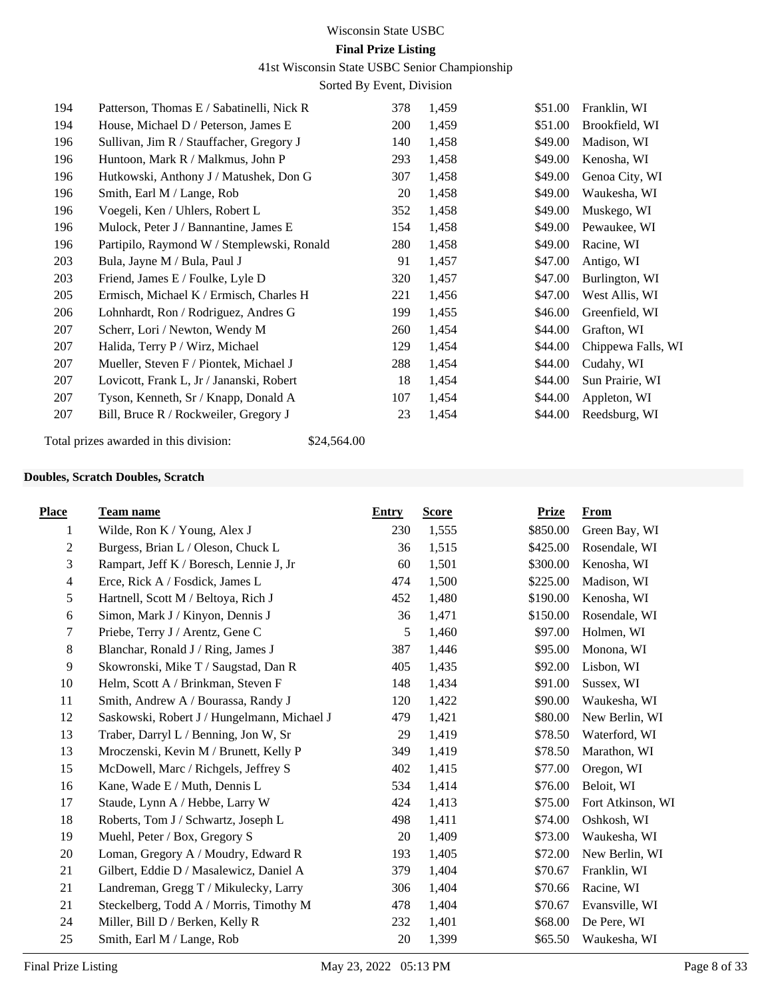## 41st Wisconsin State USBC Senior Championship

Sorted By Event, Division

| 194 | Patterson, Thomas E / Sabatinelli, Nick R  | 378 | 1,459 | \$51.00 | Franklin, WI       |
|-----|--------------------------------------------|-----|-------|---------|--------------------|
| 194 | House, Michael D / Peterson, James E       | 200 | 1,459 | \$51.00 | Brookfield, WI     |
| 196 | Sullivan, Jim R / Stauffacher, Gregory J   | 140 | 1,458 | \$49.00 | Madison, WI        |
| 196 | Huntoon, Mark R / Malkmus, John P          | 293 | 1,458 | \$49.00 | Kenosha, WI        |
| 196 | Hutkowski, Anthony J / Matushek, Don G     | 307 | 1,458 | \$49.00 | Genoa City, WI     |
| 196 | Smith, Earl M / Lange, Rob                 | 20  | 1,458 | \$49.00 | Waukesha, WI       |
| 196 | Voegeli, Ken / Uhlers, Robert L            | 352 | 1,458 | \$49.00 | Muskego, WI        |
| 196 | Mulock, Peter J / Bannantine, James E      | 154 | 1,458 | \$49.00 | Pewaukee, WI       |
| 196 | Partipilo, Raymond W / Stemplewski, Ronald | 280 | 1,458 | \$49.00 | Racine, WI         |
| 203 | Bula, Jayne M / Bula, Paul J               | 91  | 1,457 | \$47.00 | Antigo, WI         |
| 203 | Friend, James E / Foulke, Lyle D           | 320 | 1,457 | \$47.00 | Burlington, WI     |
| 205 | Ermisch, Michael K / Ermisch, Charles H    | 221 | 1,456 | \$47.00 | West Allis, WI     |
| 206 | Lohnhardt, Ron / Rodriguez, Andres G       | 199 | 1,455 | \$46.00 | Greenfield, WI     |
| 207 | Scherr, Lori / Newton, Wendy M             | 260 | 1,454 | \$44.00 | Grafton, WI        |
| 207 | Halida, Terry P / Wirz, Michael            | 129 | 1,454 | \$44.00 | Chippewa Falls, WI |
| 207 | Mueller, Steven F / Piontek, Michael J     | 288 | 1,454 | \$44.00 | Cudahy, WI         |
| 207 | Lovicott, Frank L, Jr / Jananski, Robert   | 18  | 1,454 | \$44.00 | Sun Prairie, WI    |
| 207 | Tyson, Kenneth, Sr / Knapp, Donald A       | 107 | 1,454 | \$44.00 | Appleton, WI       |
| 207 | Bill, Bruce R / Rockweiler, Gregory J      | 23  | 1,454 | \$44.00 | Reedsburg, WI      |
|     |                                            |     |       |         |                    |

Total prizes awarded in this division: \$24,564.00

## **Doubles, Scratch Doubles, Scratch**

| <b>Place</b>   | <b>Team name</b>                            | <b>Entry</b> | <b>Score</b> | <b>Prize</b> | <b>From</b>       |
|----------------|---------------------------------------------|--------------|--------------|--------------|-------------------|
| 1              | Wilde, Ron $K /$ Young, Alex J              | 230          | 1,555        | \$850.00     | Green Bay, WI     |
| 2              | Burgess, Brian L / Oleson, Chuck L          | 36           | 1,515        | \$425.00     | Rosendale, WI     |
| 3              | Rampart, Jeff K / Boresch, Lennie J, Jr     | 60           | 1,501        | \$300.00     | Kenosha, WI       |
| $\overline{4}$ | Erce, Rick A / Fosdick, James L             | 474          | 1,500        | \$225.00     | Madison, WI       |
| 5              | Hartnell, Scott M / Beltoya, Rich J         | 452          | 1,480        | \$190.00     | Kenosha, WI       |
| 6              | Simon, Mark J / Kinyon, Dennis J            | 36           | 1,471        | \$150.00     | Rosendale, WI     |
| 7              | Priebe, Terry J / Arentz, Gene C            | 5            | 1,460        | \$97.00      | Holmen, WI        |
| $8\,$          | Blanchar, Ronald J / Ring, James J          | 387          | 1,446        | \$95.00      | Monona, WI        |
| $\overline{9}$ | Skowronski, Mike T / Saugstad, Dan R        | 405          | 1,435        | \$92.00      | Lisbon, WI        |
| 10             | Helm, Scott A / Brinkman, Steven F          | 148          | 1,434        | \$91.00      | Sussex, WI        |
| 11             | Smith, Andrew A / Bourassa, Randy J         | 120          | 1,422        | \$90.00      | Waukesha, WI      |
| 12             | Saskowski, Robert J / Hungelmann, Michael J | 479          | 1,421        | \$80.00      | New Berlin, WI    |
| 13             | Traber, Darryl L / Benning, Jon W, Sr       | 29           | 1,419        | \$78.50      | Waterford, WI     |
| 13             | Mroczenski, Kevin M / Brunett, Kelly P      | 349          | 1,419        | \$78.50      | Marathon, WI      |
| 15             | McDowell, Marc / Richgels, Jeffrey S        | 402          | 1,415        | \$77.00      | Oregon, WI        |
| 16             | Kane, Wade E / Muth, Dennis L               | 534          | 1,414        | \$76.00      | Beloit, WI        |
| 17             | Staude, Lynn A / Hebbe, Larry W             | 424          | 1,413        | \$75.00      | Fort Atkinson, WI |
| 18             | Roberts, Tom J / Schwartz, Joseph L         | 498          | 1,411        | \$74.00      | Oshkosh, WI       |
| 19             | Muehl, Peter / Box, Gregory S               | 20           | 1,409        | \$73.00      | Waukesha, WI      |
| 20             | Loman, Gregory A / Moudry, Edward R         | 193          | 1,405        | \$72.00      | New Berlin, WI    |
| 21             | Gilbert, Eddie D / Masalewicz, Daniel A     | 379          | 1,404        | \$70.67      | Franklin, WI      |
| 21             | Landreman, Gregg T / Mikulecky, Larry       | 306          | 1,404        | \$70.66      | Racine, WI        |
| 21             | Steckelberg, Todd A / Morris, Timothy M     | 478          | 1,404        | \$70.67      | Evansville, WI    |
| 24             | Miller, Bill D / Berken, Kelly R            | 232          | 1,401        | \$68.00      | De Pere, WI       |
| 25             | Smith, Earl M / Lange, Rob                  | 20           | 1,399        | \$65.50      | Waukesha, WI      |
|                |                                             |              |              |              |                   |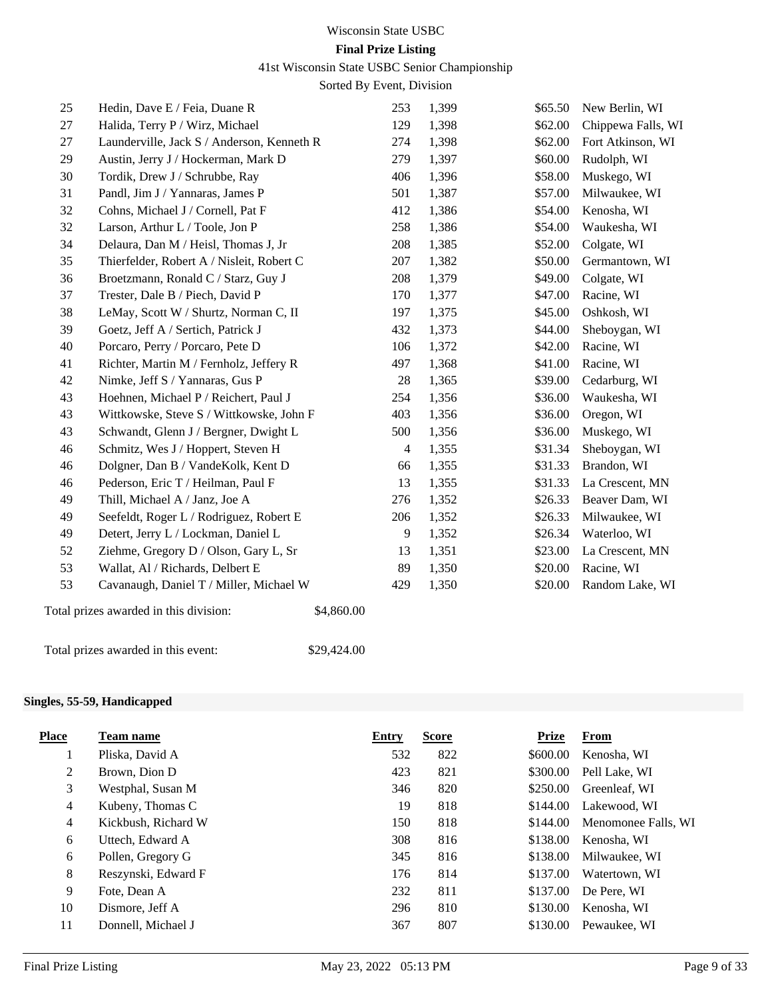# Wisconsin State USBC

# **Final Prize Listing**

41st Wisconsin State USBC Senior Championship

Sorted By Event, Division

| 25 | Hedin, Dave E / Feia, Duane R              |            | 253            | 1,399 | \$65.50 | New Berlin, WI     |
|----|--------------------------------------------|------------|----------------|-------|---------|--------------------|
| 27 | Halida, Terry P / Wirz, Michael            |            | 129            | 1,398 | \$62.00 | Chippewa Falls, WI |
| 27 | Launderville, Jack S / Anderson, Kenneth R |            | 274            | 1,398 | \$62.00 | Fort Atkinson, WI  |
| 29 | Austin, Jerry J / Hockerman, Mark D        |            | 279            | 1,397 | \$60.00 | Rudolph, WI        |
| 30 | Tordik, Drew J / Schrubbe, Ray             |            | 406            | 1,396 | \$58.00 | Muskego, WI        |
| 31 | Pandl, Jim J / Yannaras, James P           |            | 501            | 1,387 | \$57.00 | Milwaukee, WI      |
| 32 | Cohns, Michael J / Cornell, Pat F          |            | 412            | 1,386 | \$54.00 | Kenosha, WI        |
| 32 | Larson, Arthur L / Toole, Jon P            |            | 258            | 1,386 | \$54.00 | Waukesha, WI       |
| 34 | Delaura, Dan M / Heisl, Thomas J, Jr       |            | 208            | 1,385 | \$52.00 | Colgate, WI        |
| 35 | Thierfelder, Robert A / Nisleit, Robert C  |            | 207            | 1,382 | \$50.00 | Germantown, WI     |
| 36 | Broetzmann, Ronald C / Starz, Guy J        |            | 208            | 1,379 | \$49.00 | Colgate, WI        |
| 37 | Trester, Dale B / Piech, David P           |            | 170            | 1,377 | \$47.00 | Racine, WI         |
| 38 | LeMay, Scott W / Shurtz, Norman C, II      |            | 197            | 1,375 | \$45.00 | Oshkosh, WI        |
| 39 | Goetz, Jeff A / Sertich, Patrick J         |            | 432            | 1,373 | \$44.00 | Sheboygan, WI      |
| 40 | Porcaro, Perry / Porcaro, Pete D           |            | 106            | 1,372 | \$42.00 | Racine, WI         |
| 41 | Richter, Martin M / Fernholz, Jeffery R    |            | 497            | 1,368 | \$41.00 | Racine, WI         |
| 42 | Nimke, Jeff S / Yannaras, Gus P            |            | 28             | 1,365 | \$39.00 | Cedarburg, WI      |
| 43 | Hoehnen, Michael P / Reichert, Paul J      |            | 254            | 1,356 | \$36.00 | Waukesha, WI       |
| 43 | Wittkowske, Steve S / Wittkowske, John F   |            | 403            | 1,356 | \$36.00 | Oregon, WI         |
| 43 | Schwandt, Glenn J / Bergner, Dwight L      |            | 500            | 1,356 | \$36.00 | Muskego, WI        |
| 46 | Schmitz, Wes J / Hoppert, Steven H         |            | 4              | 1,355 | \$31.34 | Sheboygan, WI      |
| 46 | Dolgner, Dan B / VandeKolk, Kent D         |            | 66             | 1,355 | \$31.33 | Brandon, WI        |
| 46 | Pederson, Eric T / Heilman, Paul F         |            | 13             | 1,355 | \$31.33 | La Crescent, MN    |
| 49 | Thill, Michael A / Janz, Joe A             |            | 276            | 1,352 | \$26.33 | Beaver Dam, WI     |
| 49 | Seefeldt, Roger L / Rodriguez, Robert E    |            | 206            | 1,352 | \$26.33 | Milwaukee, WI      |
| 49 | Detert, Jerry L / Lockman, Daniel L        |            | $\overline{9}$ | 1,352 | \$26.34 | Waterloo, WI       |
| 52 | Ziehme, Gregory D / Olson, Gary L, Sr      |            | 13             | 1,351 | \$23.00 | La Crescent, MN    |
| 53 | Wallat, Al / Richards, Delbert E           |            | 89             | 1,350 | \$20.00 | Racine, WI         |
| 53 | Cavanaugh, Daniel T / Miller, Michael W    |            | 429            | 1,350 | \$20.00 | Random Lake, WI    |
|    | Total prizes awarded in this division:     | \$4,860.00 |                |       |         |                    |
|    |                                            |            |                |       |         |                    |

Total prizes awarded in this event: \$29,424.00

## **Singles, 55-59, Handicapped**

| <b>Place</b>   | Team name           | Entry | <b>Score</b> | Prize    | <b>From</b>         |
|----------------|---------------------|-------|--------------|----------|---------------------|
|                | Pliska, David A     | 532   | 822          | \$600.00 | Kenosha, WI         |
| 2              | Brown, Dion D       | 423   | 821          | \$300.00 | Pell Lake, WI       |
| 3              | Westphal, Susan M   | 346   | 820          | \$250.00 | Greenleaf. WI       |
| $\overline{4}$ | Kubeny, Thomas C    | 19    | 818          | \$144.00 | Lakewood, WI        |
| $\overline{4}$ | Kickbush, Richard W | 150   | 818          | \$144.00 | Menomonee Falls, WI |
| 6              | Uttech, Edward A    | 308   | 816          | \$138.00 | Kenosha, WI         |
| 6              | Pollen, Gregory G   | 345   | 816          | \$138.00 | Milwaukee, WI       |
| 8              | Reszynski, Edward F | 176   | 814          | \$137.00 | Watertown, WI       |
| 9              | Fote, Dean A        | 232   | 811          | \$137.00 | De Pere, WI         |
| 10             | Dismore, Jeff A     | 296   | 810          | \$130.00 | Kenosha. WI         |
| 11             | Donnell, Michael J  | 367   | 807          | \$130.00 | Pewaukee, WI        |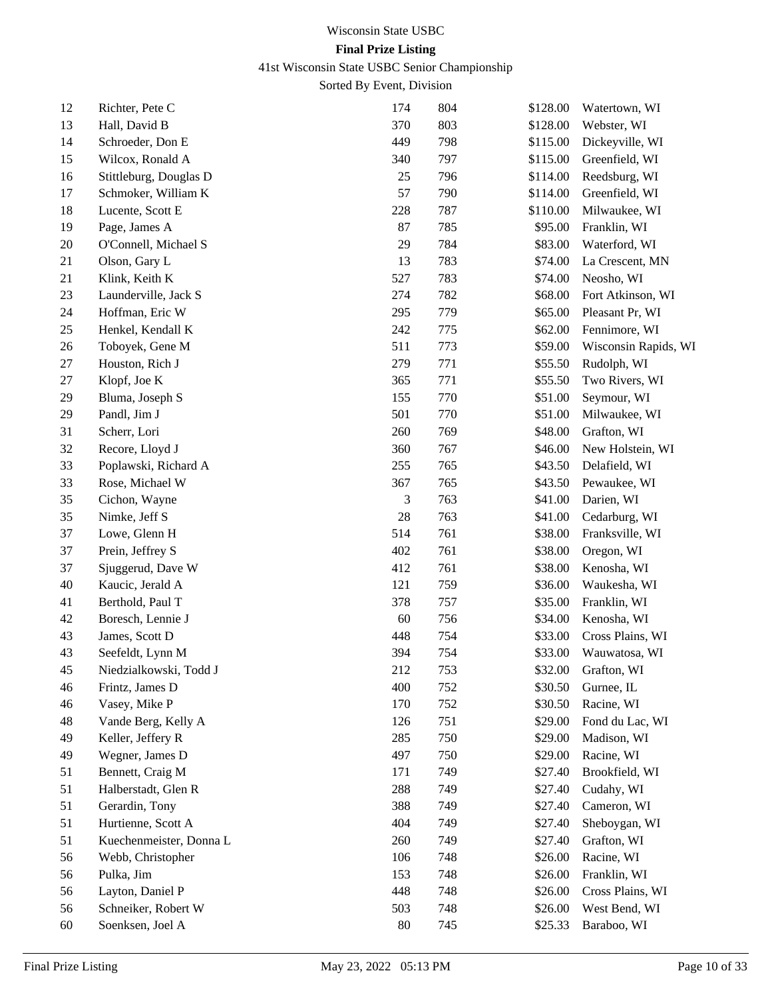41st Wisconsin State USBC Senior Championship

| 12 | Richter, Pete C         | 174    | 804 | \$128.00 | Watertown, WI        |
|----|-------------------------|--------|-----|----------|----------------------|
| 13 | Hall, David B           | 370    | 803 | \$128.00 | Webster, WI          |
| 14 | Schroeder, Don E        | 449    | 798 | \$115.00 | Dickeyville, WI      |
| 15 | Wilcox, Ronald A        | 340    | 797 | \$115.00 | Greenfield, WI       |
| 16 | Stittleburg, Douglas D  | 25     | 796 | \$114.00 | Reedsburg, WI        |
| 17 | Schmoker, William K     | 57     | 790 | \$114.00 | Greenfield, WI       |
| 18 | Lucente, Scott E        | 228    | 787 | \$110.00 | Milwaukee, WI        |
| 19 | Page, James A           | 87     | 785 | \$95.00  | Franklin, WI         |
| 20 | O'Connell, Michael S    | 29     | 784 | \$83.00  | Waterford, WI        |
| 21 | Olson, Gary L           | 13     | 783 | \$74.00  | La Crescent, MN      |
| 21 | Klink, Keith K          | 527    | 783 | \$74.00  | Neosho, WI           |
| 23 | Launderville, Jack S    | 274    | 782 | \$68.00  | Fort Atkinson, WI    |
| 24 | Hoffman, Eric W         | 295    | 779 | \$65.00  | Pleasant Pr, WI      |
| 25 | Henkel, Kendall K       | 242    | 775 | \$62.00  | Fennimore, WI        |
| 26 | Toboyek, Gene M         | 511    | 773 | \$59.00  | Wisconsin Rapids, WI |
| 27 | Houston, Rich J         | 279    | 771 | \$55.50  | Rudolph, WI          |
| 27 | Klopf, Joe K            | 365    | 771 | \$55.50  | Two Rivers, WI       |
| 29 | Bluma, Joseph S         | 155    | 770 | \$51.00  | Seymour, WI          |
| 29 | Pandl, Jim J            | 501    | 770 | \$51.00  | Milwaukee, WI        |
| 31 | Scherr, Lori            | 260    | 769 | \$48.00  | Grafton, WI          |
| 32 | Recore, Lloyd J         | 360    | 767 | \$46.00  | New Holstein, WI     |
| 33 | Poplawski, Richard A    | 255    | 765 | \$43.50  | Delafield, WI        |
| 33 | Rose, Michael W         | 367    | 765 | \$43.50  | Pewaukee, WI         |
| 35 | Cichon, Wayne           | 3      | 763 | \$41.00  | Darien, WI           |
| 35 | Nimke, Jeff S           | 28     | 763 | \$41.00  | Cedarburg, WI        |
| 37 | Lowe, Glenn H           | 514    | 761 | \$38.00  | Franksville, WI      |
| 37 | Prein, Jeffrey S        | 402    | 761 | \$38.00  | Oregon, WI           |
| 37 | Sjuggerud, Dave W       | 412    | 761 | \$38.00  | Kenosha, WI          |
| 40 | Kaucic, Jerald A        | 121    | 759 | \$36.00  | Waukesha, WI         |
| 41 | Berthold, Paul T        | 378    | 757 | \$35.00  | Franklin, WI         |
| 42 | Boresch, Lennie J       | 60     | 756 | \$34.00  | Kenosha, WI          |
| 43 | James, Scott D          | 448    | 754 | \$33.00  | Cross Plains, WI     |
| 43 | Seefeldt, Lynn M        | 394    | 754 | \$33.00  | Wauwatosa, WI        |
| 45 | Niedzialkowski, Todd J  | 212    | 753 | \$32.00  | Grafton, WI          |
| 46 | Frintz, James D         | 400    | 752 | \$30.50  | Gurnee, IL           |
| 46 | Vasey, Mike P           | 170    | 752 | \$30.50  | Racine, WI           |
| 48 | Vande Berg, Kelly A     | 126    | 751 | \$29.00  | Fond du Lac, WI      |
| 49 | Keller, Jeffery R       | 285    | 750 | \$29.00  | Madison, WI          |
| 49 | Wegner, James D         | 497    | 750 | \$29.00  | Racine, WI           |
| 51 | Bennett, Craig M        | 171    | 749 | \$27.40  | Brookfield, WI       |
| 51 | Halberstadt, Glen R     | 288    | 749 | \$27.40  | Cudahy, WI           |
| 51 | Gerardin, Tony          | 388    | 749 | \$27.40  | Cameron, WI          |
| 51 | Hurtienne, Scott A      | 404    | 749 | \$27.40  | Sheboygan, WI        |
| 51 | Kuechenmeister, Donna L | 260    | 749 | \$27.40  | Grafton, WI          |
| 56 | Webb, Christopher       | 106    | 748 | \$26.00  | Racine, WI           |
| 56 | Pulka, Jim              | 153    | 748 | \$26.00  | Franklin, WI         |
| 56 | Layton, Daniel P        | 448    | 748 | \$26.00  | Cross Plains, WI     |
| 56 | Schneiker, Robert W     | 503    | 748 | \$26.00  | West Bend, WI        |
| 60 | Soenksen, Joel A        | $80\,$ | 745 | \$25.33  | Baraboo, WI          |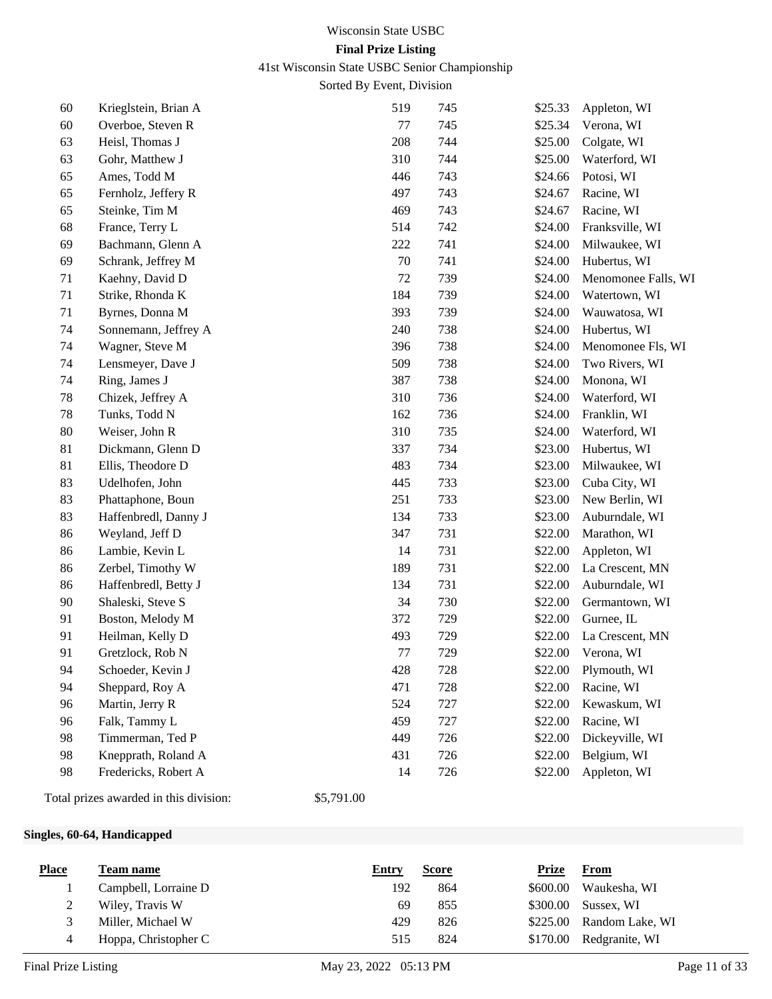41st Wisconsin State USBC Senior Championship

Sorted By Event, Division

| 60 | Krieglstein, Brian A | 519 | 745 | \$25.33 | Appleton, WI        |
|----|----------------------|-----|-----|---------|---------------------|
| 60 | Overboe, Steven R    | 77  | 745 | \$25.34 | Verona, WI          |
| 63 | Heisl, Thomas J      | 208 | 744 | \$25.00 | Colgate, WI         |
| 63 | Gohr, Matthew J      | 310 | 744 | \$25.00 | Waterford, WI       |
| 65 | Ames, Todd M         | 446 | 743 | \$24.66 | Potosi, WI          |
| 65 | Fernholz, Jeffery R  | 497 | 743 | \$24.67 | Racine, WI          |
| 65 | Steinke, Tim M       | 469 | 743 | \$24.67 | Racine, WI          |
| 68 | France, Terry L      | 514 | 742 | \$24.00 | Franksville, WI     |
| 69 | Bachmann, Glenn A    | 222 | 741 | \$24.00 | Milwaukee, WI       |
| 69 | Schrank, Jeffrey M   | 70  | 741 | \$24.00 | Hubertus, WI        |
| 71 | Kaehny, David D      | 72  | 739 | \$24.00 | Menomonee Falls, WI |
| 71 | Strike, Rhonda K     | 184 | 739 | \$24.00 | Watertown, WI       |
| 71 | Byrnes, Donna M      | 393 | 739 | \$24.00 | Wauwatosa, WI       |
| 74 | Sonnemann, Jeffrey A | 240 | 738 | \$24.00 | Hubertus, WI        |
| 74 | Wagner, Steve M      | 396 | 738 | \$24.00 | Menomonee Fls, WI   |
| 74 | Lensmeyer, Dave J    | 509 | 738 | \$24.00 | Two Rivers, WI      |
| 74 | Ring, James J        | 387 | 738 | \$24.00 | Monona, WI          |
| 78 | Chizek, Jeffrey A    | 310 | 736 | \$24.00 | Waterford, WI       |
| 78 | Tunks, Todd N        | 162 | 736 | \$24.00 | Franklin, WI        |
| 80 | Weiser, John R       | 310 | 735 | \$24.00 | Waterford, WI       |
| 81 | Dickmann, Glenn D    | 337 | 734 | \$23.00 | Hubertus, WI        |
| 81 | Ellis, Theodore D    | 483 | 734 | \$23.00 | Milwaukee, WI       |
| 83 | Udelhofen, John      | 445 | 733 | \$23.00 | Cuba City, WI       |
| 83 | Phattaphone, Boun    | 251 | 733 | \$23.00 | New Berlin, WI      |
| 83 | Haffenbredl, Danny J | 134 | 733 | \$23.00 | Auburndale, WI      |
| 86 | Weyland, Jeff D      | 347 | 731 | \$22.00 | Marathon, WI        |
| 86 | Lambie, Kevin L      | 14  | 731 | \$22.00 | Appleton, WI        |
| 86 | Zerbel, Timothy W    | 189 | 731 | \$22.00 | La Crescent, MN     |
| 86 | Haffenbredl, Betty J | 134 | 731 | \$22.00 | Auburndale, WI      |
| 90 | Shaleski, Steve S    | 34  | 730 | \$22.00 | Germantown, WI      |
| 91 | Boston, Melody M     | 372 | 729 | \$22.00 | Gurnee, IL          |
| 91 | Heilman, Kelly D     | 493 | 729 | \$22.00 | La Crescent, MN     |
| 91 | Gretzlock, Rob N     | 77  | 729 | \$22.00 | Verona, WI          |
| 94 | Schoeder, Kevin J    | 428 | 728 | \$22.00 | Plymouth, WI        |
| 94 | Sheppard, Roy A      | 471 | 728 | \$22.00 | Racine, WI          |
| 96 | Martin, Jerry R      | 524 | 727 | \$22.00 | Kewaskum, WI        |
| 96 | Falk, Tammy L        | 459 | 727 | \$22.00 | Racine, WI          |
| 98 | Timmerman, Ted P     | 449 | 726 | \$22.00 | Dickeyville, WI     |
| 98 | Knepprath, Roland A  | 431 | 726 | \$22.00 | Belgium, WI         |
| 98 | Fredericks, Robert A | 14  | 726 | \$22.00 | Appleton, WI        |
|    |                      |     |     |         |                     |

Total prizes awarded in this division: \$5,791.00

## **Singles, 60-64, Handicapped**

| <b>Place</b> | Team name            | Entry | <b>Score</b> | <u>Prize</u> | <b>From</b>              |
|--------------|----------------------|-------|--------------|--------------|--------------------------|
|              | Campbell, Lorraine D | 192   | 864          | \$600.00     | Waukesha, WI             |
| ∼            | Wiley, Travis W      | 69    | 855          |              | \$300.00 Sussex, WI      |
|              | Miller, Michael W    | 429   | 826          |              | \$225.00 Random Lake, WI |
| 4            | Hoppa, Christopher C | 515   | 824          |              | \$170.00 Redgranite, WI  |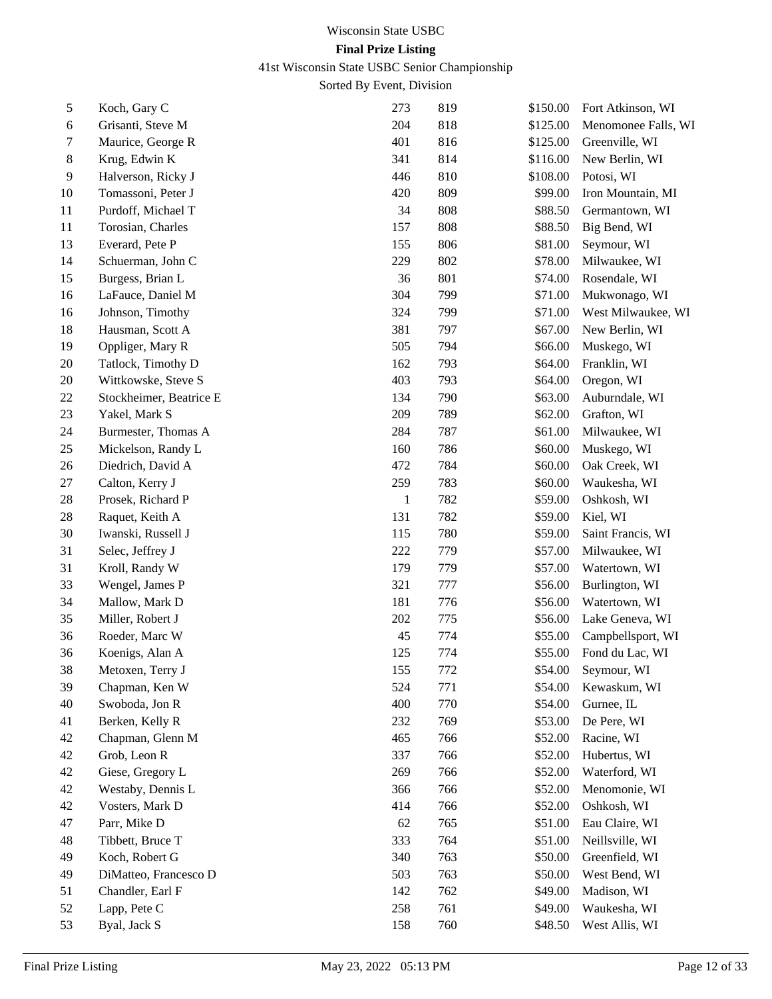41st Wisconsin State USBC Senior Championship

| 5  | Koch, Gary C            | 273          | 819 | \$150.00 | Fort Atkinson, WI   |
|----|-------------------------|--------------|-----|----------|---------------------|
| 6  | Grisanti, Steve M       | 204          | 818 | \$125.00 | Menomonee Falls, WI |
| 7  | Maurice, George R       | 401          | 816 | \$125.00 | Greenville, WI      |
| 8  | Krug, Edwin K           | 341          | 814 | \$116.00 | New Berlin, WI      |
| 9  | Halverson, Ricky J      | 446          | 810 | \$108.00 | Potosi, WI          |
| 10 | Tomassoni, Peter J      | 420          | 809 | \$99.00  | Iron Mountain, MI   |
| 11 | Purdoff, Michael T      | 34           | 808 | \$88.50  | Germantown, WI      |
| 11 | Torosian, Charles       | 157          | 808 | \$88.50  | Big Bend, WI        |
| 13 | Everard, Pete P         | 155          | 806 | \$81.00  | Seymour, WI         |
| 14 | Schuerman, John C       | 229          | 802 | \$78.00  | Milwaukee, WI       |
| 15 | Burgess, Brian L        | 36           | 801 | \$74.00  | Rosendale, WI       |
| 16 | LaFauce, Daniel M       | 304          | 799 | \$71.00  | Mukwonago, WI       |
| 16 | Johnson, Timothy        | 324          | 799 | \$71.00  | West Milwaukee, WI  |
| 18 | Hausman, Scott A        | 381          | 797 | \$67.00  | New Berlin, WI      |
| 19 | Oppliger, Mary R        | 505          | 794 | \$66.00  | Muskego, WI         |
| 20 | Tatlock, Timothy D      | 162          | 793 | \$64.00  | Franklin, WI        |
| 20 | Wittkowske, Steve S     | 403          | 793 | \$64.00  | Oregon, WI          |
| 22 | Stockheimer, Beatrice E | 134          | 790 | \$63.00  | Auburndale, WI      |
| 23 | Yakel, Mark S           | 209          | 789 | \$62.00  | Grafton, WI         |
| 24 | Burmester, Thomas A     | 284          | 787 | \$61.00  | Milwaukee, WI       |
| 25 | Mickelson, Randy L      | 160          | 786 | \$60.00  | Muskego, WI         |
| 26 | Diedrich, David A       | 472          | 784 | \$60.00  | Oak Creek, WI       |
| 27 | Calton, Kerry J         | 259          | 783 | \$60.00  | Waukesha, WI        |
| 28 | Prosek, Richard P       | $\mathbf{1}$ | 782 | \$59.00  | Oshkosh, WI         |
| 28 | Raquet, Keith A         | 131          | 782 | \$59.00  | Kiel, WI            |
| 30 | Iwanski, Russell J      | 115          | 780 | \$59.00  | Saint Francis, WI   |
| 31 | Selec, Jeffrey J        | 222          | 779 | \$57.00  | Milwaukee, WI       |
| 31 | Kroll, Randy W          | 179          | 779 | \$57.00  | Watertown, WI       |
| 33 | Wengel, James P         | 321          | 777 | \$56.00  | Burlington, WI      |
| 34 | Mallow, Mark D          | 181          | 776 | \$56.00  | Watertown, WI       |
| 35 | Miller, Robert J        | 202          | 775 | \$56.00  | Lake Geneva, WI     |
| 36 | Roeder, Marc W          | 45           | 774 | \$55.00  | Campbellsport, WI   |
| 36 | Koenigs, Alan A         | 125          | 774 | \$55.00  | Fond du Lac, WI     |
| 38 | Metoxen, Terry J        | 155          | 772 | \$54.00  | Seymour, WI         |
| 39 | Chapman, Ken W          | 524          | 771 | \$54.00  | Kewaskum, WI        |
| 40 | Swoboda, Jon R          | 400          | 770 | \$54.00  | Gurnee, IL          |
| 41 | Berken, Kelly R         | 232          | 769 | \$53.00  | De Pere, WI         |
| 42 | Chapman, Glenn M        | 465          | 766 | \$52.00  | Racine, WI          |
| 42 | Grob, Leon R            | 337          | 766 | \$52.00  | Hubertus, WI        |
| 42 | Giese, Gregory L        | 269          | 766 | \$52.00  | Waterford, WI       |
| 42 | Westaby, Dennis L       | 366          | 766 | \$52.00  | Menomonie, WI       |
| 42 | Vosters, Mark D         | 414          | 766 | \$52.00  | Oshkosh, WI         |
| 47 | Parr, Mike D            | 62           | 765 | \$51.00  | Eau Claire, WI      |
| 48 | Tibbett, Bruce T        | 333          | 764 | \$51.00  | Neillsville, WI     |
| 49 | Koch, Robert G          | 340          | 763 | \$50.00  | Greenfield, WI      |
| 49 | DiMatteo, Francesco D   | 503          | 763 | \$50.00  | West Bend, WI       |
| 51 | Chandler, Earl F        | 142          | 762 | \$49.00  | Madison, WI         |
| 52 | Lapp, Pete C            | 258          | 761 | \$49.00  | Waukesha, WI        |
| 53 | Byal, Jack S            | 158          | 760 | \$48.50  | West Allis, WI      |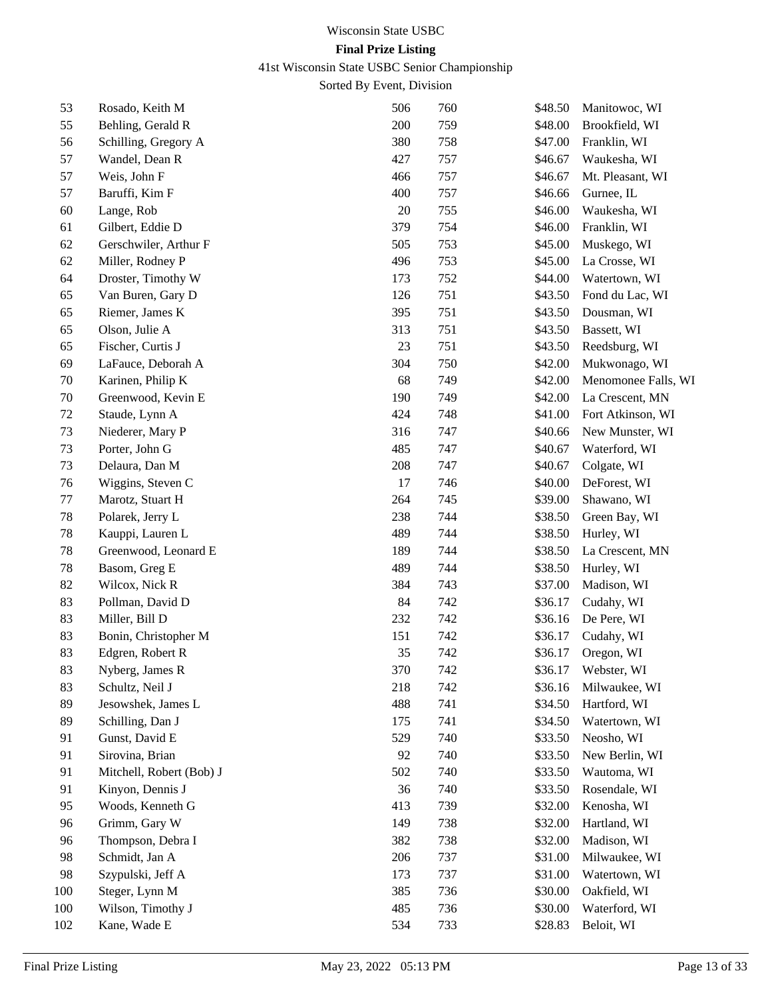41st Wisconsin State USBC Senior Championship

| 53  | Rosado, Keith M          | 506 | 760 | \$48.50 | Manitowoc, WI       |
|-----|--------------------------|-----|-----|---------|---------------------|
| 55  | Behling, Gerald R        | 200 | 759 | \$48.00 | Brookfield, WI      |
| 56  | Schilling, Gregory A     | 380 | 758 | \$47.00 | Franklin, WI        |
| 57  | Wandel, Dean R           | 427 | 757 | \$46.67 | Waukesha, WI        |
| 57  | Weis, John F             | 466 | 757 | \$46.67 | Mt. Pleasant, WI    |
| 57  | Baruffi, Kim F           | 400 | 757 | \$46.66 | Gurnee, IL          |
| 60  | Lange, Rob               | 20  | 755 | \$46.00 | Waukesha, WI        |
| 61  | Gilbert, Eddie D         | 379 | 754 | \$46.00 | Franklin, WI        |
| 62  | Gerschwiler, Arthur F    | 505 | 753 | \$45.00 | Muskego, WI         |
| 62  | Miller, Rodney P         | 496 | 753 | \$45.00 | La Crosse, WI       |
| 64  | Droster, Timothy W       | 173 | 752 | \$44.00 | Watertown, WI       |
| 65  | Van Buren, Gary D        | 126 | 751 | \$43.50 | Fond du Lac, WI     |
| 65  | Riemer, James K          | 395 | 751 | \$43.50 | Dousman, WI         |
| 65  | Olson, Julie A           | 313 | 751 | \$43.50 | Bassett, WI         |
| 65  | Fischer, Curtis J        | 23  | 751 | \$43.50 | Reedsburg, WI       |
| 69  | LaFauce, Deborah A       | 304 | 750 | \$42.00 | Mukwonago, WI       |
| 70  | Karinen, Philip K        | 68  | 749 | \$42.00 | Menomonee Falls, WI |
| 70  | Greenwood, Kevin E       | 190 | 749 | \$42.00 | La Crescent, MN     |
| 72  | Staude, Lynn A           | 424 | 748 | \$41.00 | Fort Atkinson, WI   |
| 73  | Niederer, Mary P         | 316 | 747 | \$40.66 | New Munster, WI     |
| 73  | Porter, John G           | 485 | 747 | \$40.67 | Waterford, WI       |
| 73  | Delaura, Dan M           | 208 | 747 | \$40.67 | Colgate, WI         |
| 76  | Wiggins, Steven C        | 17  | 746 | \$40.00 | DeForest, WI        |
| 77  | Marotz, Stuart H         | 264 | 745 | \$39.00 | Shawano, WI         |
| 78  | Polarek, Jerry L         | 238 | 744 | \$38.50 | Green Bay, WI       |
| 78  | Kauppi, Lauren L         | 489 | 744 | \$38.50 | Hurley, WI          |
| 78  | Greenwood, Leonard E     | 189 | 744 | \$38.50 | La Crescent, MN     |
| 78  | Basom, Greg E            | 489 | 744 | \$38.50 | Hurley, WI          |
| 82  | Wilcox, Nick R           | 384 | 743 | \$37.00 | Madison, WI         |
| 83  | Pollman, David D         | 84  | 742 | \$36.17 | Cudahy, WI          |
| 83  | Miller, Bill D           | 232 | 742 | \$36.16 | De Pere, WI         |
| 83  | Bonin, Christopher M     | 151 | 742 | \$36.17 | Cudahy, WI          |
| 83  | Edgren, Robert R         | 35  | 742 | \$36.17 | Oregon, WI          |
| 83  | Nyberg, James R          | 370 | 742 |         | \$36.17 Webster, WI |
| 83  | Schultz, Neil J          | 218 | 742 | \$36.16 | Milwaukee, WI       |
| 89  | Jesowshek, James L       | 488 | 741 | \$34.50 | Hartford, WI        |
| 89  | Schilling, Dan J         | 175 | 741 | \$34.50 | Watertown, WI       |
| 91  | Gunst, David E           | 529 | 740 | \$33.50 | Neosho, WI          |
| 91  | Sirovina, Brian          | 92  | 740 | \$33.50 | New Berlin, WI      |
| 91  | Mitchell, Robert (Bob) J | 502 | 740 | \$33.50 | Wautoma, WI         |
| 91  | Kinyon, Dennis J         | 36  | 740 | \$33.50 | Rosendale, WI       |
| 95  | Woods, Kenneth G         | 413 | 739 | \$32.00 | Kenosha, WI         |
| 96  | Grimm, Gary W            | 149 | 738 | \$32.00 | Hartland, WI        |
| 96  | Thompson, Debra I        | 382 | 738 | \$32.00 | Madison, WI         |
| 98  | Schmidt, Jan A           | 206 | 737 | \$31.00 | Milwaukee, WI       |
| 98  | Szypulski, Jeff A        | 173 | 737 | \$31.00 | Watertown, WI       |
| 100 | Steger, Lynn M           | 385 | 736 | \$30.00 | Oakfield, WI        |
| 100 | Wilson, Timothy J        | 485 | 736 | \$30.00 | Waterford, WI       |
| 102 | Kane, Wade E             | 534 | 733 | \$28.83 | Beloit, WI          |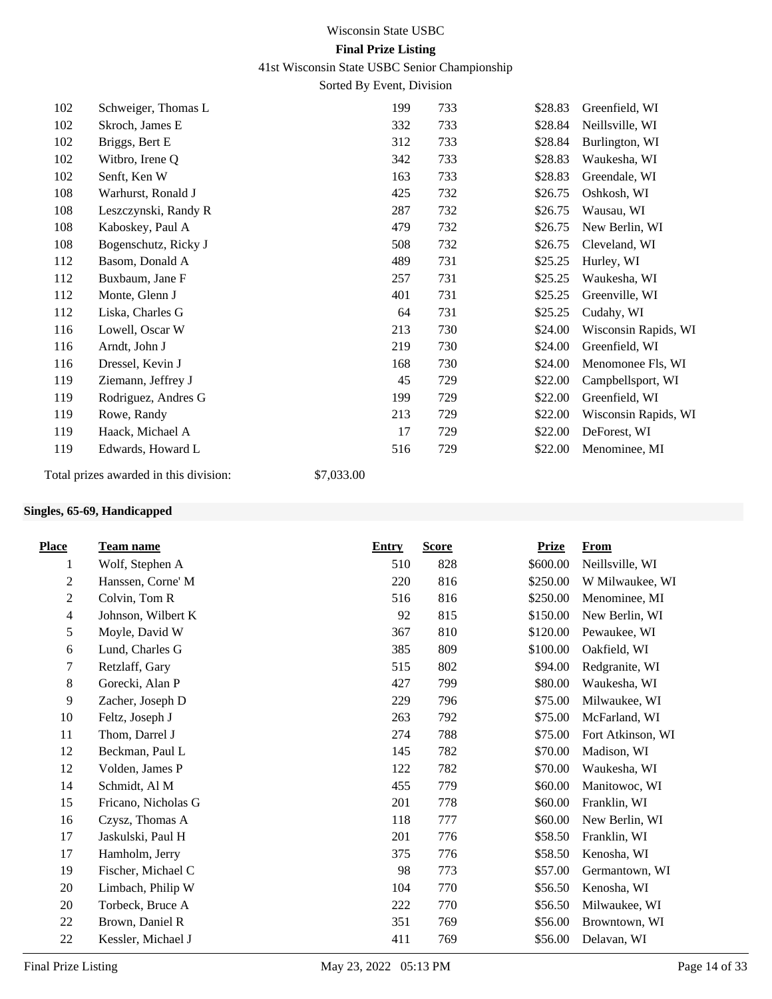41st Wisconsin State USBC Senior Championship

Sorted By Event, Division

| 102 | Schweiger, Thomas L  | 199                                | 733 | \$28.83 | Greenfield, WI       |
|-----|----------------------|------------------------------------|-----|---------|----------------------|
| 102 | Skroch, James E      | 332                                | 733 | \$28.84 | Neillsville, WI      |
| 102 | Briggs, Bert E       | 312                                | 733 | \$28.84 | Burlington, WI       |
| 102 | Witbro, Irene Q      | 342                                | 733 | \$28.83 | Waukesha, WI         |
| 102 | Senft, Ken W         | 163                                | 733 | \$28.83 | Greendale, WI        |
| 108 | Warhurst, Ronald J   | 425                                | 732 | \$26.75 | Oshkosh, WI          |
| 108 | Leszczynski, Randy R | 287                                | 732 | \$26.75 | Wausau, WI           |
| 108 | Kaboskey, Paul A     | 479                                | 732 | \$26.75 | New Berlin, WI       |
| 108 | Bogenschutz, Ricky J | 508                                | 732 | \$26.75 | Cleveland, WI        |
| 112 | Basom, Donald A      | 489                                | 731 | \$25.25 | Hurley, WI           |
| 112 | Buxbaum, Jane F      | 257                                | 731 | \$25.25 | Waukesha, WI         |
| 112 | Monte, Glenn J       | 401                                | 731 | \$25.25 | Greenville, WI       |
| 112 | Liska, Charles G     | 64                                 | 731 | \$25.25 | Cudahy, WI           |
| 116 | Lowell, Oscar W      | 213                                | 730 | \$24.00 | Wisconsin Rapids, WI |
| 116 | Arndt, John J        | 219                                | 730 | \$24.00 | Greenfield, WI       |
| 116 | Dressel, Kevin J     | 168                                | 730 | \$24.00 | Menomonee Fls, WI    |
| 119 | Ziemann, Jeffrey J   | 45                                 | 729 | \$22.00 | Campbellsport, WI    |
| 119 | Rodriguez, Andres G  | 199                                | 729 | \$22.00 | Greenfield, WI       |
| 119 | Rowe, Randy          | 213                                | 729 | \$22.00 | Wisconsin Rapids, WI |
| 119 | Haack, Michael A     | 17                                 | 729 | \$22.00 | DeForest, WI         |
| 119 | Edwards, Howard L    | 516                                | 729 | \$22.00 | Menominee, MI        |
|     |                      | $\sim$ $\sim$ $\sim$ $\sim$ $\sim$ |     |         |                      |

Total prizes awarded in this division: \$7,033.00

## **Singles, 65-69, Handicapped**

| <b>Place</b>     | Team name           | <b>Entry</b> | <b>Score</b> | <b>Prize</b> | <b>From</b>       |
|------------------|---------------------|--------------|--------------|--------------|-------------------|
| 1                | Wolf, Stephen A     | 510          | 828          | \$600.00     | Neillsville, WI   |
| $\overline{2}$   | Hanssen, Corne' M   | 220          | 816          | \$250.00     | W Milwaukee, WI   |
| $\sqrt{2}$       | Colvin, Tom R       | 516          | 816          | \$250.00     | Menominee, MI     |
| $\overline{4}$   | Johnson, Wilbert K  | 92           | 815          | \$150.00     | New Berlin, WI    |
| 5                | Moyle, David W      | 367          | 810          | \$120.00     | Pewaukee, WI      |
| $\sqrt{6}$       | Lund, Charles G     | 385          | 809          | \$100.00     | Oakfield, WI      |
| $\boldsymbol{7}$ | Retzlaff, Gary      | 515          | 802          | \$94.00      | Redgranite, WI    |
| $8\,$            | Gorecki, Alan P     | 427          | 799          | \$80.00      | Waukesha, WI      |
| 9                | Zacher, Joseph D    | 229          | 796          | \$75.00      | Milwaukee, WI     |
| 10               | Feltz, Joseph J     | 263          | 792          | \$75.00      | McFarland, WI     |
| 11               | Thom, Darrel J      | 274          | 788          | \$75.00      | Fort Atkinson, WI |
| 12               | Beckman, Paul L     | 145          | 782          | \$70.00      | Madison, WI       |
| 12               | Volden, James P     | 122          | 782          | \$70.00      | Waukesha, WI      |
| 14               | Schmidt, Al M       | 455          | 779          | \$60.00      | Manitowoc, WI     |
| 15               | Fricano, Nicholas G | 201          | 778          | \$60.00      | Franklin, WI      |
| 16               | Czysz, Thomas A     | 118          | 777          | \$60.00      | New Berlin, WI    |
| 17               | Jaskulski, Paul H   | 201          | 776          | \$58.50      | Franklin, WI      |
| 17               | Hamholm, Jerry      | 375          | 776          | \$58.50      | Kenosha, WI       |
| 19               | Fischer, Michael C  | 98           | 773          | \$57.00      | Germantown, WI    |
| 20               | Limbach, Philip W   | 104          | 770          | \$56.50      | Kenosha, WI       |
| 20               | Torbeck, Bruce A    | 222          | 770          | \$56.50      | Milwaukee, WI     |
| 22               | Brown, Daniel R     | 351          | 769          | \$56.00      | Browntown, WI     |
| $22\,$           | Kessler, Michael J  | 411          | 769          | \$56.00      | Delavan, WI       |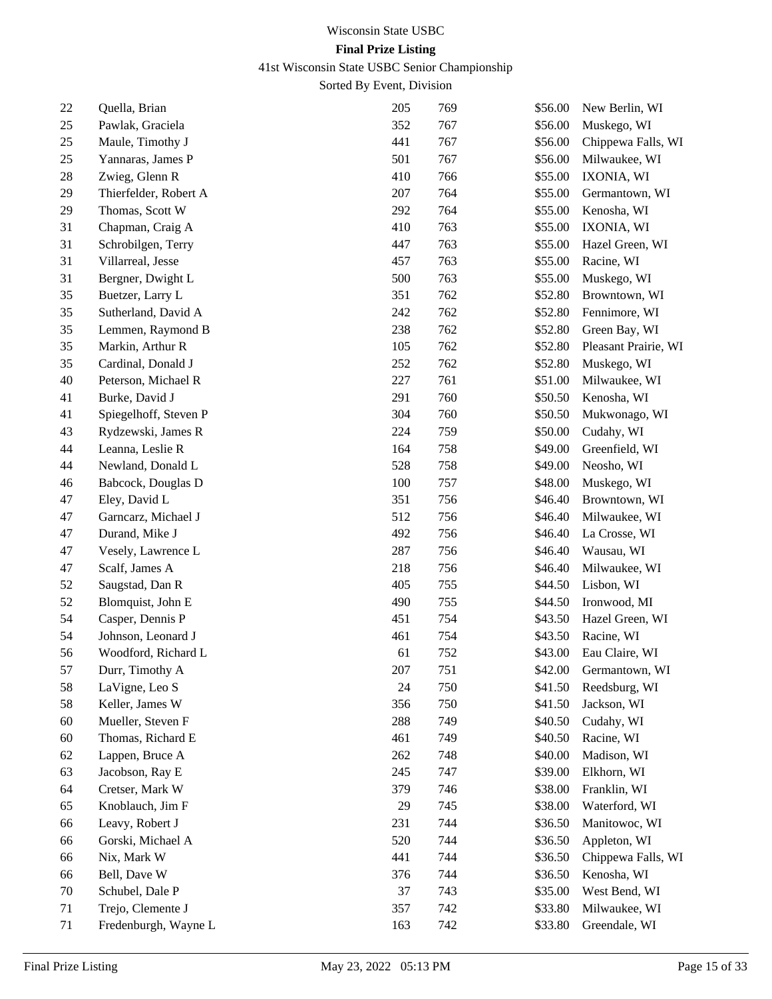41st Wisconsin State USBC Senior Championship

| 22 | Quella, Brian         | 205 | 769 | \$56.00 | New Berlin, WI       |
|----|-----------------------|-----|-----|---------|----------------------|
| 25 | Pawlak, Graciela      | 352 | 767 | \$56.00 | Muskego, WI          |
| 25 | Maule, Timothy J      | 441 | 767 | \$56.00 | Chippewa Falls, WI   |
| 25 | Yannaras, James P     | 501 | 767 | \$56.00 | Milwaukee, WI        |
| 28 | Zwieg, Glenn R        | 410 | 766 | \$55.00 | IXONIA, WI           |
| 29 | Thierfelder, Robert A | 207 | 764 | \$55.00 | Germantown, WI       |
| 29 | Thomas, Scott W       | 292 | 764 | \$55.00 | Kenosha, WI          |
| 31 | Chapman, Craig A      | 410 | 763 | \$55.00 | IXONIA, WI           |
| 31 | Schrobilgen, Terry    | 447 | 763 | \$55.00 | Hazel Green, WI      |
| 31 | Villarreal, Jesse     | 457 | 763 | \$55.00 | Racine, WI           |
| 31 | Bergner, Dwight L     | 500 | 763 | \$55.00 | Muskego, WI          |
| 35 | Buetzer, Larry L      | 351 | 762 | \$52.80 | Browntown, WI        |
| 35 | Sutherland, David A   | 242 | 762 | \$52.80 | Fennimore, WI        |
| 35 | Lemmen, Raymond B     | 238 | 762 | \$52.80 | Green Bay, WI        |
| 35 | Markin, Arthur R      | 105 | 762 | \$52.80 | Pleasant Prairie, WI |
| 35 | Cardinal, Donald J    | 252 | 762 | \$52.80 | Muskego, WI          |
| 40 | Peterson, Michael R   | 227 | 761 | \$51.00 | Milwaukee, WI        |
| 41 | Burke, David J        | 291 | 760 | \$50.50 | Kenosha, WI          |
| 41 | Spiegelhoff, Steven P | 304 | 760 | \$50.50 | Mukwonago, WI        |
| 43 | Rydzewski, James R    | 224 | 759 | \$50.00 | Cudahy, WI           |
| 44 | Leanna, Leslie R      | 164 | 758 | \$49.00 | Greenfield, WI       |
| 44 | Newland, Donald L     | 528 | 758 | \$49.00 | Neosho, WI           |
| 46 | Babcock, Douglas D    | 100 | 757 | \$48.00 | Muskego, WI          |
| 47 | Eley, David L         | 351 | 756 | \$46.40 | Browntown, WI        |
| 47 | Garncarz, Michael J   | 512 | 756 | \$46.40 | Milwaukee, WI        |
| 47 | Durand, Mike J        | 492 | 756 | \$46.40 | La Crosse, WI        |
| 47 | Vesely, Lawrence L    | 287 | 756 | \$46.40 | Wausau, WI           |
| 47 | Scalf, James A        | 218 | 756 | \$46.40 | Milwaukee, WI        |
| 52 | Saugstad, Dan R       | 405 | 755 | \$44.50 | Lisbon, WI           |
| 52 | Blomquist, John E     | 490 | 755 | \$44.50 | Ironwood, MI         |
| 54 | Casper, Dennis P      | 451 | 754 | \$43.50 | Hazel Green, WI      |
| 54 | Johnson, Leonard J    | 461 | 754 | \$43.50 | Racine, WI           |
| 56 | Woodford, Richard L   | 61  | 752 | \$43.00 | Eau Claire, WI       |
| 57 | Durr, Timothy A       | 207 | 751 | \$42.00 | Germantown, WI       |
| 58 | LaVigne, Leo S        | 24  | 750 | \$41.50 | Reedsburg, WI        |
| 58 | Keller, James W       | 356 | 750 | \$41.50 | Jackson, WI          |
| 60 | Mueller, Steven F     | 288 | 749 | \$40.50 | Cudahy, WI           |
| 60 | Thomas, Richard E     | 461 | 749 | \$40.50 | Racine, WI           |
| 62 | Lappen, Bruce A       | 262 | 748 | \$40.00 | Madison, WI          |
| 63 | Jacobson, Ray E       | 245 | 747 | \$39.00 | Elkhorn, WI          |
| 64 | Cretser, Mark W       | 379 | 746 | \$38.00 | Franklin, WI         |
| 65 | Knoblauch, Jim F      | 29  | 745 | \$38.00 | Waterford, WI        |
| 66 | Leavy, Robert J       | 231 | 744 | \$36.50 | Manitowoc, WI        |
| 66 | Gorski, Michael A     | 520 | 744 | \$36.50 | Appleton, WI         |
| 66 | Nix, Mark W           | 441 | 744 | \$36.50 | Chippewa Falls, WI   |
| 66 | Bell, Dave W          | 376 | 744 | \$36.50 | Kenosha, WI          |
| 70 | Schubel, Dale P       | 37  | 743 | \$35.00 | West Bend, WI        |
| 71 | Trejo, Clemente J     | 357 | 742 | \$33.80 | Milwaukee, WI        |
| 71 | Fredenburgh, Wayne L  | 163 | 742 | \$33.80 | Greendale, WI        |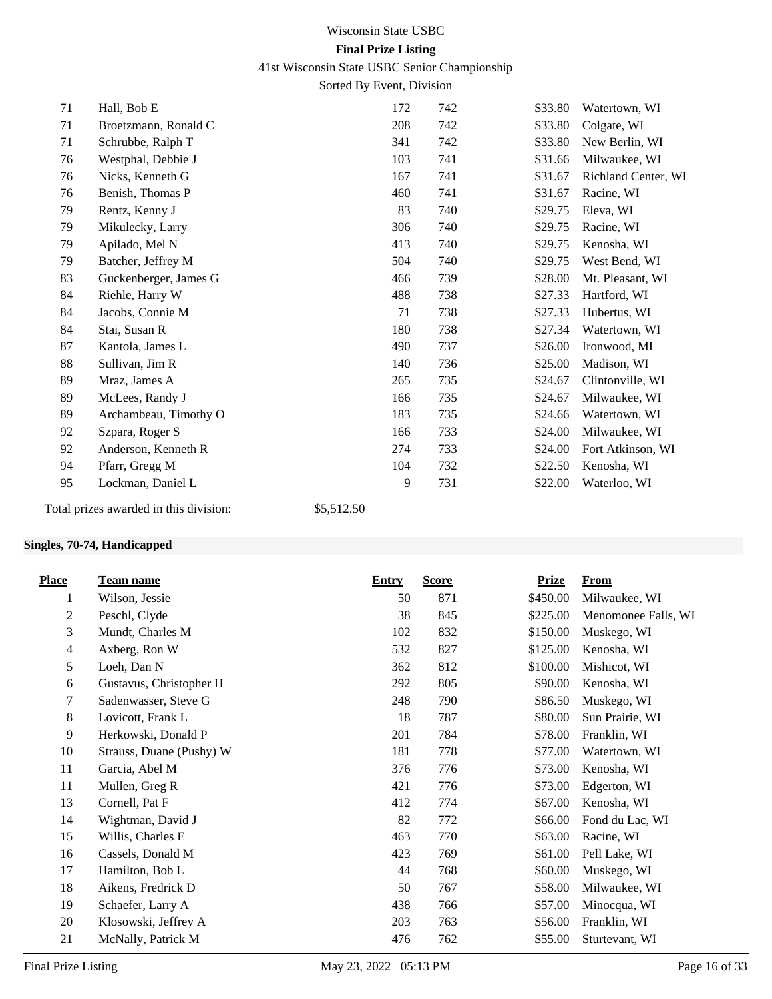41st Wisconsin State USBC Senior Championship

Sorted By Event, Division

| 71 | Hall, Bob E                            | 172        | 742 | \$33.80 | Watertown, WI       |
|----|----------------------------------------|------------|-----|---------|---------------------|
| 71 | Broetzmann, Ronald C                   | 208        | 742 | \$33.80 | Colgate, WI         |
| 71 | Schrubbe, Ralph T                      | 341        | 742 | \$33.80 | New Berlin, WI      |
| 76 | Westphal, Debbie J                     | 103        | 741 | \$31.66 | Milwaukee, WI       |
| 76 | Nicks, Kenneth G                       | 167        | 741 | \$31.67 | Richland Center, WI |
| 76 | Benish, Thomas P                       | 460        | 741 | \$31.67 | Racine, WI          |
| 79 | Rentz, Kenny J                         | 83         | 740 | \$29.75 | Eleva, WI           |
| 79 | Mikulecky, Larry                       | 306        | 740 | \$29.75 | Racine, WI          |
| 79 | Apilado, Mel N                         | 413        | 740 | \$29.75 | Kenosha, WI         |
| 79 | Batcher, Jeffrey M                     | 504        | 740 | \$29.75 | West Bend, WI       |
| 83 | Guckenberger, James G                  | 466        | 739 | \$28.00 | Mt. Pleasant, WI    |
| 84 | Riehle, Harry W                        | 488        | 738 | \$27.33 | Hartford, WI        |
| 84 | Jacobs, Connie M                       | 71         | 738 | \$27.33 | Hubertus, WI        |
| 84 | Stai, Susan R                          | 180        | 738 | \$27.34 | Watertown, WI       |
| 87 | Kantola, James L                       | 490        | 737 | \$26.00 | Ironwood, MI        |
| 88 | Sullivan, Jim R                        | 140        | 736 | \$25.00 | Madison, WI         |
| 89 | Mraz, James A                          | 265        | 735 | \$24.67 | Clintonville, WI    |
| 89 | McLees, Randy J                        | 166        | 735 | \$24.67 | Milwaukee, WI       |
| 89 | Archambeau, Timothy O                  | 183        | 735 | \$24.66 | Watertown, WI       |
| 92 | Szpara, Roger S                        | 166        | 733 | \$24.00 | Milwaukee, WI       |
| 92 | Anderson, Kenneth R                    | 274        | 733 | \$24.00 | Fort Atkinson, WI   |
| 94 | Pfarr, Gregg M                         | 104        | 732 | \$22.50 | Kenosha, WI         |
| 95 | Lockman, Daniel L                      | 9          | 731 | \$22.00 | Waterloo, WI        |
|    | Total prizes awarded in this division: | \$5,512.50 |     |         |                     |

## **Singles, 70-74, Handicapped**

| <b>Place</b>   | <b>Team name</b>         | <b>Entry</b> | <b>Score</b> | <b>Prize</b> | <b>From</b>         |
|----------------|--------------------------|--------------|--------------|--------------|---------------------|
| 1              | Wilson, Jessie           | 50           | 871          | \$450.00     | Milwaukee, WI       |
| $\overline{c}$ | Peschl, Clyde            | 38           | 845          | \$225.00     | Menomonee Falls, WI |
| 3              | Mundt, Charles M         | 102          | 832          | \$150.00     | Muskego, WI         |
| $\overline{4}$ | Axberg, Ron W            | 532          | 827          | \$125.00     | Kenosha, WI         |
| 5              | Loeh, Dan N              | 362          | 812          | \$100.00     | Mishicot, WI        |
| 6              | Gustavus, Christopher H  | 292          | 805          | \$90.00      | Kenosha, WI         |
| 7              | Sadenwasser, Steve G     | 248          | 790          | \$86.50      | Muskego, WI         |
| 8              | Lovicott, Frank L        | 18           | 787          | \$80.00      | Sun Prairie, WI     |
| 9              | Herkowski, Donald P      | 201          | 784          | \$78.00      | Franklin, WI        |
| 10             | Strauss, Duane (Pushy) W | 181          | 778          | \$77.00      | Watertown, WI       |
| 11             | Garcia, Abel M           | 376          | 776          | \$73.00      | Kenosha, WI         |
| 11             | Mullen, Greg R           | 421          | 776          | \$73.00      | Edgerton, WI        |
| 13             | Cornell, Pat F           | 412          | 774          | \$67.00      | Kenosha, WI         |
| 14             | Wightman, David J        | 82           | 772          | \$66.00      | Fond du Lac, WI     |
| 15             | Willis, Charles E        | 463          | 770          | \$63.00      | Racine, WI          |
| 16             | Cassels, Donald M        | 423          | 769          | \$61.00      | Pell Lake, WI       |
| 17             | Hamilton, Bob L          | 44           | 768          | \$60.00      | Muskego, WI         |
| 18             | Aikens, Fredrick D       | 50           | 767          | \$58.00      | Milwaukee, WI       |
| 19             | Schaefer, Larry A        | 438          | 766          | \$57.00      | Minocqua, WI        |
| 20             | Klosowski, Jeffrey A     | 203          | 763          | \$56.00      | Franklin, WI        |
| 21             | McNally, Patrick M       | 476          | 762          | \$55.00      | Sturtevant, WI      |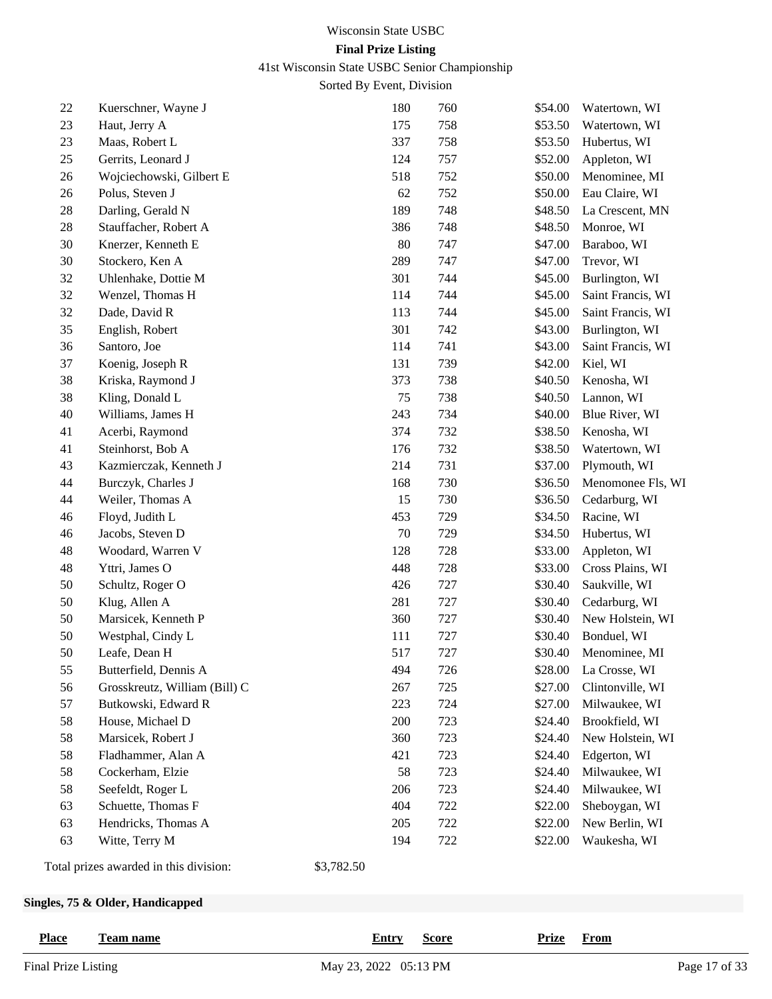41st Wisconsin State USBC Senior Championship

Sorted By Event, Division

| 22     | Kuerschner, Wayne J                    |            | 180 | 760 | \$54.00 | Watertown, WI     |
|--------|----------------------------------------|------------|-----|-----|---------|-------------------|
| 23     | Haut, Jerry A                          |            | 175 | 758 | \$53.50 | Watertown, WI     |
| 23     | Maas, Robert L                         |            | 337 | 758 | \$53.50 | Hubertus, WI      |
| 25     | Gerrits, Leonard J                     |            | 124 | 757 | \$52.00 | Appleton, WI      |
| 26     | Wojciechowski, Gilbert E               |            | 518 | 752 | \$50.00 | Menominee, MI     |
| 26     | Polus, Steven J                        |            | 62  | 752 | \$50.00 | Eau Claire, WI    |
| $28\,$ | Darling, Gerald N                      |            | 189 | 748 | \$48.50 | La Crescent, MN   |
| $28\,$ | Stauffacher, Robert A                  |            | 386 | 748 | \$48.50 | Monroe, WI        |
| 30     | Knerzer, Kenneth E                     |            | 80  | 747 | \$47.00 | Baraboo, WI       |
| 30     | Stockero, Ken A                        |            | 289 | 747 | \$47.00 | Trevor, WI        |
| 32     | Uhlenhake, Dottie M                    |            | 301 | 744 | \$45.00 | Burlington, WI    |
| 32     | Wenzel, Thomas H                       |            | 114 | 744 | \$45.00 | Saint Francis, WI |
| 32     | Dade, David R                          |            | 113 | 744 | \$45.00 | Saint Francis, WI |
| 35     | English, Robert                        |            | 301 | 742 | \$43.00 | Burlington, WI    |
| 36     | Santoro, Joe                           |            | 114 | 741 | \$43.00 | Saint Francis, WI |
| 37     | Koenig, Joseph R                       |            | 131 | 739 | \$42.00 | Kiel, WI          |
| 38     | Kriska, Raymond J                      |            | 373 | 738 | \$40.50 | Kenosha, WI       |
| 38     | Kling, Donald L                        |            | 75  | 738 | \$40.50 | Lannon, WI        |
| 40     | Williams, James H                      |            | 243 | 734 | \$40.00 | Blue River, WI    |
| 41     | Acerbi, Raymond                        |            | 374 | 732 | \$38.50 | Kenosha, WI       |
| 41     | Steinhorst, Bob A                      |            | 176 | 732 | \$38.50 | Watertown, WI     |
| 43     | Kazmierczak, Kenneth J                 |            | 214 | 731 | \$37.00 | Plymouth, WI      |
| 44     | Burczyk, Charles J                     |            | 168 | 730 | \$36.50 | Menomonee Fls, WI |
| 44     | Weiler, Thomas A                       |            | 15  | 730 | \$36.50 | Cedarburg, WI     |
| 46     | Floyd, Judith L                        |            | 453 | 729 | \$34.50 | Racine, WI        |
| 46     | Jacobs, Steven D                       |            | 70  | 729 | \$34.50 | Hubertus, WI      |
| 48     | Woodard, Warren V                      |            | 128 | 728 | \$33.00 | Appleton, WI      |
| 48     | Yttri, James O                         |            | 448 | 728 | \$33.00 | Cross Plains, WI  |
| 50     | Schultz, Roger O                       |            | 426 | 727 | \$30.40 | Saukville, WI     |
| 50     | Klug, Allen A                          |            | 281 | 727 | \$30.40 | Cedarburg, WI     |
| $50\,$ | Marsicek, Kenneth P                    |            | 360 | 727 | \$30.40 | New Holstein, WI  |
| 50     | Westphal, Cindy L                      |            | 111 | 727 | \$30.40 | Bonduel, WI       |
| 50     | Leafe, Dean H                          |            | 517 | 727 | \$30.40 | Menominee, MI     |
| 55     | Butterfield, Dennis A                  |            | 494 | 726 | \$28.00 | La Crosse, WI     |
| 56     | Grosskreutz, William (Bill) C          |            | 267 | 725 | \$27.00 | Clintonville, WI  |
| 57     | Butkowski, Edward R                    |            | 223 | 724 | \$27.00 | Milwaukee, WI     |
| 58     | House, Michael D                       |            | 200 | 723 | \$24.40 | Brookfield, WI    |
| 58     | Marsicek, Robert J                     |            | 360 | 723 | \$24.40 | New Holstein, WI  |
| 58     | Fladhammer, Alan A                     |            | 421 | 723 | \$24.40 | Edgerton, WI      |
| 58     | Cockerham, Elzie                       |            | 58  | 723 | \$24.40 | Milwaukee, WI     |
| 58     | Seefeldt, Roger L                      |            | 206 | 723 | \$24.40 | Milwaukee, WI     |
| 63     | Schuette, Thomas F                     |            | 404 | 722 | \$22.00 | Sheboygan, WI     |
| 63     | Hendricks, Thomas A                    |            | 205 | 722 | \$22.00 | New Berlin, WI    |
| 63     | Witte, Terry M                         |            | 194 | 722 | \$22.00 | Waukesha, WI      |
|        | Total prizes awarded in this division: | \$3,782.50 |     |     |         |                   |

# **Singles, 75 & Older, Handicapped**

| <b>Place</b><br>Team name | <b>Entry</b><br><u>Score</u> | <u>Prize</u> From |
|---------------------------|------------------------------|-------------------|
| Final Prize Listing       | May 23, 2022 05:13 PM        | Page 17 of 33     |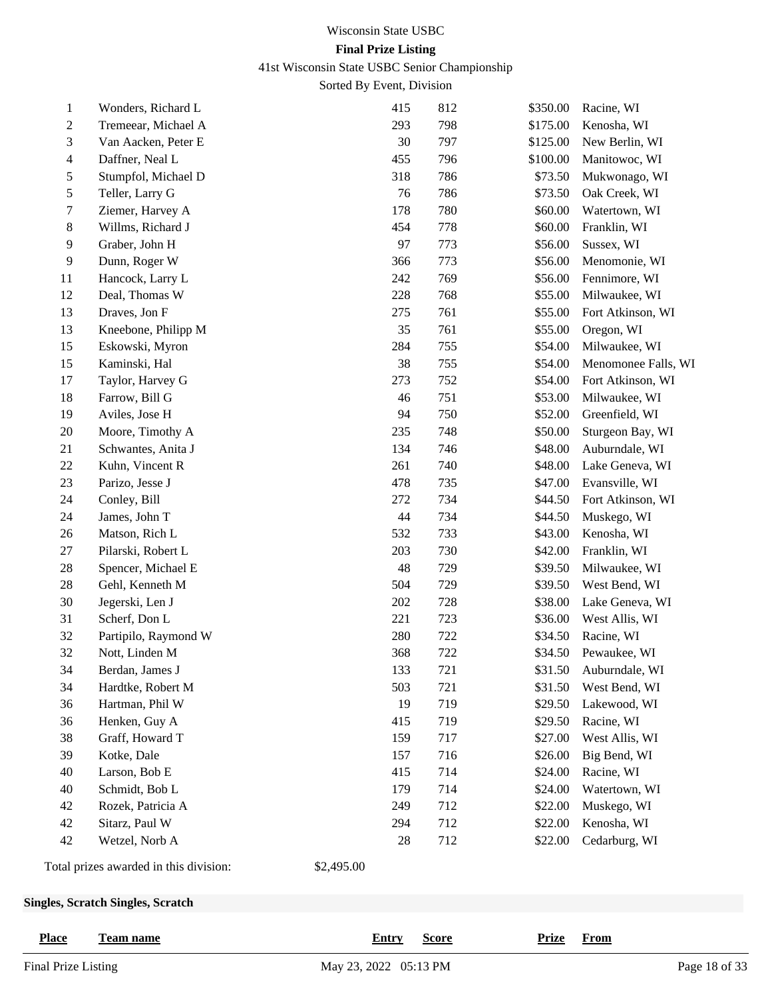41st Wisconsin State USBC Senior Championship

|                | <b>Singles, Scratch Singles, Scratch</b> |            |            |            |                     |                                |  |  |
|----------------|------------------------------------------|------------|------------|------------|---------------------|--------------------------------|--|--|
|                | Total prizes awarded in this division:   | \$2,495.00 |            |            |                     |                                |  |  |
| 42             | Wetzel, Norb A                           |            | 28         | 712        | \$22.00             | Cedarburg, WI                  |  |  |
| 42             | Sitarz, Paul W                           |            | 294        | 712        | \$22.00             | Kenosha, WI                    |  |  |
| 42             | Rozek, Patricia A                        |            | 249        | 712        | \$22.00             | Muskego, WI                    |  |  |
| 40             | Schmidt, Bob L                           |            | 179        | 714        | \$24.00             | Watertown, WI                  |  |  |
| 40             | Larson, Bob E                            |            | 415        | 714        | \$24.00             | Racine, WI                     |  |  |
| 39             | Kotke, Dale                              |            | 157        | 716        | \$26.00             | Big Bend, WI                   |  |  |
| 38             | Graff, Howard T                          |            | 159        | 717        | \$27.00             | West Allis, WI                 |  |  |
| 36             | Henken, Guy A                            |            | 415        | 719        | \$29.50             | Racine, WI                     |  |  |
| 36             | Hartman, Phil W                          |            | 19         | 719        | \$29.50             | Lakewood, WI                   |  |  |
| 34             | Hardtke, Robert M                        |            | 503        | 721        | \$31.50             | West Bend, WI                  |  |  |
| 34             | Berdan, James J                          |            | 133        | 721        | \$31.50             | Auburndale, WI                 |  |  |
| 32             | Nott, Linden M                           |            | 368        | 722        | \$34.50             | Pewaukee, WI                   |  |  |
| 32             | Partipilo, Raymond W                     |            | 280        | 722        | \$34.50             | Racine, WI                     |  |  |
| 31             | Scherf, Don L                            |            | 221        | 723        | \$36.00             | West Allis, WI                 |  |  |
| 30             | Jegerski, Len J                          |            | 202        | 728        | \$38.00             | Lake Geneva, WI                |  |  |
| 28             | Gehl, Kenneth M                          |            | 504        | 729        | \$39.50             | West Bend, WI                  |  |  |
| 28             | Spencer, Michael E                       |            | 48         | 729        | \$39.50             | Milwaukee, WI                  |  |  |
| $27\,$         | Pilarski, Robert L                       |            | 203        | 730        | \$42.00             | Franklin, WI                   |  |  |
| $26\,$         | Matson, Rich L                           |            | 532        | 733        | \$43.00             | Kenosha, WI                    |  |  |
| 24             | James, John T                            |            | 44         | 734        | \$44.50             | Muskego, WI                    |  |  |
| 24             | Conley, Bill                             |            | 272        | 734        | \$44.50             | Fort Atkinson, WI              |  |  |
| 23             | Parizo, Jesse J                          |            | 478        | 735        | \$47.00             | Evansville, WI                 |  |  |
| $22\,$         | Kuhn, Vincent R                          |            | 261        | 740        | \$48.00             | Lake Geneva, WI                |  |  |
| 21             | Schwantes, Anita J                       |            | 134        | 746        | \$48.00             | Auburndale, WI                 |  |  |
| $20\,$         | Moore, Timothy A                         |            | 235        | 748        | \$50.00             | Sturgeon Bay, WI               |  |  |
| 19             | Aviles, Jose H                           |            | 94         | 750        | \$52.00             | Greenfield, WI                 |  |  |
| 18             | Farrow, Bill G                           |            | 46         | 751        | \$53.00             | Milwaukee, WI                  |  |  |
| 17             | Taylor, Harvey G                         |            | 273        | 752        | \$54.00             | Fort Atkinson, WI              |  |  |
| 15             | Kaminski, Hal                            |            | 38         | 755        | \$54.00             | Menomonee Falls, WI            |  |  |
| 15             | Eskowski, Myron                          |            | 284        | 755        | \$54.00             | Milwaukee, WI                  |  |  |
| 13             | Kneebone, Philipp M                      |            | 35         | 761        | \$55.00             | Oregon, WI                     |  |  |
| 13             | Draves, Jon F                            |            | 275        | 761        | \$55.00             | Fort Atkinson, WI              |  |  |
| 12             | Deal, Thomas W                           |            | 228        | 768        | \$55.00             | Milwaukee, WI                  |  |  |
| 11             | Hancock, Larry L                         |            | 242        | 769        | \$56.00             | Fennimore, WI                  |  |  |
| 9              | Dunn, Roger W                            |            | 366        | 773        | \$56.00             | Menomonie, WI                  |  |  |
| 9              | Graber, John H                           |            | 97         | 773        | \$56.00             | Sussex, WI                     |  |  |
| 8              | Willms, Richard J                        |            | 454        | 778        | \$60.00             | Franklin, WI                   |  |  |
| 7              | Ziemer, Harvey A                         |            | 178        | 780        | \$60.00             | Watertown, WI                  |  |  |
| 5              | Stumpfol, Michael D<br>Teller, Larry G   |            | 76         | 786        | \$73.50             | Oak Creek, WI                  |  |  |
| 4<br>5         | Daffner, Neal L                          |            | 455<br>318 | 796<br>786 | \$100.00<br>\$73.50 | Manitowoc, WI<br>Mukwonago, WI |  |  |
| 3              | Van Aacken, Peter E                      |            | 30         | 797        | \$125.00            | New Berlin, WI                 |  |  |
| $\overline{c}$ | Tremeear, Michael A                      |            | 293        | 798        | \$175.00            | Kenosha, WI                    |  |  |
| $\mathbf{1}$   | Wonders, Richard L                       |            | 415        | 812        | \$350.00            | Racine, WI                     |  |  |
|                |                                          |            |            |            |                     |                                |  |  |

| <b>Place</b><br><b>Team name</b> | <b>Entry</b><br><b>Score</b> | Prize From |               |
|----------------------------------|------------------------------|------------|---------------|
| Final Prize Listing              | May 23, 2022 05:13 PM        |            | Page 18 of 33 |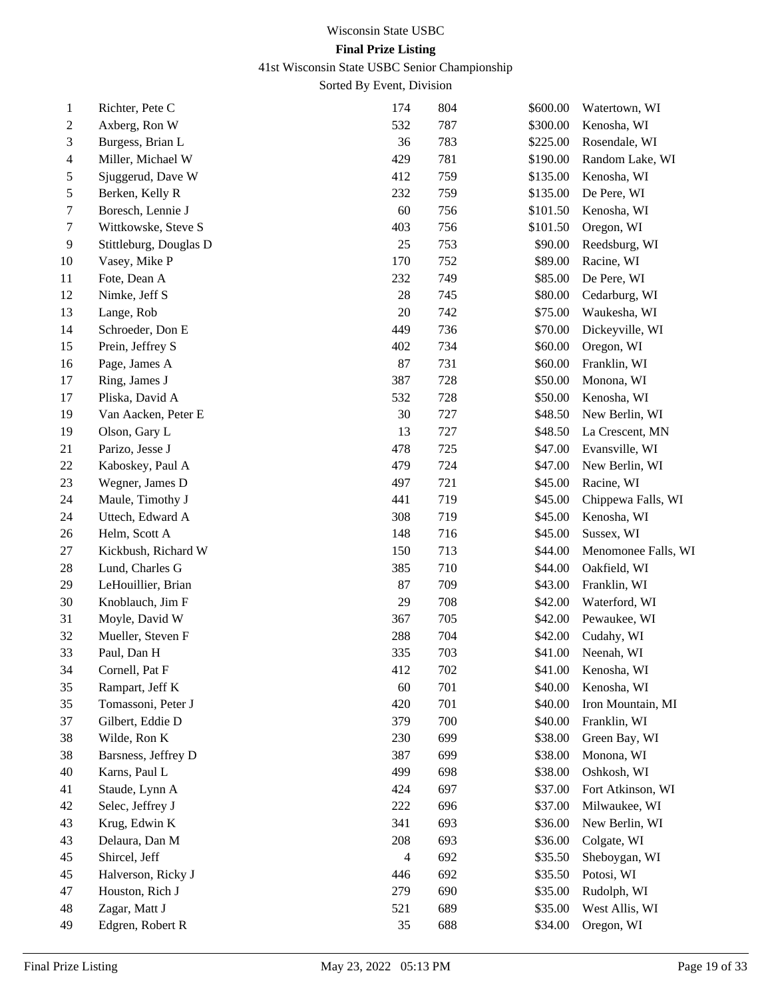41st Wisconsin State USBC Senior Championship

| 1  | Richter, Pete C        | 174            | 804 | \$600.00 | Watertown, WI       |
|----|------------------------|----------------|-----|----------|---------------------|
| 2  | Axberg, Ron W          | 532            | 787 | \$300.00 | Kenosha, WI         |
| 3  | Burgess, Brian L       | 36             | 783 | \$225.00 | Rosendale, WI       |
| 4  | Miller, Michael W      | 429            | 781 | \$190.00 | Random Lake, WI     |
| 5  | Sjuggerud, Dave W      | 412            | 759 | \$135.00 | Kenosha, WI         |
| 5  | Berken, Kelly R        | 232            | 759 | \$135.00 | De Pere, WI         |
| 7  | Boresch, Lennie J      | 60             | 756 | \$101.50 | Kenosha, WI         |
| 7  | Wittkowske, Steve S    | 403            | 756 | \$101.50 | Oregon, WI          |
| 9  | Stittleburg, Douglas D | 25             | 753 | \$90.00  | Reedsburg, WI       |
| 10 | Vasey, Mike P          | 170            | 752 | \$89.00  | Racine, WI          |
| 11 | Fote, Dean A           | 232            | 749 | \$85.00  | De Pere, WI         |
| 12 | Nimke, Jeff S          | 28             | 745 | \$80.00  | Cedarburg, WI       |
| 13 | Lange, Rob             | 20             | 742 | \$75.00  | Waukesha, WI        |
| 14 | Schroeder, Don E       | 449            | 736 | \$70.00  | Dickeyville, WI     |
| 15 | Prein, Jeffrey S       | 402            | 734 | \$60.00  | Oregon, WI          |
| 16 | Page, James A          | 87             | 731 | \$60.00  | Franklin, WI        |
| 17 | Ring, James J          | 387            | 728 | \$50.00  | Monona, WI          |
| 17 | Pliska, David A        | 532            | 728 | \$50.00  | Kenosha, WI         |
| 19 | Van Aacken, Peter E    | 30             | 727 | \$48.50  | New Berlin, WI      |
| 19 | Olson, Gary L          | 13             | 727 | \$48.50  | La Crescent, MN     |
| 21 | Parizo, Jesse J        | 478            | 725 | \$47.00  | Evansville, WI      |
| 22 | Kaboskey, Paul A       | 479            | 724 | \$47.00  | New Berlin, WI      |
| 23 | Wegner, James D        | 497            | 721 | \$45.00  | Racine, WI          |
| 24 | Maule, Timothy J       | 441            | 719 | \$45.00  | Chippewa Falls, WI  |
| 24 | Uttech, Edward A       | 308            | 719 | \$45.00  | Kenosha, WI         |
| 26 | Helm, Scott A          | 148            | 716 | \$45.00  | Sussex, WI          |
| 27 | Kickbush, Richard W    | 150            | 713 | \$44.00  | Menomonee Falls, WI |
| 28 | Lund, Charles G        | 385            | 710 | \$44.00  | Oakfield, WI        |
| 29 | LeHouillier, Brian     | 87             | 709 | \$43.00  | Franklin, WI        |
| 30 | Knoblauch, Jim F       | 29             | 708 | \$42.00  | Waterford, WI       |
| 31 | Moyle, David W         | 367            | 705 | \$42.00  | Pewaukee, WI        |
| 32 | Mueller, Steven F      | 288            | 704 | \$42.00  | Cudahy, WI          |
| 33 | Paul, Dan H            | 335            | 703 | \$41.00  | Neenah, WI          |
| 34 | Cornell, Pat F         | 412            | 702 | \$41.00  | Kenosha, WI         |
| 35 | Rampart, Jeff K        | 60             | 701 | \$40.00  | Kenosha, WI         |
| 35 | Tomassoni, Peter J     | 420            | 701 | \$40.00  | Iron Mountain, MI   |
| 37 | Gilbert, Eddie D       | 379            | 700 | \$40.00  | Franklin, WI        |
| 38 | Wilde, Ron K           | 230            | 699 | \$38.00  | Green Bay, WI       |
| 38 | Barsness, Jeffrey D    | 387            | 699 | \$38.00  | Monona, WI          |
| 40 | Karns, Paul L          | 499            | 698 | \$38.00  | Oshkosh, WI         |
| 41 | Staude, Lynn A         | 424            | 697 | \$37.00  | Fort Atkinson, WI   |
| 42 | Selec, Jeffrey J       | 222            | 696 | \$37.00  | Milwaukee, WI       |
| 43 | Krug, Edwin K          | 341            | 693 | \$36.00  | New Berlin, WI      |
| 43 | Delaura, Dan M         | 208            | 693 | \$36.00  | Colgate, WI         |
| 45 | Shircel, Jeff          | $\overline{4}$ | 692 | \$35.50  | Sheboygan, WI       |
| 45 | Halverson, Ricky J     | 446            | 692 | \$35.50  | Potosi, WI          |
| 47 | Houston, Rich J        | 279            | 690 | \$35.00  | Rudolph, WI         |
| 48 | Zagar, Matt J          | 521            | 689 | \$35.00  | West Allis, WI      |
| 49 | Edgren, Robert R       | 35             | 688 | \$34.00  | Oregon, WI          |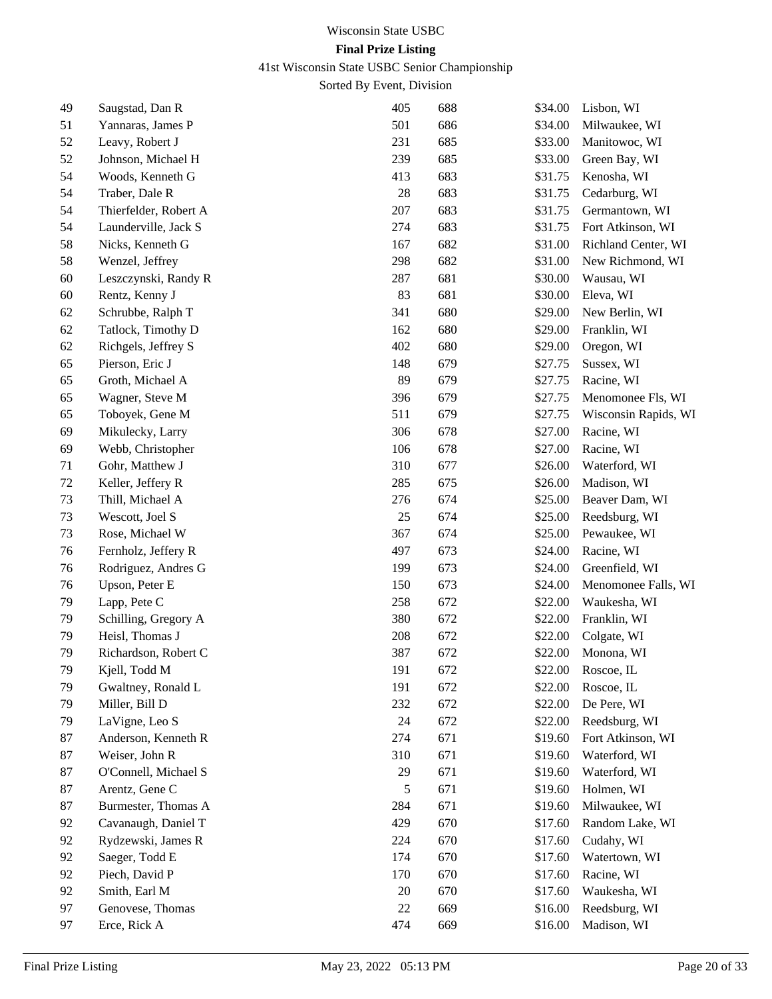41st Wisconsin State USBC Senior Championship

| 49 | Saugstad, Dan R       | 405    | 688 | \$34.00 | Lisbon, WI           |
|----|-----------------------|--------|-----|---------|----------------------|
| 51 | Yannaras, James P     | 501    | 686 | \$34.00 | Milwaukee, WI        |
| 52 | Leavy, Robert J       | 231    | 685 | \$33.00 | Manitowoc, WI        |
| 52 | Johnson, Michael H    | 239    | 685 | \$33.00 | Green Bay, WI        |
| 54 | Woods, Kenneth G      | 413    | 683 | \$31.75 | Kenosha, WI          |
| 54 | Traber, Dale R        | 28     | 683 | \$31.75 | Cedarburg, WI        |
| 54 | Thierfelder, Robert A | 207    | 683 | \$31.75 | Germantown, WI       |
| 54 | Launderville, Jack S  | 274    | 683 | \$31.75 | Fort Atkinson, WI    |
| 58 | Nicks, Kenneth G      | 167    | 682 | \$31.00 | Richland Center, WI  |
| 58 | Wenzel, Jeffrey       | 298    | 682 | \$31.00 | New Richmond, WI     |
| 60 | Leszczynski, Randy R  | 287    | 681 | \$30.00 | Wausau, WI           |
| 60 | Rentz, Kenny J        | 83     | 681 | \$30.00 | Eleva, WI            |
| 62 | Schrubbe, Ralph T     | 341    | 680 | \$29.00 | New Berlin, WI       |
| 62 | Tatlock, Timothy D    | 162    | 680 | \$29.00 | Franklin, WI         |
| 62 | Richgels, Jeffrey S   | 402    | 680 | \$29.00 | Oregon, WI           |
| 65 | Pierson, Eric J       | 148    | 679 | \$27.75 | Sussex, WI           |
| 65 | Groth, Michael A      | 89     | 679 | \$27.75 | Racine, WI           |
| 65 | Wagner, Steve M       | 396    | 679 | \$27.75 | Menomonee Fls, WI    |
| 65 | Toboyek, Gene M       | 511    | 679 | \$27.75 | Wisconsin Rapids, WI |
| 69 | Mikulecky, Larry      | 306    | 678 | \$27.00 | Racine, WI           |
| 69 | Webb, Christopher     | 106    | 678 | \$27.00 | Racine, WI           |
| 71 | Gohr, Matthew J       | 310    | 677 | \$26.00 | Waterford, WI        |
| 72 | Keller, Jeffery R     | 285    | 675 | \$26.00 | Madison, WI          |
| 73 | Thill, Michael A      | 276    | 674 | \$25.00 | Beaver Dam, WI       |
| 73 | Wescott, Joel S       | 25     | 674 | \$25.00 | Reedsburg, WI        |
| 73 | Rose, Michael W       | 367    | 674 | \$25.00 | Pewaukee, WI         |
| 76 | Fernholz, Jeffery R   | 497    | 673 | \$24.00 | Racine, WI           |
| 76 | Rodriguez, Andres G   | 199    | 673 | \$24.00 | Greenfield, WI       |
| 76 | Upson, Peter E        | 150    | 673 | \$24.00 | Menomonee Falls, WI  |
| 79 | Lapp, Pete C          | 258    | 672 | \$22.00 | Waukesha, WI         |
| 79 | Schilling, Gregory A  | 380    | 672 | \$22.00 | Franklin, WI         |
| 79 | Heisl, Thomas J       | 208    | 672 | \$22.00 | Colgate, WI          |
| 79 | Richardson, Robert C  | 387    | 672 | \$22.00 | Monona, WI           |
| 79 | Kjell, Todd M         | 191    | 672 | \$22.00 | Roscoe, IL           |
| 79 | Gwaltney, Ronald L    | 191    | 672 | \$22.00 | Roscoe, IL           |
| 79 | Miller, Bill D        | 232    | 672 | \$22.00 | De Pere, WI          |
| 79 | LaVigne, Leo S        | 24     | 672 | \$22.00 | Reedsburg, WI        |
| 87 | Anderson, Kenneth R   | 274    | 671 | \$19.60 | Fort Atkinson, WI    |
| 87 | Weiser, John R        | 310    | 671 | \$19.60 | Waterford, WI        |
| 87 | O'Connell, Michael S  | 29     | 671 | \$19.60 | Waterford, WI        |
| 87 | Arentz, Gene C        | 5      | 671 | \$19.60 | Holmen, WI           |
| 87 | Burmester, Thomas A   | 284    | 671 | \$19.60 | Milwaukee, WI        |
| 92 | Cavanaugh, Daniel T   | 429    | 670 | \$17.60 | Random Lake, WI      |
| 92 | Rydzewski, James R    | 224    | 670 | \$17.60 | Cudahy, WI           |
| 92 | Saeger, Todd E        | 174    | 670 | \$17.60 | Watertown, WI        |
| 92 | Piech, David P        | 170    | 670 | \$17.60 | Racine, WI           |
| 92 | Smith, Earl M         | 20     | 670 | \$17.60 | Waukesha, WI         |
| 97 | Genovese, Thomas      | $22\,$ | 669 | \$16.00 | Reedsburg, WI        |
| 97 | Erce, Rick A          | 474    | 669 | \$16.00 | Madison, WI          |
|    |                       |        |     |         |                      |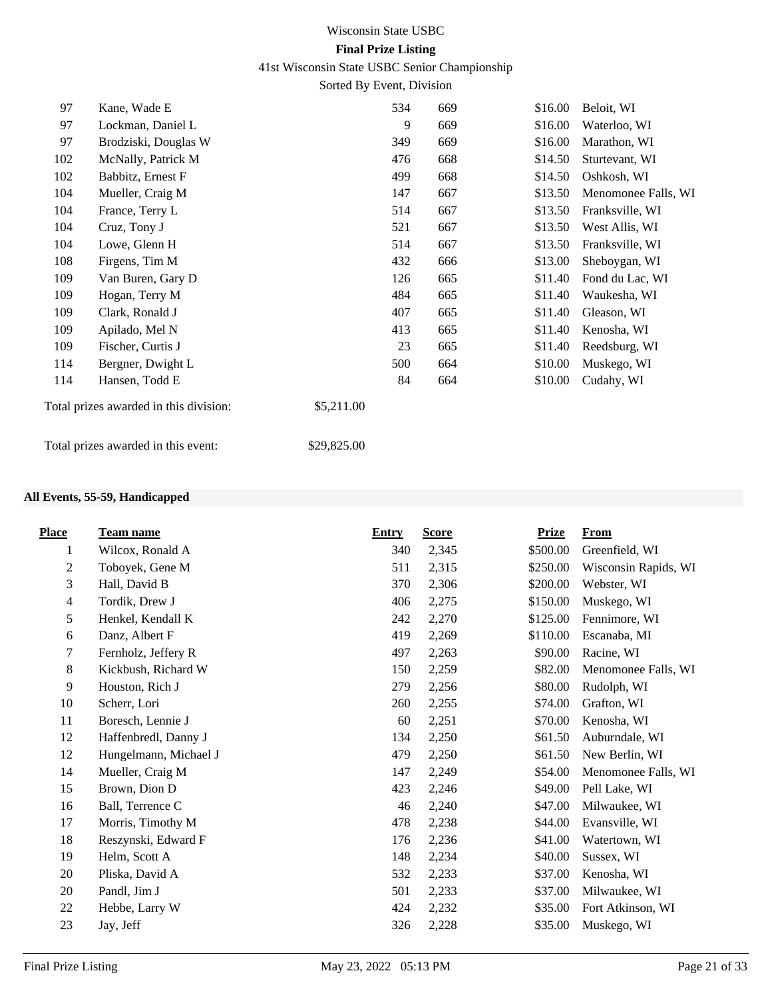41st Wisconsin State USBC Senior Championship

Sorted By Event, Division

| 97  | Kane, Wade E                           | 534         |    | 669 | \$16.00 | Beloit, WI          |
|-----|----------------------------------------|-------------|----|-----|---------|---------------------|
| 97  | Lockman, Daniel L                      |             | 9  | 669 | \$16.00 | Waterloo, WI        |
| 97  | Brodziski, Douglas W                   | 349         |    | 669 | \$16.00 | Marathon, WI        |
| 102 | McNally, Patrick M                     | 476         |    | 668 | \$14.50 | Sturtevant, WI      |
| 102 | Babbitz, Ernest F                      | 499         |    | 668 | \$14.50 | Oshkosh, WI         |
| 104 | Mueller, Craig M                       | 147         |    | 667 | \$13.50 | Menomonee Falls, WI |
| 104 | France, Terry L                        | 514         |    | 667 | \$13.50 | Franksville, WI     |
| 104 | Cruz, Tony J                           | 521         |    | 667 | \$13.50 | West Allis, WI      |
| 104 | Lowe, Glenn H                          | 514         |    | 667 | \$13.50 | Franksville, WI     |
| 108 | Firgens, Tim M                         | 432         |    | 666 | \$13.00 | Sheboygan, WI       |
| 109 | Van Buren, Gary D                      | 126         |    | 665 | \$11.40 | Fond du Lac, WI     |
| 109 | Hogan, Terry M                         | 484         |    | 665 | \$11.40 | Waukesha, WI        |
| 109 | Clark, Ronald J                        | 407         |    | 665 | \$11.40 | Gleason, WI         |
| 109 | Apilado, Mel N                         | 413         |    | 665 | \$11.40 | Kenosha, WI         |
| 109 | Fischer, Curtis J                      |             | 23 | 665 | \$11.40 | Reedsburg, WI       |
| 114 | Bergner, Dwight L                      | 500         |    | 664 | \$10.00 | Muskego, WI         |
| 114 | Hansen, Todd E                         |             | 84 | 664 | \$10.00 | Cudahy, WI          |
|     | Total prizes awarded in this division: | \$5,211.00  |    |     |         |                     |
|     | Total prizes awarded in this event:    | \$29,825.00 |    |     |         |                     |

## **All Events, 55-59, Handicapped**

| <b>Place</b>   | <b>Team name</b>      | <b>Entry</b> | <b>Score</b> | <b>Prize</b> | <b>From</b>          |
|----------------|-----------------------|--------------|--------------|--------------|----------------------|
| 1              | Wilcox, Ronald A      | 340          | 2,345        | \$500.00     | Greenfield, WI       |
| $\overline{c}$ | Toboyek, Gene M       | 511          | 2,315        | \$250.00     | Wisconsin Rapids, WI |
| 3              | Hall, David B         | 370          | 2,306        | \$200.00     | Webster, WI          |
| 4              | Tordik, Drew J        | 406          | 2,275        | \$150.00     | Muskego, WI          |
| 5              | Henkel, Kendall K     | 242          | 2,270        | \$125.00     | Fennimore, WI        |
| 6              | Danz, Albert F        | 419          | 2,269        | \$110.00     | Escanaba, MI         |
| 7              | Fernholz, Jeffery R   | 497          | 2,263        | \$90.00      | Racine, WI           |
| $8\,$          | Kickbush, Richard W   | 150          | 2,259        | \$82.00      | Menomonee Falls, WI  |
| 9              | Houston, Rich J       | 279          | 2,256        | \$80.00      | Rudolph, WI          |
| 10             | Scherr, Lori          | 260          | 2,255        | \$74.00      | Grafton, WI          |
| 11             | Boresch, Lennie J     | 60           | 2,251        | \$70.00      | Kenosha, WI          |
| 12             | Haffenbredl, Danny J  | 134          | 2,250        | \$61.50      | Auburndale, WI       |
| 12             | Hungelmann, Michael J | 479          | 2,250        | \$61.50      | New Berlin, WI       |
| 14             | Mueller, Craig M      | 147          | 2,249        | \$54.00      | Menomonee Falls, WI  |
| 15             | Brown, Dion D         | 423          | 2,246        | \$49.00      | Pell Lake, WI        |
| 16             | Ball, Terrence C      | 46           | 2,240        | \$47.00      | Milwaukee, WI        |
| 17             | Morris, Timothy M     | 478          | 2,238        | \$44.00      | Evansville, WI       |
| 18             | Reszynski, Edward F   | 176          | 2,236        | \$41.00      | Watertown, WI        |
| 19             | Helm, Scott A         | 148          | 2,234        | \$40.00      | Sussex, WI           |
| 20             | Pliska, David A       | 532          | 2,233        | \$37.00      | Kenosha, WI          |
| 20             | Pandl, Jim J          | 501          | 2,233        | \$37.00      | Milwaukee, WI        |
| 22             | Hebbe, Larry W        | 424          | 2,232        | \$35.00      | Fort Atkinson, WI    |
| 23             | Jay, Jeff             | 326          | 2,228        | \$35.00      | Muskego, WI          |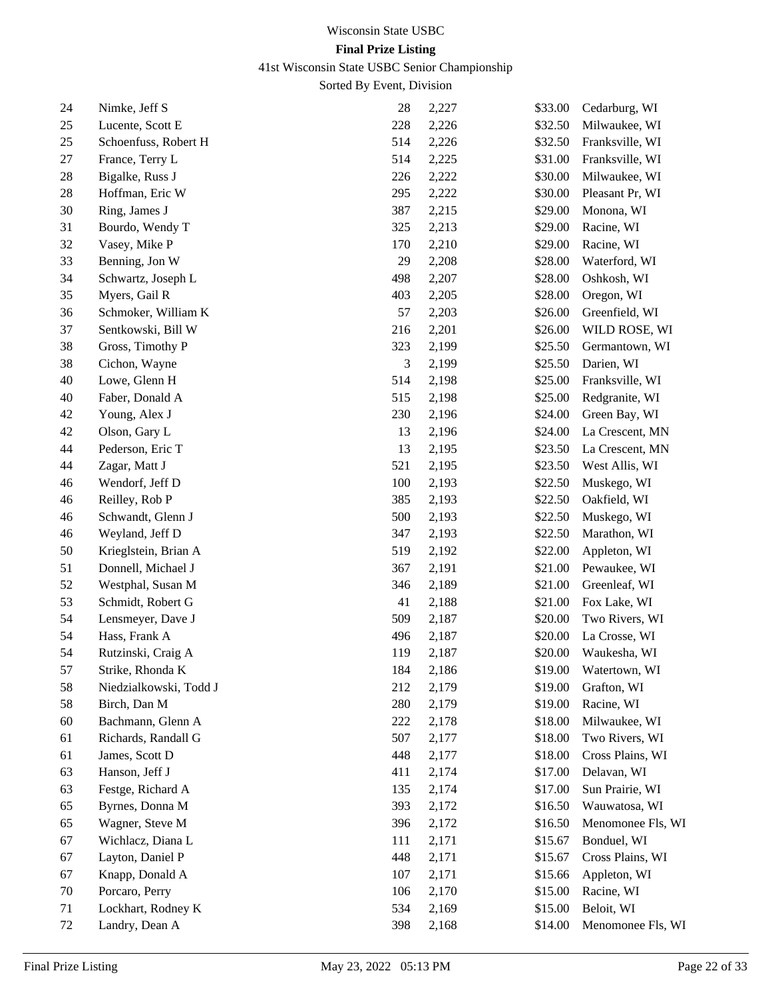41st Wisconsin State USBC Senior Championship

| 24 | Nimke, Jeff S          | 28  | 2,227 | \$33.00 | Cedarburg, WI     |
|----|------------------------|-----|-------|---------|-------------------|
| 25 | Lucente, Scott E       | 228 | 2,226 | \$32.50 | Milwaukee, WI     |
| 25 | Schoenfuss, Robert H   | 514 | 2,226 | \$32.50 | Franksville, WI   |
| 27 | France, Terry L        | 514 | 2,225 | \$31.00 | Franksville, WI   |
| 28 | Bigalke, Russ J        | 226 | 2,222 | \$30.00 | Milwaukee, WI     |
| 28 | Hoffman, Eric W        | 295 | 2,222 | \$30.00 | Pleasant Pr, WI   |
| 30 | Ring, James J          | 387 | 2,215 | \$29.00 | Monona, WI        |
| 31 | Bourdo, Wendy T        | 325 | 2,213 | \$29.00 | Racine, WI        |
| 32 | Vasey, Mike P          | 170 | 2,210 | \$29.00 | Racine, WI        |
| 33 | Benning, Jon W         | 29  | 2,208 | \$28.00 | Waterford, WI     |
| 34 | Schwartz, Joseph L     | 498 | 2,207 | \$28.00 | Oshkosh, WI       |
| 35 | Myers, Gail R          | 403 | 2,205 | \$28.00 | Oregon, WI        |
| 36 | Schmoker, William K    | 57  | 2,203 | \$26.00 | Greenfield, WI    |
| 37 | Sentkowski, Bill W     | 216 | 2,201 | \$26.00 | WILD ROSE, WI     |
| 38 | Gross, Timothy P       | 323 | 2,199 | \$25.50 | Germantown, WI    |
| 38 | Cichon, Wayne          | 3   | 2,199 | \$25.50 | Darien, WI        |
| 40 | Lowe, Glenn H          | 514 | 2,198 | \$25.00 | Franksville, WI   |
| 40 | Faber, Donald A        | 515 | 2,198 | \$25.00 | Redgranite, WI    |
| 42 | Young, Alex J          | 230 | 2,196 | \$24.00 | Green Bay, WI     |
| 42 | Olson, Gary L          | 13  | 2,196 | \$24.00 | La Crescent, MN   |
| 44 | Pederson, Eric T       | 13  | 2,195 | \$23.50 | La Crescent, MN   |
| 44 | Zagar, Matt J          | 521 | 2,195 | \$23.50 | West Allis, WI    |
| 46 | Wendorf, Jeff D        | 100 | 2,193 | \$22.50 | Muskego, WI       |
| 46 | Reilley, Rob P         | 385 | 2,193 | \$22.50 | Oakfield, WI      |
| 46 | Schwandt, Glenn J      | 500 | 2,193 | \$22.50 | Muskego, WI       |
| 46 | Weyland, Jeff D        | 347 | 2,193 | \$22.50 | Marathon, WI      |
| 50 | Krieglstein, Brian A   | 519 | 2,192 | \$22.00 | Appleton, WI      |
| 51 | Donnell, Michael J     | 367 | 2,191 | \$21.00 | Pewaukee, WI      |
| 52 | Westphal, Susan M      | 346 | 2,189 | \$21.00 | Greenleaf, WI     |
| 53 | Schmidt, Robert G      | 41  | 2,188 | \$21.00 | Fox Lake, WI      |
| 54 | Lensmeyer, Dave J      | 509 | 2,187 | \$20.00 | Two Rivers, WI    |
| 54 | Hass, Frank A          | 496 | 2,187 | \$20.00 | La Crosse, WI     |
| 54 | Rutzinski, Craig A     | 119 | 2,187 | \$20.00 | Waukesha, WI      |
| 57 | Strike, Rhonda K       | 184 | 2,186 | \$19.00 | Watertown, WI     |
| 58 | Niedzialkowski, Todd J | 212 | 2,179 | \$19.00 | Grafton, WI       |
| 58 | Birch, Dan M           | 280 | 2,179 | \$19.00 | Racine, WI        |
| 60 | Bachmann, Glenn A      | 222 | 2,178 | \$18.00 | Milwaukee, WI     |
| 61 | Richards, Randall G    | 507 | 2,177 | \$18.00 | Two Rivers, WI    |
| 61 | James, Scott D         | 448 | 2,177 | \$18.00 | Cross Plains, WI  |
| 63 | Hanson, Jeff J         | 411 | 2,174 | \$17.00 | Delavan, WI       |
| 63 | Festge, Richard A      | 135 | 2,174 | \$17.00 | Sun Prairie, WI   |
| 65 | Byrnes, Donna M        | 393 | 2,172 | \$16.50 | Wauwatosa, WI     |
| 65 | Wagner, Steve M        | 396 | 2,172 | \$16.50 | Menomonee Fls, WI |
| 67 | Wichlacz, Diana L      | 111 | 2,171 | \$15.67 | Bonduel, WI       |
| 67 | Layton, Daniel P       | 448 | 2,171 | \$15.67 | Cross Plains, WI  |
| 67 | Knapp, Donald A        | 107 | 2,171 | \$15.66 | Appleton, WI      |
| 70 | Porcaro, Perry         | 106 | 2,170 | \$15.00 | Racine, WI        |
| 71 | Lockhart, Rodney K     | 534 | 2,169 | \$15.00 | Beloit, WI        |
| 72 | Landry, Dean A         | 398 | 2,168 | \$14.00 | Menomonee Fls, WI |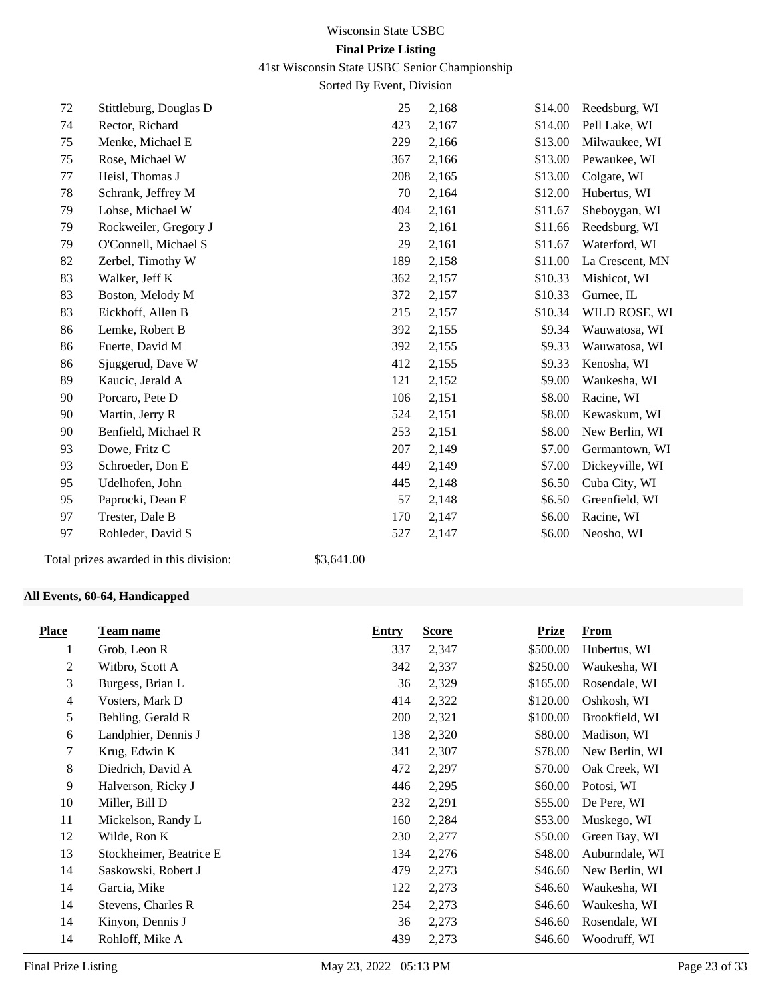## 41st Wisconsin State USBC Senior Championship

Sorted By Event, Division

| 72 | Stittleburg, Douglas D | 25  | 2,168 | \$14.00 | Reedsburg, WI   |
|----|------------------------|-----|-------|---------|-----------------|
| 74 | Rector, Richard        | 423 | 2,167 | \$14.00 | Pell Lake, WI   |
| 75 | Menke, Michael E       | 229 | 2,166 | \$13.00 | Milwaukee, WI   |
| 75 | Rose, Michael W        | 367 | 2,166 | \$13.00 | Pewaukee, WI    |
| 77 | Heisl, Thomas J        | 208 | 2,165 | \$13.00 | Colgate, WI     |
| 78 | Schrank, Jeffrey M     | 70  | 2,164 | \$12.00 | Hubertus, WI    |
| 79 | Lohse, Michael W       | 404 | 2,161 | \$11.67 | Sheboygan, WI   |
| 79 | Rockweiler, Gregory J  | 23  | 2,161 | \$11.66 | Reedsburg, WI   |
| 79 | O'Connell, Michael S   | 29  | 2,161 | \$11.67 | Waterford, WI   |
| 82 | Zerbel, Timothy W      | 189 | 2,158 | \$11.00 | La Crescent, MN |
| 83 | Walker, Jeff K         | 362 | 2,157 | \$10.33 | Mishicot, WI    |
| 83 | Boston, Melody M       | 372 | 2,157 | \$10.33 | Gurnee, IL      |
| 83 | Eickhoff, Allen B      | 215 | 2,157 | \$10.34 | WILD ROSE, WI   |
| 86 | Lemke, Robert B        | 392 | 2,155 | \$9.34  | Wauwatosa, WI   |
| 86 | Fuerte, David M        | 392 | 2,155 | \$9.33  | Wauwatosa, WI   |
| 86 | Sjuggerud, Dave W      | 412 | 2,155 | \$9.33  | Kenosha, WI     |
| 89 | Kaucic, Jerald A       | 121 | 2,152 | \$9.00  | Waukesha, WI    |
| 90 | Porcaro, Pete D        | 106 | 2,151 | \$8.00  | Racine, WI      |
| 90 | Martin, Jerry R        | 524 | 2,151 | \$8.00  | Kewaskum, WI    |
| 90 | Benfield, Michael R    | 253 | 2,151 | \$8.00  | New Berlin, WI  |
| 93 | Dowe, Fritz C          | 207 | 2,149 | \$7.00  | Germantown, WI  |
| 93 | Schroeder, Don E       | 449 | 2,149 | \$7.00  | Dickeyville, WI |
| 95 | Udelhofen, John        | 445 | 2,148 | \$6.50  | Cuba City, WI   |
| 95 | Paprocki, Dean E       | 57  | 2,148 | \$6.50  | Greenfield, WI  |
| 97 | Trester, Dale B        | 170 | 2,147 | \$6.00  | Racine, WI      |
| 97 | Rohleder, David S      | 527 | 2,147 | \$6.00  | Neosho, WI      |
|    |                        |     |       |         |                 |

Total prizes awarded in this division: \$3,641.00

## **All Events, 60-64, Handicapped**

| <b>Place</b> | Team name               | <b>Entry</b> | <b>Score</b> | Prize    | From           |
|--------------|-------------------------|--------------|--------------|----------|----------------|
| 1            | Grob, Leon R            | 337          | 2,347        | \$500.00 | Hubertus, WI   |
| 2            | Witbro, Scott A         | 342          | 2,337        | \$250.00 | Waukesha, WI   |
| 3            | Burgess, Brian L        | 36           | 2,329        | \$165.00 | Rosendale, WI  |
| 4            | Vosters, Mark D         | 414          | 2,322        | \$120.00 | Oshkosh, WI    |
| 5            | Behling, Gerald R       | 200          | 2,321        | \$100.00 | Brookfield, WI |
| 6            | Landphier, Dennis J     | 138          | 2,320        | \$80.00  | Madison, WI    |
| 7            | Krug, Edwin K           | 341          | 2,307        | \$78.00  | New Berlin, WI |
| 8            | Diedrich, David A       | 472          | 2,297        | \$70.00  | Oak Creek, WI  |
| 9            | Halverson, Ricky J      | 446          | 2,295        | \$60.00  | Potosi, WI     |
| 10           | Miller, Bill D          | 232          | 2,291        | \$55.00  | De Pere, WI    |
| 11           | Mickelson, Randy L      | 160          | 2,284        | \$53.00  | Muskego, WI    |
| 12           | Wilde, Ron K            | 230          | 2,277        | \$50.00  | Green Bay, WI  |
| 13           | Stockheimer, Beatrice E | 134          | 2,276        | \$48.00  | Auburndale, WI |
| 14           | Saskowski, Robert J     | 479          | 2,273        | \$46.60  | New Berlin, WI |
| 14           | Garcia, Mike            | 122          | 2,273        | \$46.60  | Waukesha, WI   |
| 14           | Stevens, Charles R      | 254          | 2,273        | \$46.60  | Waukesha, WI   |
| 14           | Kinyon, Dennis J        | 36           | 2,273        | \$46.60  | Rosendale, WI  |
| 14           | Rohloff, Mike A         | 439          | 2,273        | \$46.60  | Woodruff, WI   |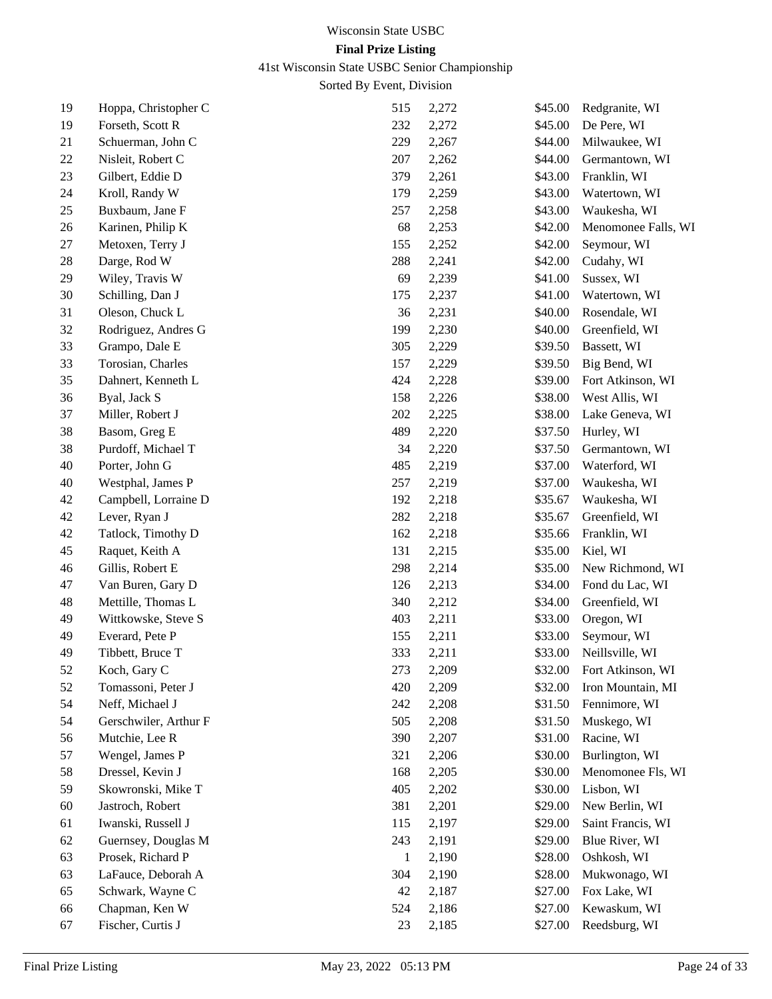# 41st Wisconsin State USBC Senior Championship

| 19       | Hoppa, Christopher C  | 515 | 2,272 | \$45.00 | Redgranite, WI      |
|----------|-----------------------|-----|-------|---------|---------------------|
| 19       | Forseth, Scott R      | 232 | 2,272 | \$45.00 | De Pere, WI         |
| 21       | Schuerman, John C     | 229 | 2,267 | \$44.00 | Milwaukee, WI       |
| 22       | Nisleit, Robert C     | 207 | 2,262 | \$44.00 | Germantown, WI      |
| 23       | Gilbert, Eddie D      | 379 | 2,261 | \$43.00 | Franklin, WI        |
| 24       | Kroll, Randy W        | 179 | 2,259 | \$43.00 | Watertown, WI       |
| 25       | Buxbaum, Jane F       | 257 | 2,258 | \$43.00 | Waukesha, WI        |
| 26       | Karinen, Philip K     | 68  | 2,253 | \$42.00 | Menomonee Falls, WI |
| 27       | Metoxen, Terry J      | 155 | 2,252 | \$42.00 | Seymour, WI         |
| 28       | Darge, Rod W          | 288 | 2,241 | \$42.00 | Cudahy, WI          |
| 29       | Wiley, Travis W       | 69  | 2,239 | \$41.00 | Sussex, WI          |
| 30       | Schilling, Dan J      | 175 | 2,237 | \$41.00 | Watertown, WI       |
| 31       | Oleson, Chuck L       | 36  | 2,231 | \$40.00 | Rosendale, WI       |
| 32       | Rodriguez, Andres G   | 199 | 2,230 | \$40.00 | Greenfield, WI      |
| 33       | Grampo, Dale E        | 305 | 2,229 | \$39.50 | Bassett, WI         |
| 33       | Torosian, Charles     | 157 | 2,229 | \$39.50 | Big Bend, WI        |
| 35       | Dahnert, Kenneth L    | 424 | 2,228 | \$39.00 | Fort Atkinson, WI   |
| 36       | Byal, Jack S          | 158 | 2,226 | \$38.00 | West Allis, WI      |
| 37       | Miller, Robert J      | 202 | 2,225 | \$38.00 | Lake Geneva, WI     |
| 38       | Basom, Greg E         | 489 | 2,220 | \$37.50 | Hurley, WI          |
| 38       | Purdoff, Michael T    | 34  | 2,220 | \$37.50 | Germantown, WI      |
| 40       | Porter, John G        | 485 | 2,219 | \$37.00 | Waterford, WI       |
| 40       | Westphal, James P     | 257 | 2,219 | \$37.00 | Waukesha, WI        |
| 42       | Campbell, Lorraine D  | 192 | 2,218 | \$35.67 | Waukesha, WI        |
| 42       | Lever, Ryan J         | 282 | 2,218 | \$35.67 | Greenfield, WI      |
| 42       | Tatlock, Timothy D    | 162 | 2,218 | \$35.66 | Franklin, WI        |
| 45       | Raquet, Keith A       | 131 | 2,215 | \$35.00 | Kiel, WI            |
| 46       | Gillis, Robert E      | 298 | 2,214 | \$35.00 | New Richmond, WI    |
| 47       | Van Buren, Gary D     | 126 | 2,213 | \$34.00 | Fond du Lac, WI     |
| 48       | Mettille, Thomas L    | 340 | 2,212 | \$34.00 | Greenfield, WI      |
| 49       | Wittkowske, Steve S   | 403 | 2,211 | \$33.00 | Oregon, WI          |
| 49       | Everard, Pete P       | 155 | 2,211 | \$33.00 | Seymour, WI         |
| 49       | Tibbett, Bruce T      | 333 | 2,211 | \$33.00 | Neillsville, WI     |
| 52       | Koch, Gary C          | 273 | 2,209 | \$32.00 | Fort Atkinson, WI   |
| 52       | Tomassoni, Peter J    | 420 | 2,209 | \$32.00 | Iron Mountain, MI   |
| 54       | Neff, Michael J       | 242 | 2,208 | \$31.50 | Fennimore, WI       |
| 54       | Gerschwiler, Arthur F | 505 | 2,208 | \$31.50 | Muskego, WI         |
| 56       | Mutchie, Lee R        | 390 | 2,207 | \$31.00 | Racine, WI          |
| 57       | Wengel, James P       | 321 | 2,206 | \$30.00 | Burlington, WI      |
| 58       | Dressel, Kevin J      | 168 | 2,205 | \$30.00 | Menomonee Fls, WI   |
| 59       | Skowronski, Mike T    | 405 | 2,202 | \$30.00 | Lisbon, WI          |
| 60       | Jastroch, Robert      | 381 | 2,201 | \$29.00 | New Berlin, WI      |
| 61       | Iwanski, Russell J    | 115 | 2,197 | \$29.00 | Saint Francis, WI   |
| 62       | Guernsey, Douglas M   | 243 | 2,191 | \$29.00 | Blue River, WI      |
|          | Prosek, Richard P     | 1   | 2,190 | \$28.00 | Oshkosh, WI         |
| 63<br>63 | LaFauce, Deborah A    | 304 | 2,190 | \$28.00 | Mukwonago, WI       |
| 65       | Schwark, Wayne C      | 42  | 2,187 | \$27.00 | Fox Lake, WI        |
| 66       | Chapman, Ken W        | 524 | 2,186 | \$27.00 | Kewaskum, WI        |
| 67       | Fischer, Curtis J     | 23  | 2,185 | \$27.00 | Reedsburg, WI       |
|          |                       |     |       |         |                     |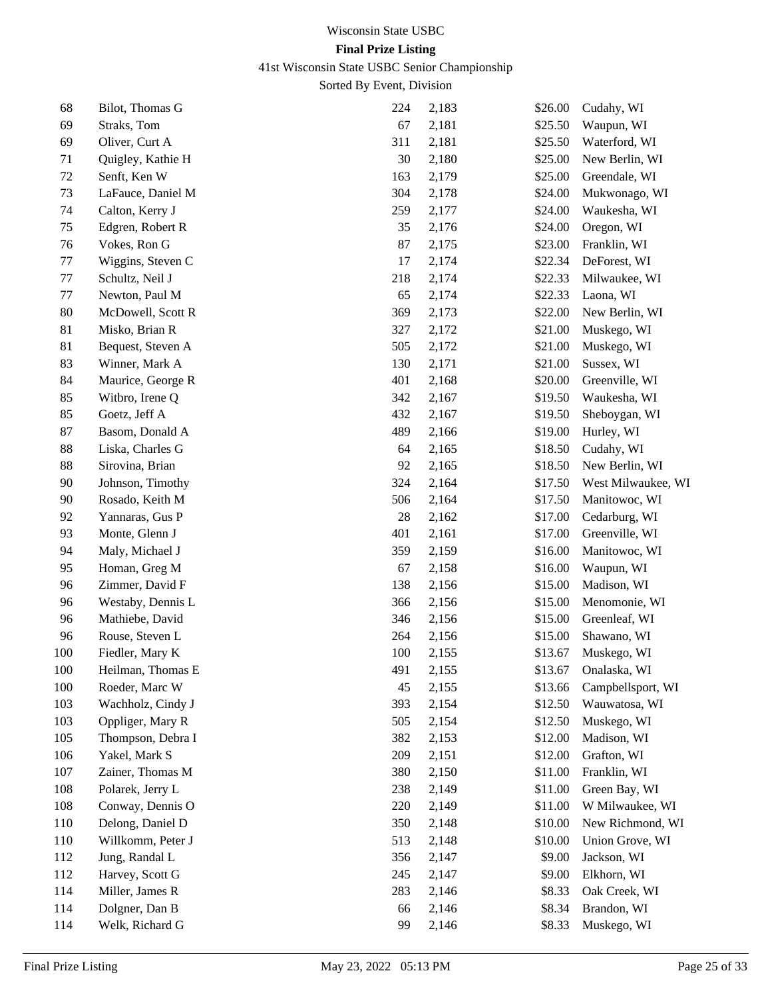# 41st Wisconsin State USBC Senior Championship

| 68  | Bilot, Thomas G   | 224    | 2,183 | \$26.00 | Cudahy, WI         |
|-----|-------------------|--------|-------|---------|--------------------|
| 69  | Straks, Tom       | 67     | 2,181 | \$25.50 | Waupun, WI         |
| 69  | Oliver, Curt A    | 311    | 2,181 | \$25.50 | Waterford, WI      |
| 71  | Quigley, Kathie H | 30     | 2,180 | \$25.00 | New Berlin, WI     |
| 72  | Senft, Ken W      | 163    | 2,179 | \$25.00 | Greendale, WI      |
| 73  | LaFauce, Daniel M | 304    | 2,178 | \$24.00 | Mukwonago, WI      |
| 74  | Calton, Kerry J   | 259    | 2,177 | \$24.00 | Waukesha, WI       |
| 75  | Edgren, Robert R  | 35     | 2,176 | \$24.00 | Oregon, WI         |
| 76  | Vokes, Ron G      | 87     | 2,175 | \$23.00 | Franklin, WI       |
| 77  | Wiggins, Steven C | 17     | 2,174 | \$22.34 | DeForest, WI       |
| 77  | Schultz, Neil J   | 218    | 2,174 | \$22.33 | Milwaukee, WI      |
| 77  | Newton, Paul M    | 65     | 2,174 | \$22.33 | Laona, WI          |
| 80  | McDowell, Scott R | 369    | 2,173 | \$22.00 | New Berlin, WI     |
| 81  | Misko, Brian R    | 327    | 2,172 | \$21.00 | Muskego, WI        |
| 81  | Bequest, Steven A | 505    | 2,172 | \$21.00 | Muskego, WI        |
| 83  | Winner, Mark A    | 130    | 2,171 | \$21.00 | Sussex, WI         |
| 84  | Maurice, George R | 401    | 2,168 | \$20.00 | Greenville, WI     |
| 85  | Witbro, Irene Q   | 342    | 2,167 | \$19.50 | Waukesha, WI       |
| 85  | Goetz, Jeff A     | 432    | 2,167 | \$19.50 | Sheboygan, WI      |
| 87  | Basom, Donald A   | 489    | 2,166 | \$19.00 | Hurley, WI         |
| 88  | Liska, Charles G  | 64     | 2,165 | \$18.50 | Cudahy, WI         |
| 88  | Sirovina, Brian   | 92     | 2,165 | \$18.50 | New Berlin, WI     |
| 90  | Johnson, Timothy  | 324    | 2,164 | \$17.50 | West Milwaukee, WI |
| 90  | Rosado, Keith M   | 506    | 2,164 | \$17.50 | Manitowoc, WI      |
| 92  | Yannaras, Gus P   | $28\,$ | 2,162 | \$17.00 | Cedarburg, WI      |
| 93  | Monte, Glenn J    | 401    | 2,161 | \$17.00 | Greenville, WI     |
| 94  | Maly, Michael J   | 359    | 2,159 | \$16.00 | Manitowoc, WI      |
| 95  | Homan, Greg M     | 67     | 2,158 | \$16.00 | Waupun, WI         |
| 96  | Zimmer, David F   | 138    | 2,156 | \$15.00 | Madison, WI        |
| 96  | Westaby, Dennis L | 366    | 2,156 | \$15.00 | Menomonie, WI      |
| 96  | Mathiebe, David   | 346    | 2,156 | \$15.00 | Greenleaf, WI      |
| 96  | Rouse, Steven L   | 264    | 2,156 | \$15.00 | Shawano, WI        |
| 100 | Fiedler, Mary K   | 100    | 2,155 | \$13.67 | Muskego, WI        |
| 100 | Heilman, Thomas E | 491    | 2,155 | \$13.67 | Onalaska, WI       |
| 100 | Roeder, Marc W    | 45     | 2,155 | \$13.66 | Campbellsport, WI  |
| 103 | Wachholz, Cindy J | 393    | 2,154 | \$12.50 | Wauwatosa, WI      |
| 103 | Oppliger, Mary R  | 505    | 2,154 | \$12.50 | Muskego, WI        |
| 105 | Thompson, Debra I | 382    | 2,153 | \$12.00 | Madison, WI        |
| 106 | Yakel, Mark S     | 209    | 2,151 | \$12.00 | Grafton, WI        |
| 107 | Zainer, Thomas M  | 380    | 2,150 | \$11.00 | Franklin, WI       |
| 108 | Polarek, Jerry L  | 238    | 2,149 | \$11.00 | Green Bay, WI      |
| 108 | Conway, Dennis O  | 220    | 2,149 | \$11.00 | W Milwaukee, WI    |
| 110 | Delong, Daniel D  | 350    | 2,148 | \$10.00 | New Richmond, WI   |
| 110 | Willkomm, Peter J | 513    | 2,148 | \$10.00 | Union Grove, WI    |
| 112 | Jung, Randal L    | 356    | 2,147 | \$9.00  | Jackson, WI        |
| 112 | Harvey, Scott G   | 245    | 2,147 | \$9.00  | Elkhorn, WI        |
| 114 | Miller, James R   | 283    | 2,146 | \$8.33  | Oak Creek, WI      |
| 114 | Dolgner, Dan B    | 66     | 2,146 | \$8.34  | Brandon, WI        |
| 114 | Welk, Richard G   | 99     | 2,146 | \$8.33  | Muskego, WI        |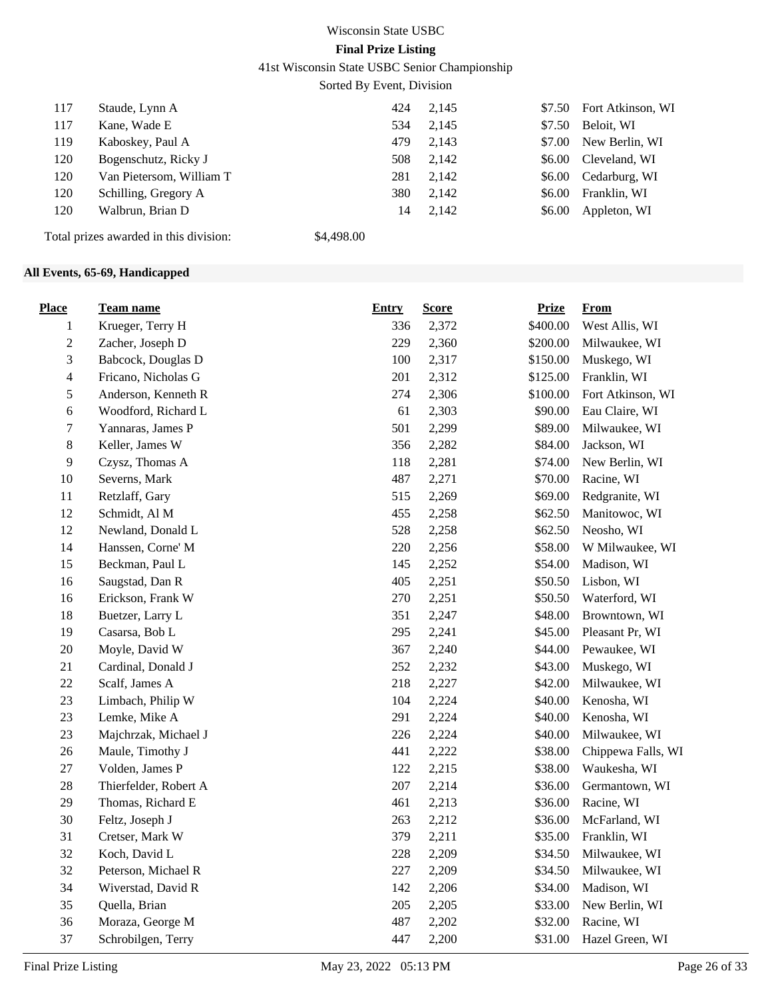41st Wisconsin State USBC Senior Championship

Sorted By Event, Division

| 117 | Staude, Lynn A                         | 424        | 2,145 |        | \$7.50 Fort Atkinson, WI |
|-----|----------------------------------------|------------|-------|--------|--------------------------|
| 117 | Kane, Wade E                           | 534        | 2,145 | \$7.50 | Beloit, WI               |
| 119 | Kaboskey, Paul A                       | 479        | 2.143 |        | \$7.00 New Berlin, WI    |
| 120 | Bogenschutz, Ricky J                   | 508        | 2,142 |        | \$6.00 Cleveland, WI     |
| 120 | Van Pietersom, William T               | 281        | 2,142 |        | \$6.00 Cedarburg, WI     |
| 120 | Schilling, Gregory A                   | 380        | 2,142 | \$6.00 | Franklin, WI             |
| 120 | Walbrun, Brian D                       | 14         | 2,142 | \$6.00 | Appleton, WI             |
|     | Total prizes awarded in this division: | \$4,498.00 |       |        |                          |

## **All Events, 65-69, Handicapped**

| <b>Place</b>   | <u>Team name</u>      | <b>Entry</b> | <b>Score</b> | <b>Prize</b> | <b>From</b>        |
|----------------|-----------------------|--------------|--------------|--------------|--------------------|
| 1              | Krueger, Terry H      | 336          | 2,372        | \$400.00     | West Allis, WI     |
| $\sqrt{2}$     | Zacher, Joseph D      | 229          | 2,360        | \$200.00     | Milwaukee, WI      |
| 3              | Babcock, Douglas D    | 100          | 2,317        | \$150.00     | Muskego, WI        |
| $\overline{4}$ | Fricano, Nicholas G   | 201          | 2,312        | \$125.00     | Franklin, WI       |
| 5              | Anderson, Kenneth R   | 274          | 2,306        | \$100.00     | Fort Atkinson, WI  |
| 6              | Woodford, Richard L   | 61           | 2,303        | \$90.00      | Eau Claire, WI     |
| 7              | Yannaras, James P     | 501          | 2,299        | \$89.00      | Milwaukee, WI      |
| $8\,$          | Keller, James W       | 356          | 2,282        | \$84.00      | Jackson, WI        |
| 9              | Czysz, Thomas A       | 118          | 2,281        | \$74.00      | New Berlin, WI     |
| $10\,$         | Severns, Mark         | 487          | 2,271        | \$70.00      | Racine, WI         |
| 11             | Retzlaff, Gary        | 515          | 2,269        | \$69.00      | Redgranite, WI     |
| 12             | Schmidt, Al M         | 455          | 2,258        | \$62.50      | Manitowoc, WI      |
| 12             | Newland, Donald L     | 528          | 2,258        | \$62.50      | Neosho, WI         |
| 14             | Hanssen, Corne' M     | 220          | 2,256        | \$58.00      | W Milwaukee, WI    |
| 15             | Beckman, Paul L       | 145          | 2,252        | \$54.00      | Madison, WI        |
| 16             | Saugstad, Dan R       | 405          | 2,251        | \$50.50      | Lisbon, WI         |
| 16             | Erickson, Frank W     | 270          | 2,251        | \$50.50      | Waterford, WI      |
| 18             | Buetzer, Larry L      | 351          | 2,247        | \$48.00      | Browntown, WI      |
| 19             | Casarsa, Bob L        | 295          | 2,241        | \$45.00      | Pleasant Pr, WI    |
| $20\,$         | Moyle, David W        | 367          | 2,240        | \$44.00      | Pewaukee, WI       |
| 21             | Cardinal, Donald J    | 252          | 2,232        | \$43.00      | Muskego, WI        |
| $22\,$         | Scalf, James A        | 218          | 2,227        | \$42.00      | Milwaukee, WI      |
| 23             | Limbach, Philip W     | 104          | 2,224        | \$40.00      | Kenosha, WI        |
| 23             | Lemke, Mike A         | 291          | 2,224        | \$40.00      | Kenosha, WI        |
| 23             | Majchrzak, Michael J  | 226          | 2,224        | \$40.00      | Milwaukee, WI      |
| 26             | Maule, Timothy J      | 441          | 2,222        | \$38.00      | Chippewa Falls, WI |
| $27\,$         | Volden, James P       | 122          | 2,215        | \$38.00      | Waukesha, WI       |
| $28\,$         | Thierfelder, Robert A | 207          | 2,214        | \$36.00      | Germantown, WI     |
| 29             | Thomas, Richard E     | 461          | 2,213        | \$36.00      | Racine, WI         |
| 30             | Feltz, Joseph J       | 263          | 2,212        | \$36.00      | McFarland, WI      |
| 31             | Cretser, Mark W       | 379          | 2,211        | \$35.00      | Franklin, WI       |
| 32             | Koch, David L         | 228          | 2,209        | \$34.50      | Milwaukee, WI      |
| 32             | Peterson, Michael R   | 227          | 2,209        | \$34.50      | Milwaukee, WI      |
| 34             | Wiverstad, David R    | 142          | 2,206        | \$34.00      | Madison, WI        |
| 35             | Quella, Brian         | 205          | 2,205        | \$33.00      | New Berlin, WI     |
| 36             | Moraza, George M      | 487          | 2,202        | \$32.00      | Racine, WI         |
| 37             | Schrobilgen, Terry    | 447          | 2,200        | \$31.00      | Hazel Green, WI    |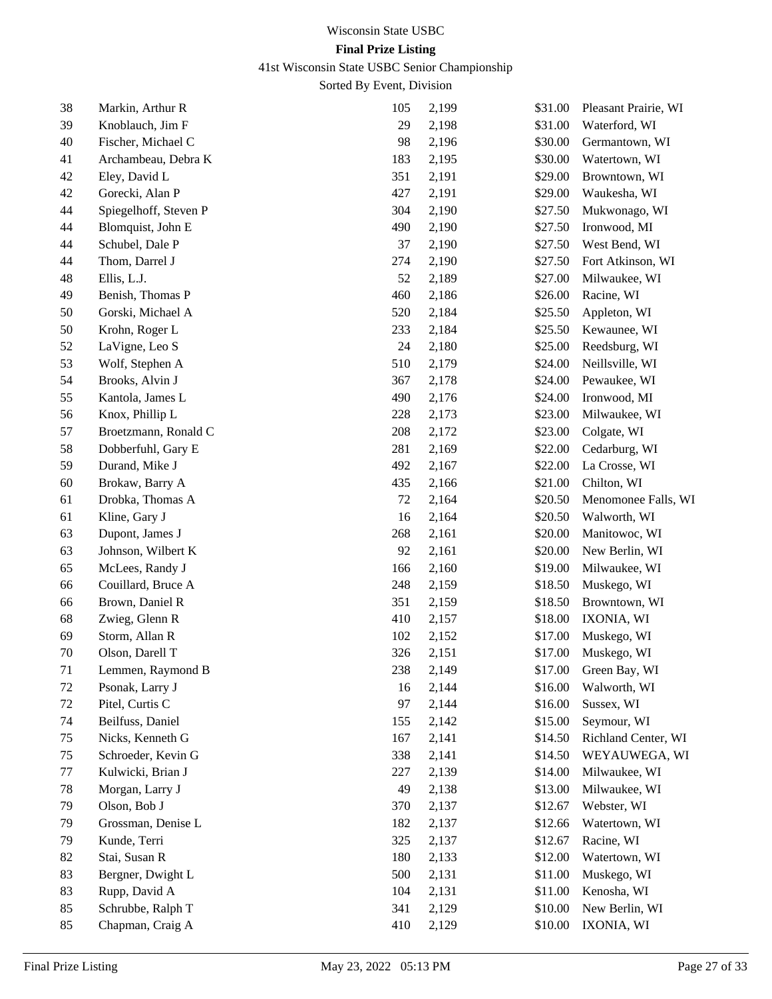41st Wisconsin State USBC Senior Championship

| 38 | Markin, Arthur R      | 105 | 2,199 | \$31.00 | Pleasant Prairie, WI |
|----|-----------------------|-----|-------|---------|----------------------|
| 39 | Knoblauch, Jim F      | 29  | 2,198 | \$31.00 | Waterford, WI        |
| 40 | Fischer, Michael C    | 98  | 2,196 | \$30.00 | Germantown, WI       |
| 41 | Archambeau, Debra K   | 183 | 2,195 | \$30.00 | Watertown, WI        |
| 42 | Eley, David L         | 351 | 2,191 | \$29.00 | Browntown, WI        |
| 42 | Gorecki, Alan P       | 427 | 2,191 | \$29.00 | Waukesha, WI         |
| 44 | Spiegelhoff, Steven P | 304 | 2,190 | \$27.50 | Mukwonago, WI        |
| 44 | Blomquist, John E     | 490 | 2,190 | \$27.50 | Ironwood, MI         |
| 44 | Schubel, Dale P       | 37  | 2,190 | \$27.50 | West Bend, WI        |
| 44 | Thom, Darrel J        | 274 | 2,190 | \$27.50 | Fort Atkinson, WI    |
| 48 | Ellis, L.J.           | 52  | 2,189 | \$27.00 | Milwaukee, WI        |
| 49 | Benish, Thomas P      | 460 | 2,186 | \$26.00 | Racine, WI           |
| 50 | Gorski, Michael A     | 520 | 2,184 | \$25.50 | Appleton, WI         |
| 50 | Krohn, Roger L        | 233 | 2,184 | \$25.50 | Kewaunee, WI         |
| 52 | LaVigne, Leo S        | 24  | 2,180 | \$25.00 | Reedsburg, WI        |
| 53 | Wolf, Stephen A       | 510 | 2,179 | \$24.00 | Neillsville, WI      |
| 54 | Brooks, Alvin J       | 367 | 2,178 | \$24.00 | Pewaukee, WI         |
| 55 | Kantola, James L      | 490 | 2,176 | \$24.00 | Ironwood, MI         |
| 56 | Knox, Phillip L       | 228 | 2,173 | \$23.00 | Milwaukee, WI        |
| 57 | Broetzmann, Ronald C  | 208 | 2,172 | \$23.00 | Colgate, WI          |
| 58 | Dobberfuhl, Gary E    | 281 | 2,169 | \$22.00 | Cedarburg, WI        |
| 59 | Durand, Mike J        | 492 | 2,167 | \$22.00 | La Crosse, WI        |
| 60 | Brokaw, Barry A       | 435 | 2,166 | \$21.00 | Chilton, WI          |
| 61 | Drobka, Thomas A      | 72  | 2,164 | \$20.50 | Menomonee Falls, WI  |
| 61 | Kline, Gary J         | 16  | 2,164 | \$20.50 | Walworth, WI         |
| 63 | Dupont, James J       | 268 | 2,161 | \$20.00 | Manitowoc, WI        |
| 63 | Johnson, Wilbert K    | 92  | 2,161 | \$20.00 | New Berlin, WI       |
| 65 | McLees, Randy J       | 166 | 2,160 | \$19.00 | Milwaukee, WI        |
| 66 | Couillard, Bruce A    | 248 | 2,159 | \$18.50 | Muskego, WI          |
| 66 | Brown, Daniel R       | 351 | 2,159 | \$18.50 | Browntown, WI        |
| 68 | Zwieg, Glenn R        | 410 | 2,157 | \$18.00 | IXONIA, WI           |
| 69 | Storm, Allan R        | 102 | 2,152 | \$17.00 | Muskego, WI          |
| 70 | Olson, Darell T       | 326 | 2,151 | \$17.00 | Muskego, WI          |
| 71 | Lemmen, Raymond B     | 238 | 2,149 | \$17.00 | Green Bay, WI        |
| 72 | Psonak, Larry J       | 16  | 2,144 | \$16.00 | Walworth, WI         |
| 72 | Pitel, Curtis C       | 97  | 2,144 | \$16.00 | Sussex, WI           |
| 74 | Beilfuss, Daniel      | 155 | 2,142 | \$15.00 | Seymour, WI          |
| 75 | Nicks, Kenneth G      | 167 | 2,141 | \$14.50 | Richland Center, WI  |
| 75 | Schroeder, Kevin G    | 338 | 2,141 | \$14.50 | WEYAUWEGA, WI        |
| 77 | Kulwicki, Brian J     | 227 | 2,139 | \$14.00 | Milwaukee, WI        |
| 78 | Morgan, Larry J       | 49  | 2,138 | \$13.00 | Milwaukee, WI        |
| 79 | Olson, Bob J          | 370 | 2,137 | \$12.67 | Webster, WI          |
| 79 | Grossman, Denise L    | 182 | 2,137 | \$12.66 | Watertown, WI        |
| 79 | Kunde, Terri          | 325 | 2,137 | \$12.67 | Racine, WI           |
| 82 | Stai, Susan R         | 180 | 2,133 | \$12.00 | Watertown, WI        |
| 83 | Bergner, Dwight L     | 500 | 2,131 | \$11.00 | Muskego, WI          |
| 83 | Rupp, David A         | 104 | 2,131 | \$11.00 | Kenosha, WI          |
| 85 | Schrubbe, Ralph T     | 341 | 2,129 | \$10.00 | New Berlin, WI       |
| 85 | Chapman, Craig A      | 410 | 2,129 | \$10.00 | IXONIA, WI           |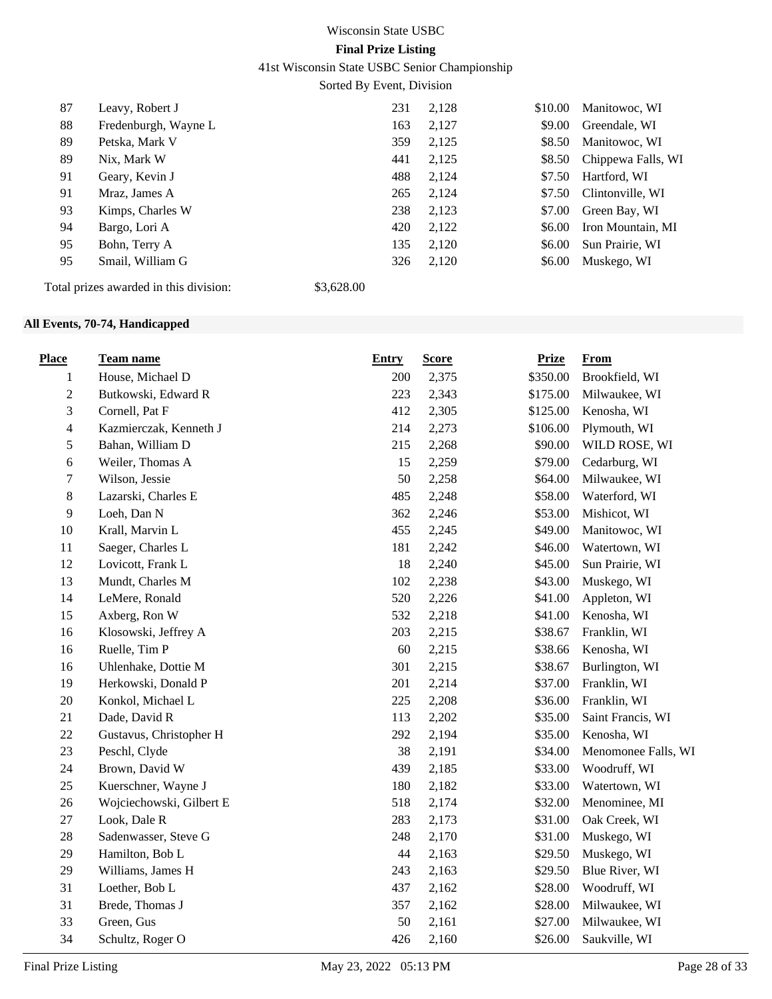41st Wisconsin State USBC Senior Championship

Sorted By Event, Division

| 87 | Leavy, Robert J                        |            | 231 | 2,128 | \$10.00 | Manitowoc, WI      |
|----|----------------------------------------|------------|-----|-------|---------|--------------------|
| 88 | Fredenburgh, Wayne L                   |            | 163 | 2,127 | \$9.00  | Greendale, WI      |
| 89 | Petska, Mark V                         |            | 359 | 2,125 | \$8.50  | Manitowoc, WI      |
| 89 | Nix, Mark W                            |            | 441 | 2,125 | \$8.50  | Chippewa Falls, WI |
| 91 | Geary, Kevin J                         |            | 488 | 2,124 | \$7.50  | Hartford, WI       |
| 91 | Mraz, James A                          |            | 265 | 2,124 | \$7.50  | Clintonville, WI   |
| 93 | Kimps, Charles W                       |            | 238 | 2,123 | \$7.00  | Green Bay, WI      |
| 94 | Bargo, Lori A                          |            | 420 | 2,122 | \$6.00  | Iron Mountain, MI  |
| 95 | Bohn, Terry A                          |            | 135 | 2,120 | \$6.00  | Sun Prairie, WI    |
| 95 | Smail, William G                       |            | 326 | 2,120 | \$6.00  | Muskego, WI        |
|    | Total prizes awarded in this division: | \$3,628.00 |     |       |         |                    |

## **All Events, 70-74, Handicapped**

| <b>Place</b>                | Team name                | <b>Entry</b> | <b>Score</b> | <b>Prize</b> | <b>From</b>         |
|-----------------------------|--------------------------|--------------|--------------|--------------|---------------------|
| 1                           | House, Michael D         | 200          | 2,375        | \$350.00     | Brookfield, WI      |
| $\mathbf{2}$                | Butkowski, Edward R      | 223          | 2,343        | \$175.00     | Milwaukee, WI       |
| $\ensuremath{\mathfrak{Z}}$ | Cornell, Pat F           | 412          | 2,305        | \$125.00     | Kenosha, WI         |
| $\overline{4}$              | Kazmierczak, Kenneth J   | 214          | 2,273        | \$106.00     | Plymouth, WI        |
| $\sqrt{5}$                  | Bahan, William D         | 215          | 2,268        | \$90.00      | WILD ROSE, WI       |
| 6                           | Weiler, Thomas A         | 15           | 2,259        | \$79.00      | Cedarburg, WI       |
| $\boldsymbol{7}$            | Wilson, Jessie           | 50           | 2,258        | \$64.00      | Milwaukee, WI       |
| $8\,$                       | Lazarski, Charles E      | 485          | 2,248        | \$58.00      | Waterford, WI       |
| 9                           | Loeh, Dan N              | 362          | 2,246        | \$53.00      | Mishicot, WI        |
| 10                          | Krall, Marvin L          | 455          | 2,245        | \$49.00      | Manitowoc, WI       |
| 11                          | Saeger, Charles L        | 181          | 2,242        | \$46.00      | Watertown, WI       |
| 12                          | Lovicott, Frank L        | 18           | 2,240        | \$45.00      | Sun Prairie, WI     |
| 13                          | Mundt, Charles M         | 102          | 2,238        | \$43.00      | Muskego, WI         |
| 14                          | LeMere, Ronald           | 520          | 2,226        | \$41.00      | Appleton, WI        |
| 15                          | Axberg, Ron W            | 532          | 2,218        | \$41.00      | Kenosha, WI         |
| 16                          | Klosowski, Jeffrey A     | 203          | 2,215        | \$38.67      | Franklin, WI        |
| 16                          | Ruelle, Tim P            | 60           | 2,215        | \$38.66      | Kenosha, WI         |
| 16                          | Uhlenhake, Dottie M      | 301          | 2,215        | \$38.67      | Burlington, WI      |
| 19                          | Herkowski, Donald P      | 201          | 2,214        | \$37.00      | Franklin, WI        |
| $20\,$                      | Konkol, Michael L        | 225          | 2,208        | \$36.00      | Franklin, WI        |
| 21                          | Dade, David R            | 113          | 2,202        | \$35.00      | Saint Francis, WI   |
| $22\,$                      | Gustavus, Christopher H  | 292          | 2,194        | \$35.00      | Kenosha, WI         |
| 23                          | Peschl, Clyde            | 38           | 2,191        | \$34.00      | Menomonee Falls, WI |
| 24                          | Brown, David W           | 439          | 2,185        | \$33.00      | Woodruff, WI        |
| 25                          | Kuerschner, Wayne J      | 180          | 2,182        | \$33.00      | Watertown, WI       |
| 26                          | Wojciechowski, Gilbert E | 518          | 2,174        | \$32.00      | Menominee, MI       |
| 27                          | Look, Dale R             | 283          | 2,173        | \$31.00      | Oak Creek, WI       |
| 28                          | Sadenwasser, Steve G     | 248          | 2,170        | \$31.00      | Muskego, WI         |
| 29                          | Hamilton, Bob L          | 44           | 2,163        | \$29.50      | Muskego, WI         |
| 29                          | Williams, James H        | 243          | 2,163        | \$29.50      | Blue River, WI      |
| 31                          | Loether, Bob L           | 437          | 2,162        | \$28.00      | Woodruff, WI        |
| 31                          | Brede, Thomas J          | 357          | 2,162        | \$28.00      | Milwaukee, WI       |
| 33                          | Green, Gus               | 50           | 2,161        | \$27.00      | Milwaukee, WI       |
| 34                          | Schultz, Roger O         | 426          | 2,160        | \$26.00      | Saukville, WI       |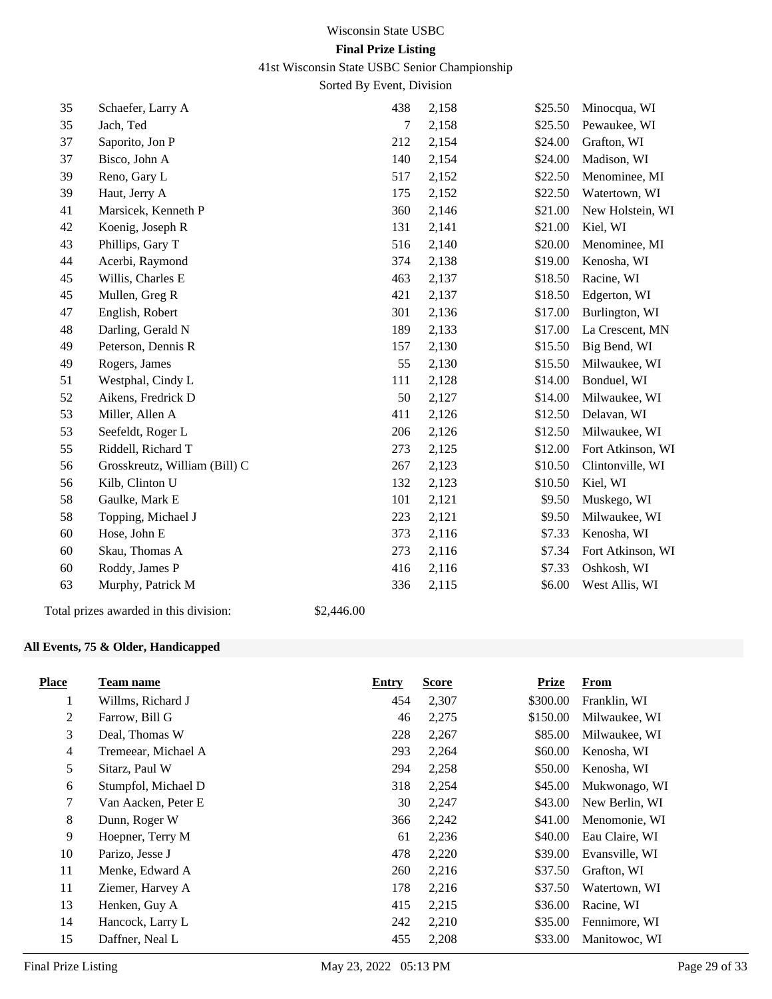### 41st Wisconsin State USBC Senior Championship

Sorted By Event, Division

| 35 | Schaefer, Larry A                      |            | 438 | 2,158 | \$25.50 | Minocqua, WI      |
|----|----------------------------------------|------------|-----|-------|---------|-------------------|
| 35 | Jach, Ted                              |            | 7   | 2,158 | \$25.50 | Pewaukee, WI      |
| 37 | Saporito, Jon P                        |            | 212 | 2,154 | \$24.00 | Grafton, WI       |
| 37 | Bisco, John A                          |            | 140 | 2,154 | \$24.00 | Madison, WI       |
| 39 | Reno, Gary L                           |            | 517 | 2,152 | \$22.50 | Menominee, MI     |
| 39 | Haut, Jerry A                          |            | 175 | 2,152 | \$22.50 | Watertown, WI     |
| 41 | Marsicek, Kenneth P                    |            | 360 | 2,146 | \$21.00 | New Holstein, WI  |
| 42 | Koenig, Joseph R                       |            | 131 | 2,141 | \$21.00 | Kiel, WI          |
| 43 | Phillips, Gary T                       |            | 516 | 2,140 | \$20.00 | Menominee, MI     |
| 44 | Acerbi, Raymond                        |            | 374 | 2,138 | \$19.00 | Kenosha, WI       |
| 45 | Willis, Charles E                      |            | 463 | 2,137 | \$18.50 | Racine, WI        |
| 45 | Mullen, Greg R                         |            | 421 | 2,137 | \$18.50 | Edgerton, WI      |
| 47 | English, Robert                        |            | 301 | 2,136 | \$17.00 | Burlington, WI    |
| 48 | Darling, Gerald N                      |            | 189 | 2,133 | \$17.00 | La Crescent, MN   |
| 49 | Peterson, Dennis R                     |            | 157 | 2,130 | \$15.50 | Big Bend, WI      |
| 49 | Rogers, James                          |            | 55  | 2,130 | \$15.50 | Milwaukee, WI     |
| 51 | Westphal, Cindy L                      |            | 111 | 2,128 | \$14.00 | Bonduel, WI       |
| 52 | Aikens, Fredrick D                     |            | 50  | 2,127 | \$14.00 | Milwaukee, WI     |
| 53 | Miller, Allen A                        |            | 411 | 2,126 | \$12.50 | Delavan, WI       |
| 53 | Seefeldt, Roger L                      |            | 206 | 2,126 | \$12.50 | Milwaukee, WI     |
| 55 | Riddell, Richard T                     |            | 273 | 2,125 | \$12.00 | Fort Atkinson, WI |
| 56 | Grosskreutz, William (Bill) C          |            | 267 | 2,123 | \$10.50 | Clintonville, WI  |
| 56 | Kilb, Clinton U                        |            | 132 | 2,123 | \$10.50 | Kiel, WI          |
| 58 | Gaulke, Mark E                         |            | 101 | 2,121 | \$9.50  | Muskego, WI       |
| 58 | Topping, Michael J                     |            | 223 | 2,121 | \$9.50  | Milwaukee, WI     |
| 60 | Hose, John E                           |            | 373 | 2,116 | \$7.33  | Kenosha, WI       |
| 60 | Skau, Thomas A                         |            | 273 | 2,116 | \$7.34  | Fort Atkinson, WI |
| 60 | Roddy, James P                         |            | 416 | 2,116 | \$7.33  | Oshkosh, WI       |
| 63 | Murphy, Patrick M                      |            | 336 | 2,115 | \$6.00  | West Allis, WI    |
|    | Total prizes awarded in this division: | \$2,446.00 |     |       |         |                   |

## **All Events, 75 & Older, Handicapped**

| <b>Place</b>   | Team name           | <b>Entry</b> | <b>Score</b> | <b>Prize</b> | From           |
|----------------|---------------------|--------------|--------------|--------------|----------------|
| 1              | Willms, Richard J   | 454          | 2,307        | \$300.00     | Franklin, WI   |
| $\overline{2}$ | Farrow, Bill G      | 46           | 2,275        | \$150.00     | Milwaukee, WI  |
| 3              | Deal, Thomas W      | 228          | 2,267        | \$85.00      | Milwaukee, WI  |
| $\overline{4}$ | Tremeear, Michael A | 293          | 2,264        | \$60.00      | Kenosha, WI    |
| 5              | Sitarz, Paul W      | 294          | 2,258        | \$50.00      | Kenosha, WI    |
| 6              | Stumpfol, Michael D | 318          | 2,254        | \$45.00      | Mukwonago, WI  |
| 7              | Van Aacken, Peter E | 30           | 2,247        | \$43.00      | New Berlin, WI |
| $\,8\,$        | Dunn, Roger W       | 366          | 2,242        | \$41.00      | Menomonie, WI  |
| 9              | Hoepner, Terry M    | 61           | 2,236        | \$40.00      | Eau Claire, WI |
| 10             | Parizo, Jesse J     | 478          | 2,220        | \$39.00      | Evansville, WI |
| 11             | Menke, Edward A     | 260          | 2,216        | \$37.50      | Grafton, WI    |
| 11             | Ziemer, Harvey A    | 178          | 2,216        | \$37.50      | Watertown, WI  |
| 13             | Henken, Guy A       | 415          | 2,215        | \$36.00      | Racine, WI     |
| 14             | Hancock, Larry L    | 242          | 2,210        | \$35.00      | Fennimore, WI  |
| 15             | Daffner, Neal L     | 455          | 2,208        | \$33.00      | Manitowoc, WI  |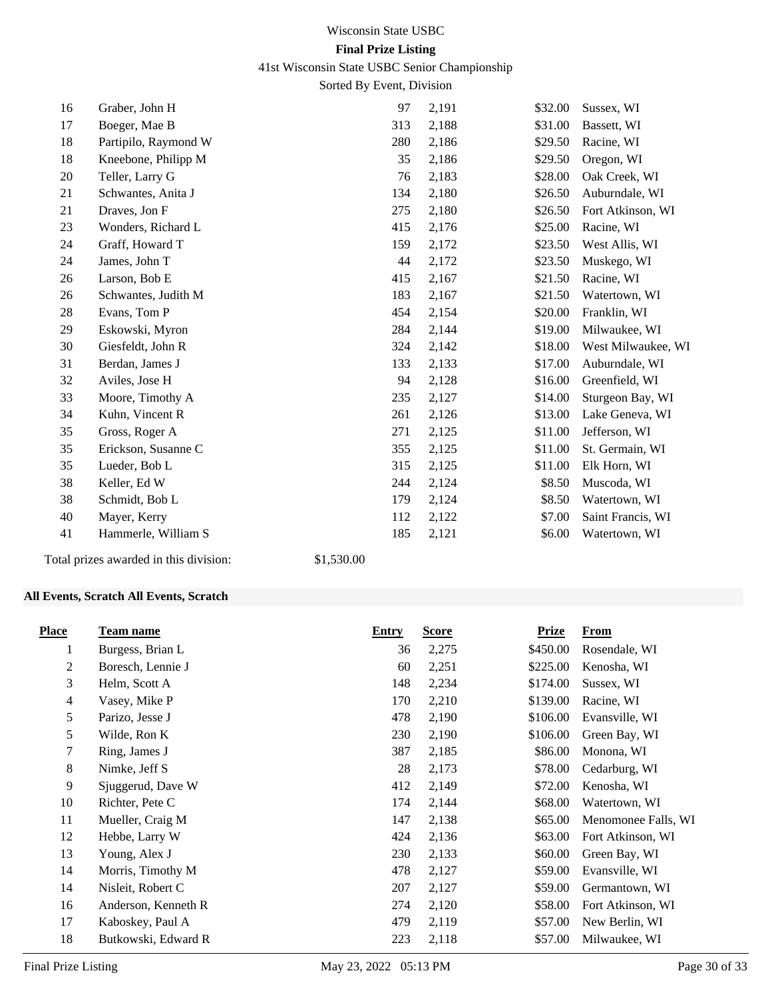## 41st Wisconsin State USBC Senior Championship

Sorted By Event, Division

| 16 | Graber, John H       | 97  | 2,191 | \$32.00 | Sussex, WI         |
|----|----------------------|-----|-------|---------|--------------------|
| 17 | Boeger, Mae B        | 313 | 2,188 | \$31.00 | Bassett, WI        |
| 18 | Partipilo, Raymond W | 280 | 2,186 | \$29.50 | Racine, WI         |
| 18 | Kneebone, Philipp M  | 35  | 2,186 | \$29.50 | Oregon, WI         |
| 20 | Teller, Larry G      | 76  | 2,183 | \$28.00 | Oak Creek, WI      |
| 21 | Schwantes, Anita J   | 134 | 2,180 | \$26.50 | Auburndale, WI     |
| 21 | Draves, Jon F        | 275 | 2,180 | \$26.50 | Fort Atkinson, WI  |
| 23 | Wonders, Richard L   | 415 | 2,176 | \$25.00 | Racine, WI         |
| 24 | Graff, Howard T      | 159 | 2,172 | \$23.50 | West Allis, WI     |
| 24 | James, John T        | 44  | 2,172 | \$23.50 | Muskego, WI        |
| 26 | Larson, Bob E        | 415 | 2,167 | \$21.50 | Racine, WI         |
| 26 | Schwantes, Judith M  | 183 | 2,167 | \$21.50 | Watertown, WI      |
| 28 | Evans, Tom P         | 454 | 2,154 | \$20.00 | Franklin, WI       |
| 29 | Eskowski, Myron      | 284 | 2,144 | \$19.00 | Milwaukee, WI      |
| 30 | Giesfeldt, John R    | 324 | 2,142 | \$18.00 | West Milwaukee, WI |
| 31 | Berdan, James J      | 133 | 2,133 | \$17.00 | Auburndale, WI     |
| 32 | Aviles, Jose H       | 94  | 2,128 | \$16.00 | Greenfield, WI     |
| 33 | Moore, Timothy A     | 235 | 2,127 | \$14.00 | Sturgeon Bay, WI   |
| 34 | Kuhn, Vincent R      | 261 | 2,126 | \$13.00 | Lake Geneva, WI    |
| 35 | Gross, Roger A       | 271 | 2,125 | \$11.00 | Jefferson, WI      |
| 35 | Erickson, Susanne C  | 355 | 2,125 | \$11.00 | St. Germain, WI    |
| 35 | Lueder, Bob L        | 315 | 2,125 | \$11.00 | Elk Horn, WI       |
| 38 | Keller, Ed W         | 244 | 2,124 | \$8.50  | Muscoda, WI        |
| 38 | Schmidt, Bob L       | 179 | 2,124 | \$8.50  | Watertown, WI      |
| 40 | Mayer, Kerry         | 112 | 2,122 | \$7.00  | Saint Francis, WI  |
| 41 | Hammerle, William S  | 185 | 2,121 | \$6.00  | Watertown, WI      |
|    |                      |     |       |         |                    |

Total prizes awarded in this division: \$1,530.00

## **All Events, Scratch All Events, Scratch**

| <b>Place</b> | <b>Team name</b>    | <b>Entry</b> | <b>Score</b> | <b>Prize</b> | <b>From</b>         |
|--------------|---------------------|--------------|--------------|--------------|---------------------|
| 1            | Burgess, Brian L    | 36           | 2,275        | \$450.00     | Rosendale, WI       |
| 2            | Boresch, Lennie J   | 60           | 2,251        | \$225.00     | Kenosha, WI         |
| 3            | Helm, Scott A       | 148          | 2,234        | \$174.00     | Sussex, WI          |
| 4            | Vasey, Mike P       | 170          | 2,210        | \$139.00     | Racine, WI          |
| 5            | Parizo, Jesse J     | 478          | 2,190        | \$106.00     | Evansville, WI      |
| 5            | Wilde, Ron K        | 230          | 2,190        | \$106.00     | Green Bay, WI       |
| 7            | Ring, James J       | 387          | 2,185        | \$86.00      | Monona, WI          |
| 8            | Nimke, Jeff S       | 28           | 2,173        | \$78.00      | Cedarburg, WI       |
| 9            | Sjuggerud, Dave W   | 412          | 2,149        | \$72.00      | Kenosha, WI         |
| 10           | Richter, Pete C     | 174          | 2,144        | \$68.00      | Watertown, WI       |
| 11           | Mueller, Craig M    | 147          | 2,138        | \$65.00      | Menomonee Falls, WI |
| 12           | Hebbe, Larry W      | 424          | 2,136        | \$63.00      | Fort Atkinson, WI   |
| 13           | Young, Alex J       | 230          | 2,133        | \$60.00      | Green Bay, WI       |
| 14           | Morris, Timothy M   | 478          | 2,127        | \$59.00      | Evansville, WI      |
| 14           | Nisleit, Robert C   | 207          | 2,127        | \$59.00      | Germantown, WI      |
| 16           | Anderson, Kenneth R | 274          | 2,120        | \$58.00      | Fort Atkinson, WI   |
| 17           | Kaboskey, Paul A    | 479          | 2,119        | \$57.00      | New Berlin, WI      |
| 18           | Butkowski, Edward R | 223          | 2,118        | \$57.00      | Milwaukee, WI       |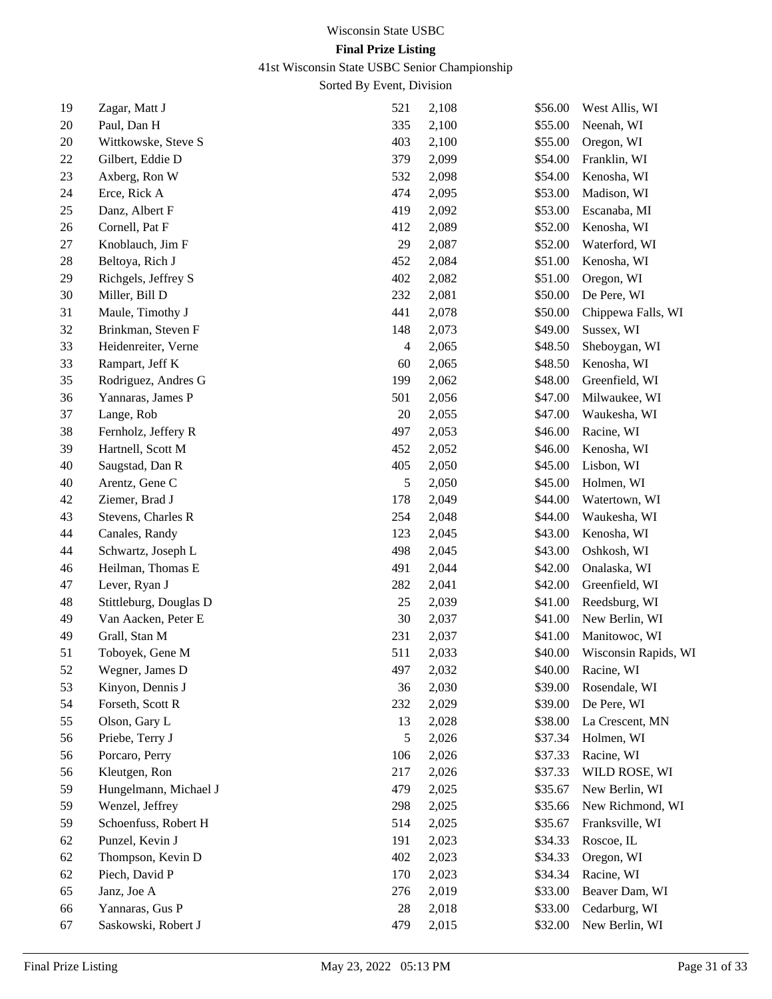# 41st Wisconsin State USBC Senior Championship

| 19 | Zagar, Matt J          | 521    | 2,108 | \$56.00 | West Allis, WI       |
|----|------------------------|--------|-------|---------|----------------------|
| 20 | Paul, Dan H            | 335    | 2,100 | \$55.00 | Neenah, WI           |
| 20 | Wittkowske, Steve S    | 403    | 2,100 | \$55.00 | Oregon, WI           |
| 22 | Gilbert, Eddie D       | 379    | 2,099 | \$54.00 | Franklin, WI         |
| 23 | Axberg, Ron W          | 532    | 2,098 | \$54.00 | Kenosha, WI          |
| 24 | Erce, Rick A           | 474    | 2,095 | \$53.00 | Madison, WI          |
| 25 | Danz, Albert F         | 419    | 2,092 | \$53.00 | Escanaba, MI         |
| 26 | Cornell, Pat F         | 412    | 2,089 | \$52.00 | Kenosha, WI          |
| 27 | Knoblauch, Jim F       | 29     | 2,087 | \$52.00 | Waterford, WI        |
| 28 | Beltoya, Rich J        | 452    | 2,084 | \$51.00 | Kenosha, WI          |
| 29 | Richgels, Jeffrey S    | 402    | 2,082 | \$51.00 | Oregon, WI           |
| 30 | Miller, Bill D         | 232    | 2,081 | \$50.00 | De Pere, WI          |
| 31 | Maule, Timothy J       | 441    | 2,078 | \$50.00 | Chippewa Falls, WI   |
| 32 | Brinkman, Steven F     | 148    | 2,073 | \$49.00 | Sussex, WI           |
| 33 | Heidenreiter, Verne    | 4      | 2,065 | \$48.50 | Sheboygan, WI        |
| 33 | Rampart, Jeff K        | 60     | 2,065 | \$48.50 | Kenosha, WI          |
| 35 | Rodriguez, Andres G    | 199    | 2,062 | \$48.00 | Greenfield, WI       |
| 36 | Yannaras, James P      | 501    | 2,056 | \$47.00 | Milwaukee, WI        |
| 37 | Lange, Rob             | 20     | 2,055 | \$47.00 | Waukesha, WI         |
| 38 | Fernholz, Jeffery R    | 497    | 2,053 | \$46.00 | Racine, WI           |
| 39 | Hartnell, Scott M      | 452    | 2,052 | \$46.00 | Kenosha, WI          |
| 40 | Saugstad, Dan R        | 405    | 2,050 | \$45.00 | Lisbon, WI           |
| 40 | Arentz, Gene C         | 5      | 2,050 | \$45.00 | Holmen, WI           |
| 42 | Ziemer, Brad J         | 178    | 2,049 | \$44.00 | Watertown, WI        |
| 43 | Stevens, Charles R     | 254    | 2,048 | \$44.00 | Waukesha, WI         |
| 44 | Canales, Randy         | 123    | 2,045 | \$43.00 | Kenosha, WI          |
| 44 | Schwartz, Joseph L     | 498    | 2,045 | \$43.00 | Oshkosh, WI          |
| 46 | Heilman, Thomas E      | 491    | 2,044 | \$42.00 | Onalaska, WI         |
| 47 | Lever, Ryan J          | 282    | 2,041 | \$42.00 | Greenfield, WI       |
| 48 | Stittleburg, Douglas D | $25\,$ | 2,039 | \$41.00 | Reedsburg, WI        |
| 49 | Van Aacken, Peter E    | 30     | 2,037 | \$41.00 | New Berlin, WI       |
| 49 | Grall, Stan M          | 231    | 2,037 | \$41.00 | Manitowoc, WI        |
| 51 | Toboyek, Gene M        | 511    | 2,033 | \$40.00 | Wisconsin Rapids, WI |
| 52 | Wegner, James D        | 497    | 2,032 | \$40.00 | Racine, WI           |
| 53 | Kinyon, Dennis J       | 36     | 2,030 | \$39.00 | Rosendale, WI        |
| 54 | Forseth, Scott R       | 232    | 2,029 | \$39.00 | De Pere, WI          |
| 55 | Olson, Gary L          | 13     | 2,028 | \$38.00 | La Crescent, MN      |
| 56 | Priebe, Terry J        | 5      | 2,026 | \$37.34 | Holmen, WI           |
| 56 | Porcaro, Perry         | 106    | 2,026 | \$37.33 | Racine, WI           |
| 56 | Kleutgen, Ron          | 217    | 2,026 | \$37.33 | WILD ROSE, WI        |
| 59 | Hungelmann, Michael J  | 479    | 2,025 | \$35.67 | New Berlin, WI       |
| 59 | Wenzel, Jeffrey        | 298    | 2,025 | \$35.66 | New Richmond, WI     |
| 59 | Schoenfuss, Robert H   | 514    | 2,025 | \$35.67 | Franksville, WI      |
| 62 | Punzel, Kevin J        | 191    | 2,023 | \$34.33 | Roscoe, IL           |
| 62 | Thompson, Kevin D      | 402    | 2,023 | \$34.33 | Oregon, WI           |
| 62 | Piech, David P         | 170    | 2,023 | \$34.34 | Racine, WI           |
| 65 | Janz, Joe A            | 276    | 2,019 | \$33.00 | Beaver Dam, WI       |
| 66 | Yannaras, Gus P        | 28     | 2,018 | \$33.00 | Cedarburg, WI        |
| 67 | Saskowski, Robert J    | 479    | 2,015 | \$32.00 | New Berlin, WI       |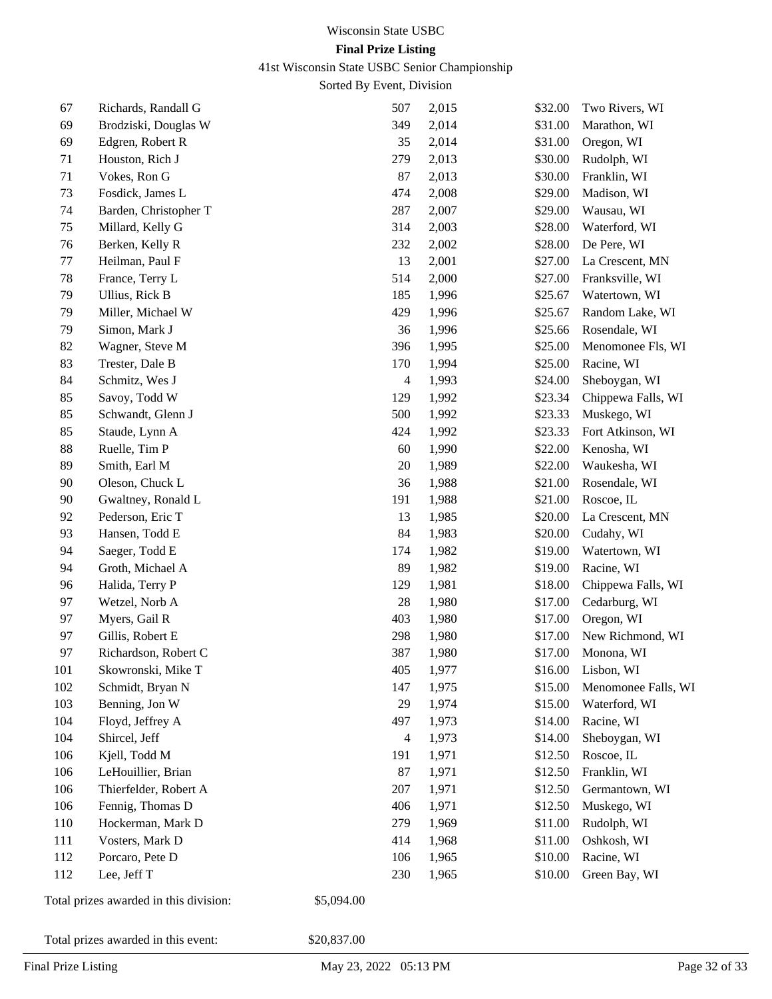41st Wisconsin State USBC Senior Championship

Sorted By Event, Division

| 67  | Richards, Randall G                    | 507            | 2,015 | \$32.00 | Two Rivers, WI      |
|-----|----------------------------------------|----------------|-------|---------|---------------------|
| 69  | Brodziski, Douglas W                   | 349            | 2,014 | \$31.00 | Marathon, WI        |
| 69  | Edgren, Robert R                       | 35             | 2,014 | \$31.00 | Oregon, WI          |
| 71  | Houston, Rich J                        | 279            | 2,013 | \$30.00 | Rudolph, WI         |
| 71  | Vokes, Ron G                           | 87             | 2,013 | \$30.00 | Franklin, WI        |
| 73  | Fosdick, James L                       | 474            | 2,008 | \$29.00 | Madison, WI         |
| 74  | Barden, Christopher T                  | 287            | 2,007 | \$29.00 | Wausau, WI          |
| 75  | Millard, Kelly G                       | 314            | 2,003 | \$28.00 | Waterford, WI       |
| 76  | Berken, Kelly R                        | 232            | 2,002 | \$28.00 | De Pere, WI         |
| 77  | Heilman, Paul F                        | 13             | 2,001 | \$27.00 | La Crescent, MN     |
| 78  | France, Terry L                        | 514            | 2,000 | \$27.00 | Franksville, WI     |
| 79  | Ullius, Rick B                         | 185            | 1,996 | \$25.67 | Watertown, WI       |
| 79  | Miller, Michael W                      | 429            | 1,996 | \$25.67 | Random Lake, WI     |
| 79  | Simon, Mark J                          | 36             | 1,996 | \$25.66 | Rosendale, WI       |
| 82  | Wagner, Steve M                        | 396            | 1,995 | \$25.00 | Menomonee Fls, WI   |
| 83  | Trester, Dale B                        | 170            | 1,994 | \$25.00 | Racine, WI          |
| 84  | Schmitz, Wes J                         | $\overline{4}$ | 1,993 | \$24.00 | Sheboygan, WI       |
| 85  | Savoy, Todd W                          | 129            | 1,992 | \$23.34 | Chippewa Falls, WI  |
| 85  | Schwandt, Glenn J                      | 500            | 1,992 | \$23.33 | Muskego, WI         |
| 85  | Staude, Lynn A                         | 424            | 1,992 | \$23.33 | Fort Atkinson, WI   |
| 88  | Ruelle, Tim P                          | 60             | 1,990 | \$22.00 | Kenosha, WI         |
| 89  | Smith, Earl M                          | 20             | 1,989 | \$22.00 | Waukesha, WI        |
| 90  | Oleson, Chuck L                        | 36             | 1,988 | \$21.00 | Rosendale, WI       |
| 90  | Gwaltney, Ronald L                     | 191            | 1,988 | \$21.00 | Roscoe, IL          |
| 92  | Pederson, Eric T                       | 13             | 1,985 | \$20.00 | La Crescent, MN     |
| 93  | Hansen, Todd E                         | 84             | 1,983 | \$20.00 | Cudahy, WI          |
| 94  | Saeger, Todd E                         | 174            | 1,982 | \$19.00 | Watertown, WI       |
| 94  | Groth, Michael A                       | 89             | 1,982 | \$19.00 | Racine, WI          |
| 96  | Halida, Terry P                        | 129            | 1,981 | \$18.00 | Chippewa Falls, WI  |
| 97  | Wetzel, Norb A                         | $28\,$         | 1,980 | \$17.00 | Cedarburg, WI       |
| 97  | Myers, Gail R                          | 403            | 1,980 | \$17.00 | Oregon, WI          |
| 97  | Gillis, Robert E                       | 298            | 1,980 | \$17.00 | New Richmond, WI    |
| 97  | Richardson, Robert C                   | 387            | 1,980 | \$17.00 | Monona, WI          |
| 101 | Skowronski, Mike T                     | 405            | 1,977 | \$16.00 | Lisbon, WI          |
| 102 | Schmidt, Bryan N                       | 147            | 1,975 | \$15.00 | Menomonee Falls, WI |
| 103 | Benning, Jon W                         | 29             | 1,974 | \$15.00 | Waterford, WI       |
| 104 | Floyd, Jeffrey A                       | 497            | 1,973 | \$14.00 | Racine, WI          |
| 104 | Shircel, Jeff                          | 4              | 1,973 | \$14.00 | Sheboygan, WI       |
| 106 | Kjell, Todd M                          | 191            | 1,971 | \$12.50 | Roscoe, IL          |
| 106 | LeHouillier, Brian                     | 87             | 1,971 | \$12.50 | Franklin, WI        |
| 106 | Thierfelder, Robert A                  | 207            | 1,971 | \$12.50 | Germantown, WI      |
| 106 | Fennig, Thomas D                       | 406            | 1,971 | \$12.50 | Muskego, WI         |
| 110 | Hockerman, Mark D                      | 279            | 1,969 | \$11.00 | Rudolph, WI         |
| 111 | Vosters, Mark D                        | 414            | 1,968 | \$11.00 | Oshkosh, WI         |
| 112 | Porcaro, Pete D                        | 106            | 1,965 | \$10.00 | Racine, WI          |
| 112 | Lee, Jeff T                            | 230            | 1,965 | \$10.00 | Green Bay, WI       |
|     | Total prizes awarded in this division: | \$5,094.00     |       |         |                     |

Total prizes awarded in this event: \$20,837.00